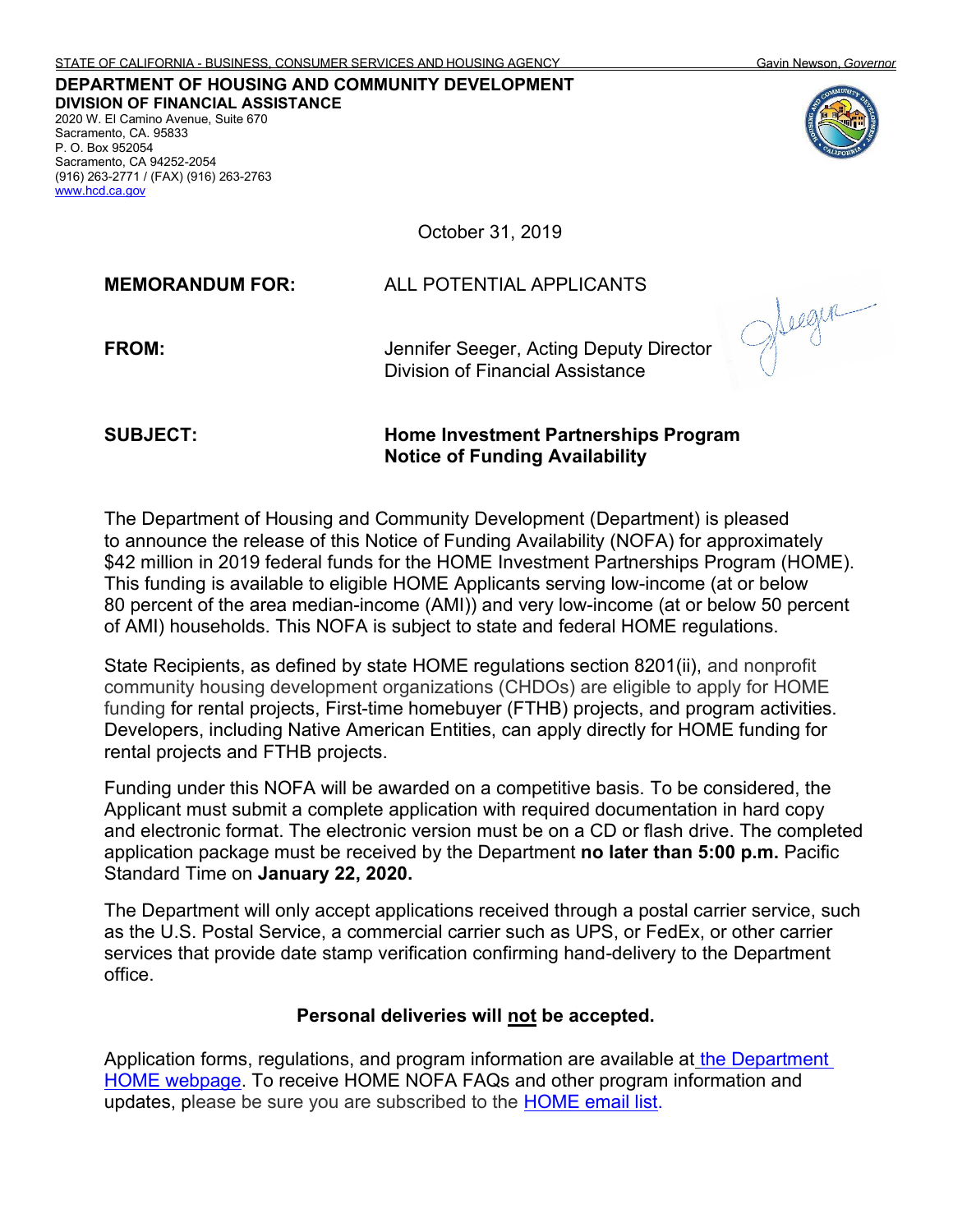**DIVISION OF FINANCIAL ASSISTANCE** 2020 W. El Camino Avenue, Suite 670 Sacramento, CA. 95833 P. O. Box 952054 Sacramento, CA 94252-2054 (916) 263-2771 / (FAX) (916) 263-2763 [www.hcd.ca.gov](http://www.hcd.ca.gov/)

October 31, 2019

**MEMORANDUM FOR:** ALL POTENTIAL APPLICANTS **FROM:** Jennifer Seeger, Acting Deputy Director Division of Financial Assistance

**SUBJECT: Home Investment Partnerships Program Notice of Funding Availability**

The Department of Housing and Community Development (Department) is pleased to announce the release of this Notice of Funding Availability (NOFA) for approximately \$42 million in 2019 federal funds for the HOME Investment Partnerships Program (HOME). This funding is available to eligible HOME Applicants serving low-income (at or below 80 percent of the area median-income (AMI)) and very low-income (at or below 50 percent of AMI) households. This NOFA is subject to state and federal HOME regulations.

State Recipients, as defined by state HOME regulations section 8201(ii), and nonprofit community housing development organizations (CHDOs) are eligible to apply for HOME funding for rental projects, First-time homebuyer (FTHB) projects, and program activities. Developers, including Native American Entities, can apply directly for HOME funding for rental projects and FTHB projects.

Funding under this NOFA will be awarded on a competitive basis. To be considered, the Applicant must submit a complete application with required documentation in hard copy and electronic format. The electronic version must be on a CD or flash drive. The completed application package must be received by the Department **no later than 5:00 p.m.** Pacific Standard Time on **January 22, 2020.**

The Department will only accept applications received through a postal carrier service, such as the U.S. Postal Service, a commercial carrier such as UPS, or FedEx, or other carrier services that provide date stamp verification confirming hand-delivery to the Department office.

# **Personal deliveries will not be accepted.**

Application forms, regulations, and program information are available at [the Department](http://www.hcd.ca.gov/grants-funding/active-funding/home.shtml#funding)  HOME webpage. To receive HOME NOFA FAQs and other program information and updates, please be sure you are subscribed to the **HOME** email list.



Jeegen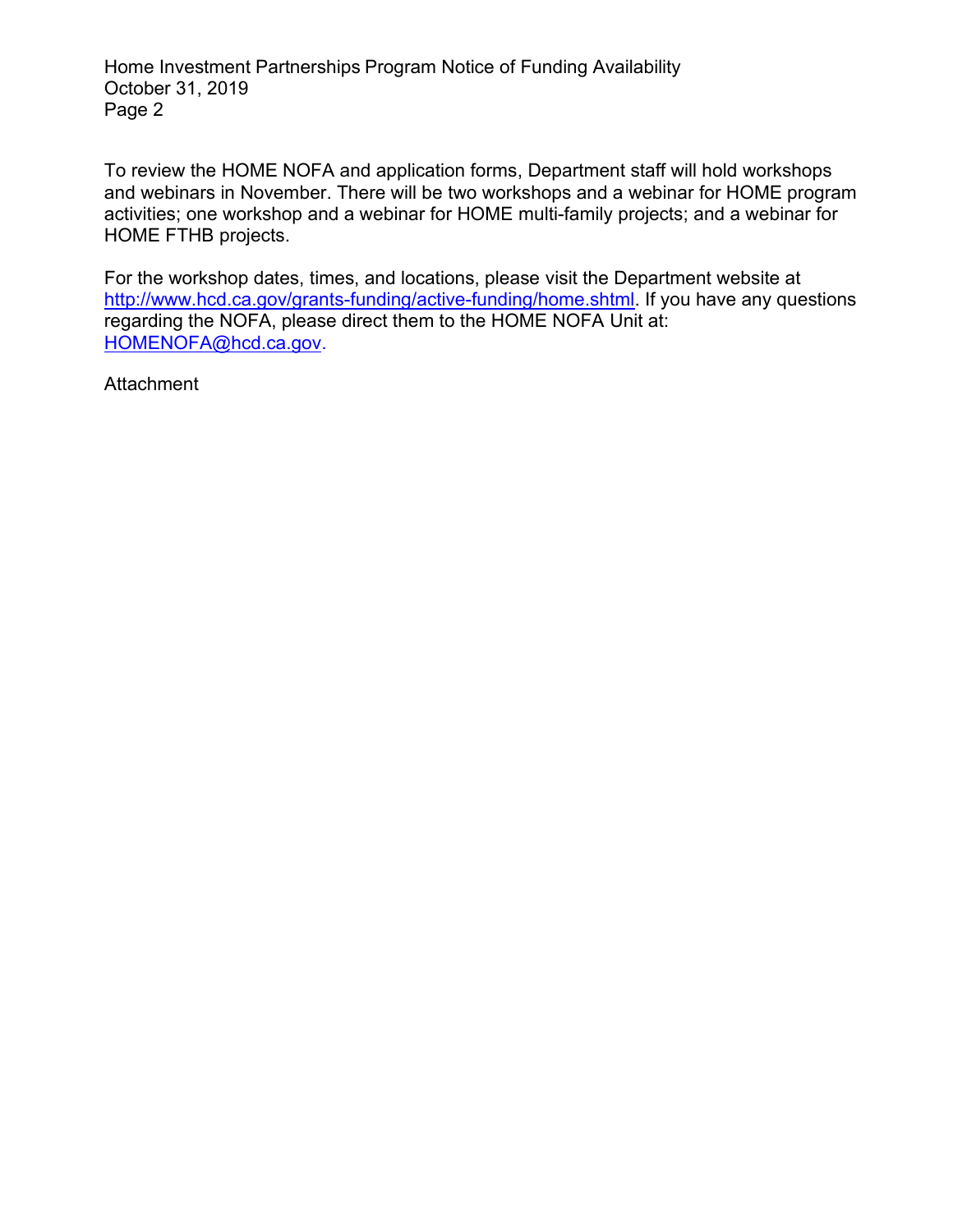Home Investment Partnerships Program Notice of Funding Availability October 31, 2019 Page 2

To review the HOME NOFA and application forms, Department staff will hold workshops and webinars in November. There will be two workshops and a webinar for HOME program activities; one workshop and a webinar for HOME multi-family projects; and a webinar for HOME FTHB projects.

For the workshop dates, times, and locations, please visit the Department website at [http://www.hcd.ca.gov/grants-funding/active-funding/home.shtml.](http://www.hcd.ca.gov/grants-funding/active-funding/home.shtml) If you have any questions regarding the NOFA, please direct them to the HOME NOFA Unit at: [HOMENOFA@hcd.ca.gov.](mailto:HOMENOFA@hcd.ca.gov)

**Attachment**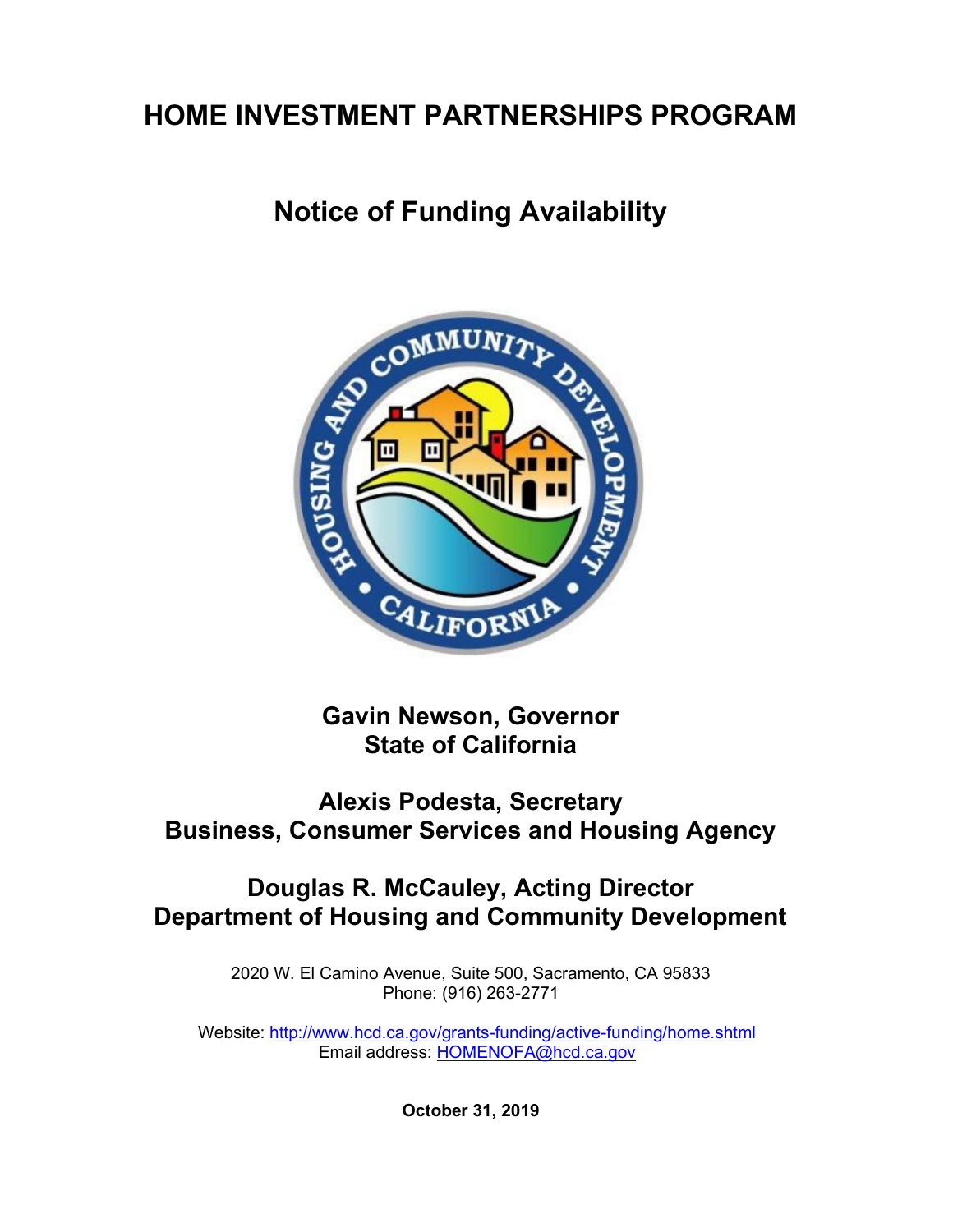# **HOME INVESTMENT PARTNERSHIPS PROGRAM**

# **Notice of Funding Availability**



**Gavin Newson, Governor State of California**

# **Alexis Podesta, Secretary Business, Consumer Services and Housing Agency**

# **Douglas R. McCauley, Acting Director Department of Housing and Community Development**

2020 W. El Camino Avenue, Suite 500, Sacramento, CA 95833 Phone: (916) 263-2771

Website:<http://www.hcd.ca.gov/grants-funding/active-funding/home.shtml> Email address: [HOMENOFA@hcd.ca.gov](mailto:HOMENOFA@hcd.ca.gov)

**October 31, 2019**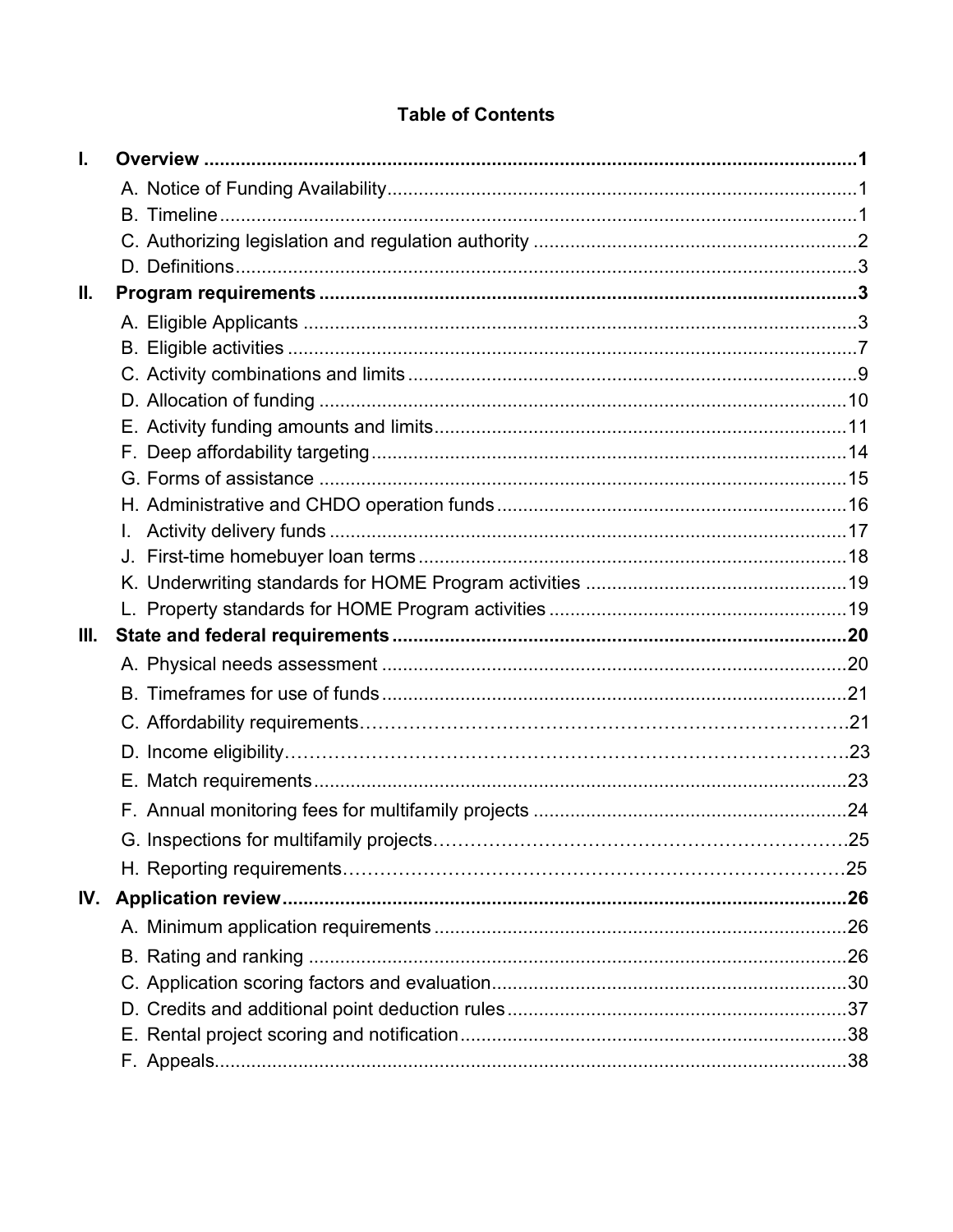# **Table of Contents**

| Ι.   |  |
|------|--|
|      |  |
|      |  |
|      |  |
|      |  |
| II.  |  |
|      |  |
|      |  |
|      |  |
|      |  |
|      |  |
|      |  |
|      |  |
|      |  |
|      |  |
|      |  |
|      |  |
|      |  |
| III. |  |
|      |  |
|      |  |
|      |  |
|      |  |
|      |  |
|      |  |
|      |  |
|      |  |
| IV.  |  |
|      |  |
|      |  |
|      |  |
|      |  |
|      |  |
|      |  |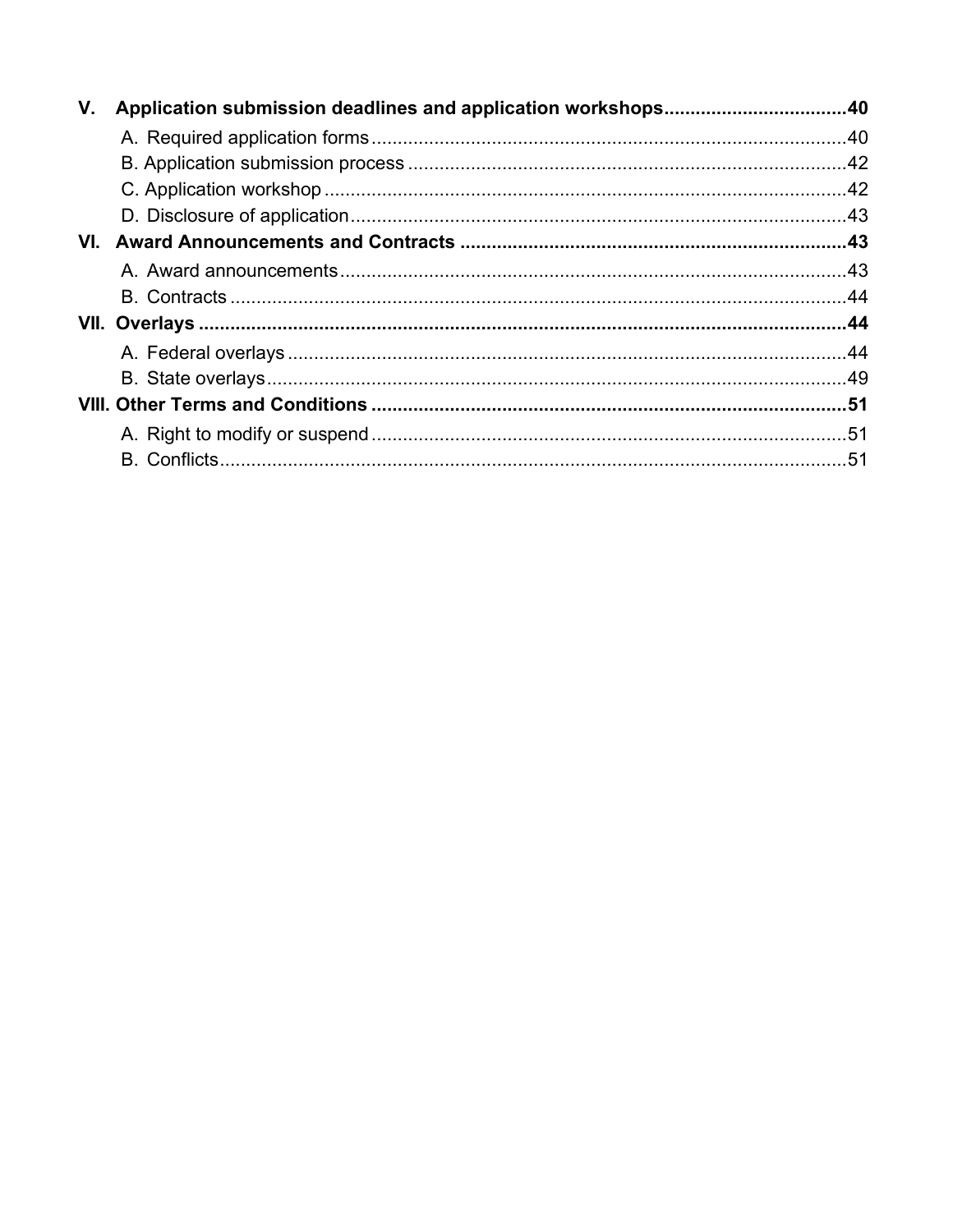| V.  |  |
|-----|--|
|     |  |
|     |  |
|     |  |
|     |  |
| VI. |  |
|     |  |
|     |  |
|     |  |
|     |  |
|     |  |
|     |  |
|     |  |
|     |  |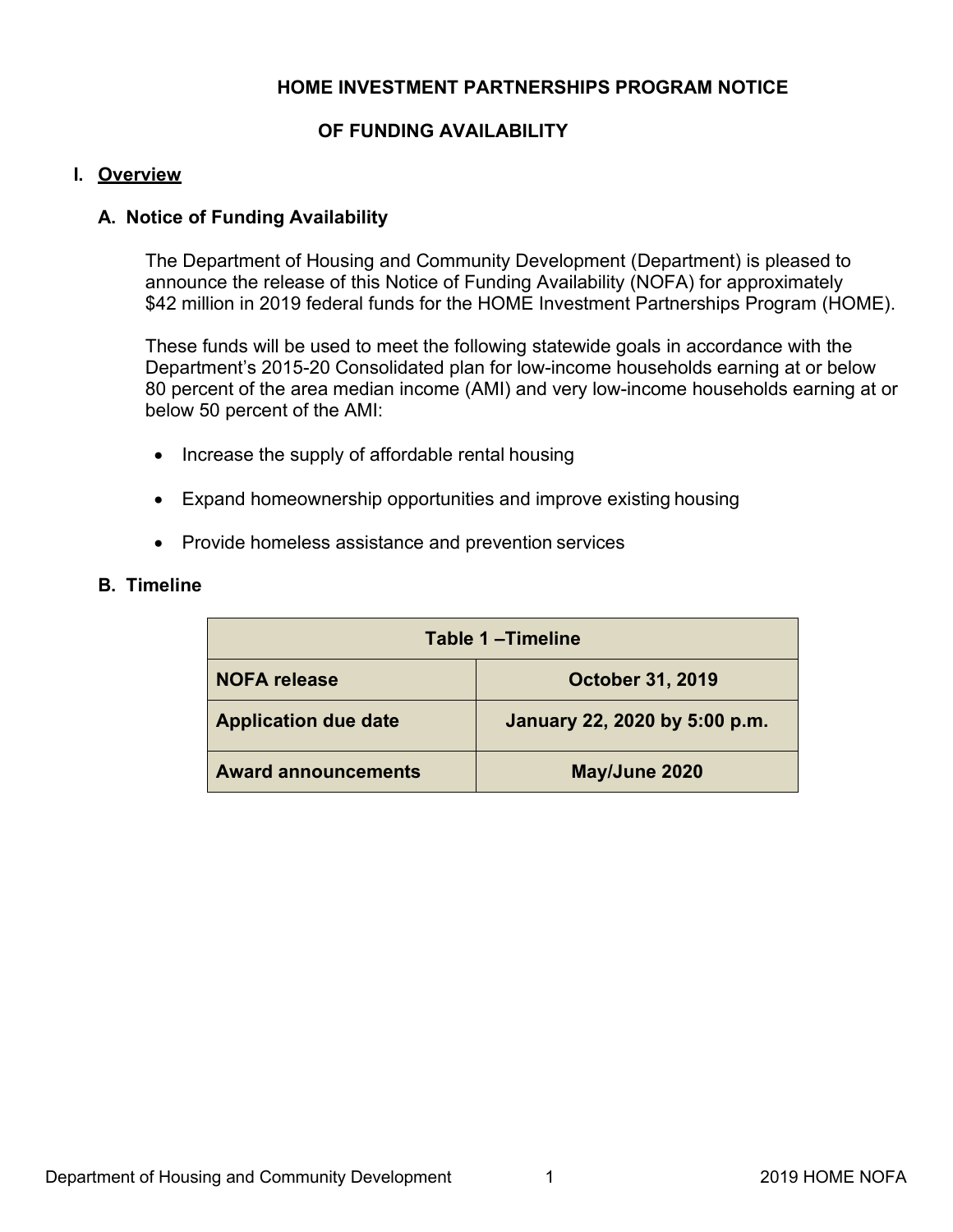# **HOME INVESTMENT PARTNERSHIPS PROGRAM NOTICE**

# **OF FUNDING AVAILABILITY**

#### <span id="page-5-0"></span>**I. Overview**

#### **A. Notice of Funding Availability**

The Department of Housing and Community Development (Department) is pleased to announce the release of this Notice of Funding Availability (NOFA) for approximately \$42 million in 2019 federal funds for the HOME Investment Partnerships Program (HOME).

These funds will be used to meet the following statewide goals in accordance with the Department's 2015-20 Consolidated plan for low-income households earning at or below 80 percent of the area median income (AMI) and very low-income households earning at or below 50 percent of the AMI:

- Increase the supply of affordable rental housing
- Expand homeownership opportunities and improve existing housing
- Provide homeless assistance and prevention services

#### **B. Timeline**

| Table 1-Timeline            |                               |
|-----------------------------|-------------------------------|
| <b>NOFA</b> release         | <b>October 31, 2019</b>       |
| <b>Application due date</b> | January 22, 2020 by 5:00 p.m. |
| <b>Award announcements</b>  | May/June 2020                 |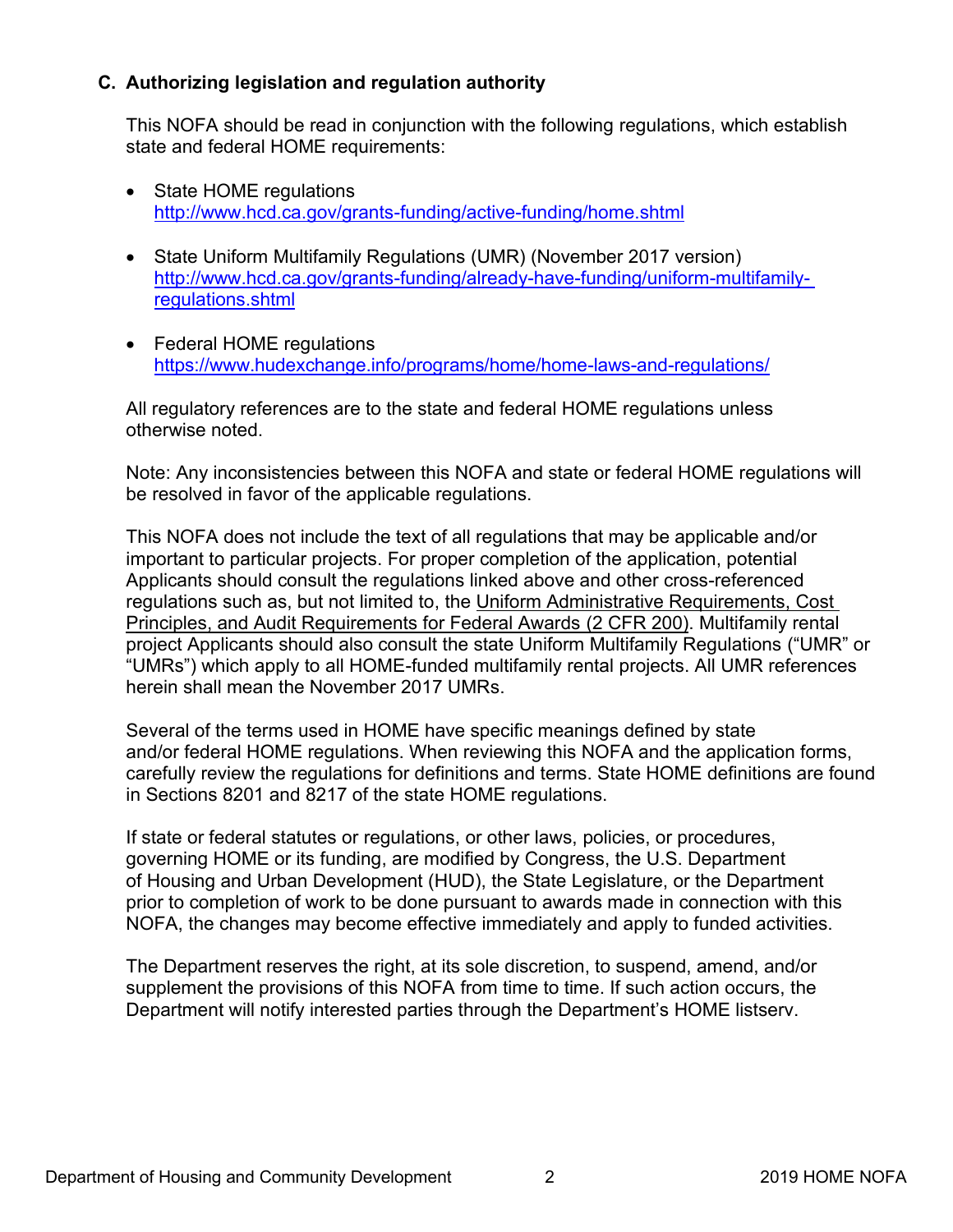# <span id="page-6-0"></span>**C. Authorizing legislation and regulation authority**

This NOFA should be read in conjunction with the following regulations, which establish state and federal HOME requirements:

- State HOME regulations <http://www.hcd.ca.gov/grants-funding/active-funding/home.shtml>
- State Uniform Multifamily Regulations (UMR) (November 2017 version) [http://www.hcd.ca.gov/grants-funding/already-have-funding/uniform-multifamily](http://www.hcd.ca.gov/grants-funding/already-have-funding/uniform-multifamily-regulations.shtml)regulations.shtml
- Federal HOME regulations <https://www.hudexchange.info/programs/home/home-laws-and-regulations/>

All regulatory references are to the state and federal HOME regulations unless otherwise noted.

Note: Any inconsistencies between this NOFA and state or federal HOME regulations will be resolved in favor of the applicable regulations.

This NOFA does not include the text of all regulations that may be applicable and/or important to particular projects. For proper completion of the application, potential Applicants should consult the regulations linked above and other cross-referenced regulations such as, but not limited to, the [Uniform Administrative Requirements, Cost](https://www.govinfo.gov/app/details/CFR-2014-title2-vol1/CFR-2014-title2-vol1-part200)  Principles, and Audit Requirements for Federal Awards (2 CFR 200). Multifamily rental project Applicants should also consult the state Uniform Multifamily Regulations ("UMR" or "UMRs") which apply to all HOME-funded multifamily rental projects. All UMR references herein shall mean the November 2017 UMRs.

Several of the terms used in HOME have specific meanings defined by state and/or federal HOME regulations. When reviewing this NOFA and the application forms, carefully review the regulations for definitions and terms. State HOME definitions are found in Sections 8201 and 8217 of the state HOME regulations.

If state or federal statutes or regulations, or other laws, policies, or procedures, governing HOME or its funding, are modified by Congress, the U.S. Department of Housing and Urban Development (HUD), the State Legislature, or the Department prior to completion of work to be done pursuant to awards made in connection with this NOFA, the changes may become effective immediately and apply to funded activities.

The Department reserves the right, at its sole discretion, to suspend, amend, and/or supplement the provisions of this NOFA from time to time. If such action occurs, the Department will notify interested parties through the Department's HOME listserv.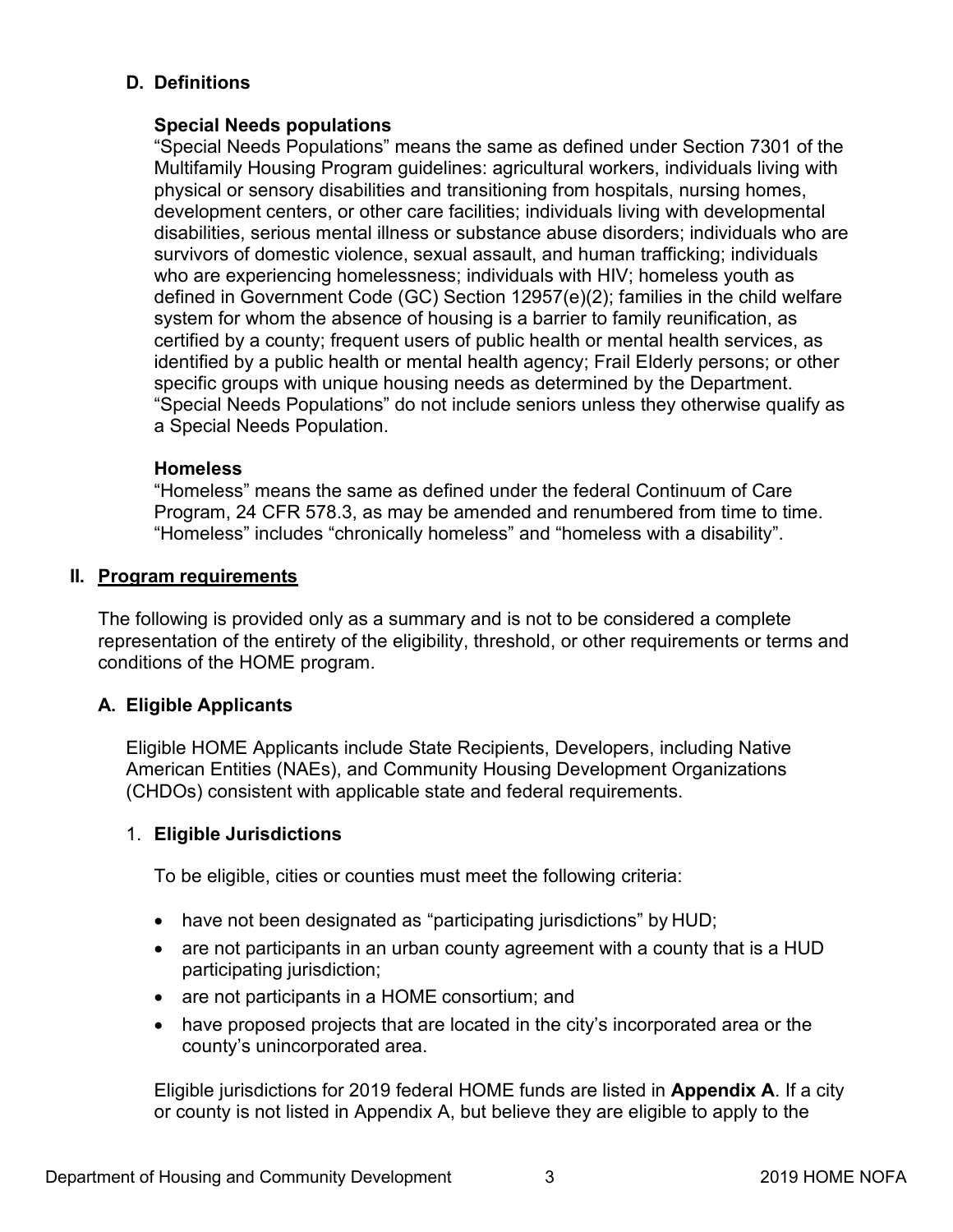# <span id="page-7-0"></span>**D. Definitions**

# **Special Needs populations**

"Special Needs Populations" means the same as defined under Section 7301 of the Multifamily Housing Program guidelines: agricultural workers, individuals living with physical or sensory disabilities and transitioning from hospitals, nursing homes, development centers, or other care facilities; individuals living with developmental disabilities, serious mental illness or substance abuse disorders; individuals who are survivors of domestic violence, sexual assault, and human trafficking; individuals who are experiencing homelessness; individuals with HIV; homeless youth as defined in Government Code (GC) Section 12957(e)(2); families in the child welfare system for whom the absence of housing is a barrier to family reunification, as certified by a county; frequent users of public health or mental health services, as identified by a public health or mental health agency; Frail Elderly persons; or other specific groups with unique housing needs as determined by the Department. "Special Needs Populations" do not include seniors unless they otherwise qualify as a Special Needs Population.

# **Homeless**

"Homeless" means the same as defined under the federal Continuum of Care Program, 24 CFR 578.3, as may be amended and renumbered from time to time. "Homeless" includes "chronically homeless" and "homeless with a disability".

# **II. Program requirements**

The following is provided only as a summary and is not to be considered a complete representation of the entirety of the eligibility, threshold, or other requirements or terms and conditions of the HOME program.

# **A. Eligible Applicants**

Eligible HOME Applicants include State Recipients, Developers, including Native American Entities (NAEs), and Community Housing Development Organizations (CHDOs) consistent with applicable state and federal requirements.

# 1. **Eligible Jurisdictions**

To be eligible, cities or counties must meet the following criteria:

- have not been designated as "participating jurisdictions" by HUD;
- are not participants in an urban county agreement with a county that is a HUD participating jurisdiction;
- are not participants in a HOME consortium; and
- have proposed projects that are located in the city's incorporated area or the county's unincorporated area.

Eligible jurisdictions for 2019 federal HOME funds are listed in **Appendix A**. If a city or county is not listed in Appendix A, but believe they are eligible to apply to the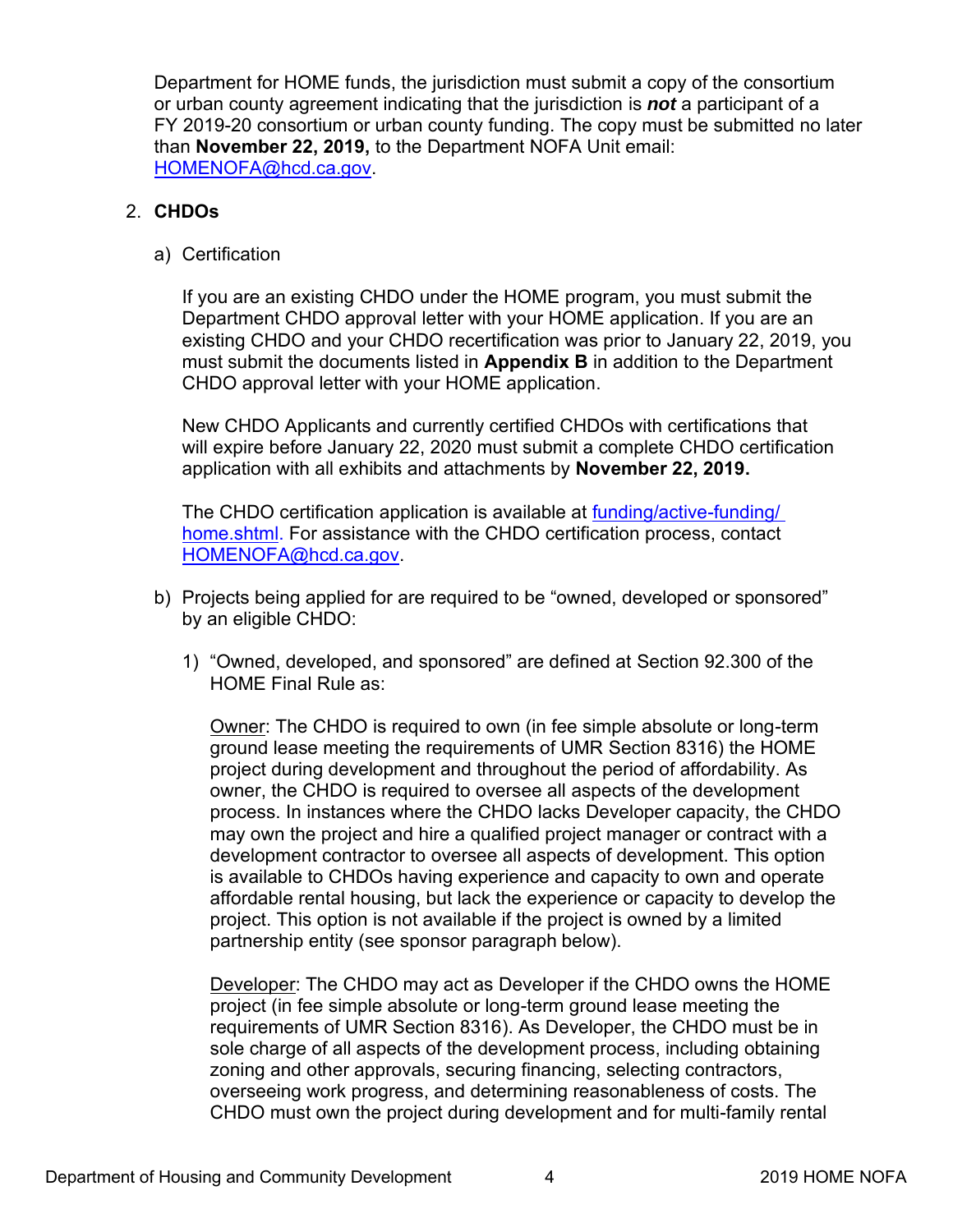Department for HOME funds, the jurisdiction must submit a copy of the consortium or urban county agreement indicating that the jurisdiction is *not* a participant of a FY 2019-20 consortium or urban county funding. The copy must be submitted no later than **November 22, 2019,** to the Department NOFA Unit email: [HOMENOFA@hcd.ca.gov.](mailto:HOMENOFA@hcd.ca.gov)

# 2. **CHDOs**

a) Certification

If you are an existing CHDO under the HOME program, you must submit the Department CHDO approval letter with your HOME application. If you are an existing CHDO and your CHDO recertification was prior to January 22, 2019, you must submit the documents listed in **Appendix B** in addition to the Department CHDO approval letter with your HOME application.

New CHDO Applicants and currently certified CHDOs with certifications that will expire before January 22, 2020 must submit a complete CHDO certification application with all exhibits and attachments by **November 22, 2019.**

The CHDO certification application is available at [funding/active-funding/](http://www.hcd.ca.gov/grants-funding/active-funding/home.shtml) home.shtml. For assistance with the CHDO certification process, contact [HOMENOFA@hcd.ca.gov.](mailto:HOMENOFA@hcd.ca.gov)

- b) Projects being applied for are required to be "owned, developed or sponsored" by an eligible CHDO:
	- 1) "Owned, developed, and sponsored" are defined at Section 92.300 of the HOME Final Rule as:

Owner: The CHDO is required to own (in fee simple absolute or long-term ground lease meeting the requirements of UMR Section 8316) the HOME project during development and throughout the period of affordability. As owner, the CHDO is required to oversee all aspects of the development process. In instances where the CHDO lacks Developer capacity, the CHDO may own the project and hire a qualified project manager or contract with a development contractor to oversee all aspects of development. This option is available to CHDOs having experience and capacity to own and operate affordable rental housing, but lack the experience or capacity to develop the project. This option is not available if the project is owned by a limited partnership entity (see sponsor paragraph below).

Developer: The CHDO may act as Developer if the CHDO owns the HOME project (in fee simple absolute or long-term ground lease meeting the requirements of UMR Section 8316). As Developer, the CHDO must be in sole charge of all aspects of the development process, including obtaining zoning and other approvals, securing financing, selecting contractors, overseeing work progress, and determining reasonableness of costs. The CHDO must own the project during development and for multi-family rental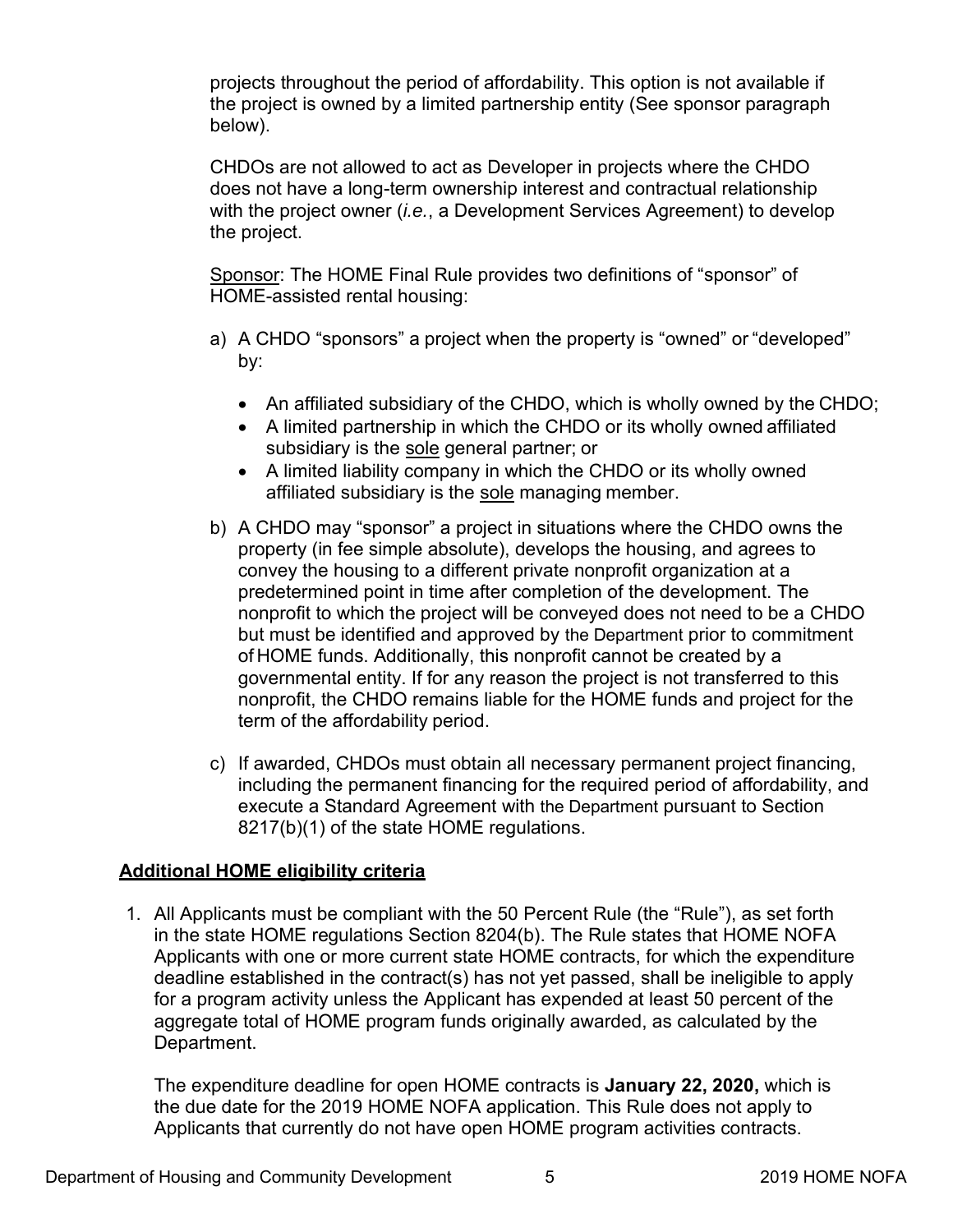projects throughout the period of affordability. This option is not available if the project is owned by a limited partnership entity (See sponsor paragraph below).

CHDOs are not allowed to act as Developer in projects where the CHDO does not have a long-term ownership interest and contractual relationship with the project owner (*i.e.*, a Development Services Agreement) to develop the project.

Sponsor: The HOME Final Rule provides two definitions of "sponsor" of HOME-assisted rental housing:

- a) A CHDO "sponsors" a project when the property is "owned" or "developed" by:
	- An affiliated subsidiary of the CHDO, which is wholly owned by the CHDO;
	- A limited partnership in which the CHDO or its wholly owned affiliated subsidiary is the sole general partner; or
	- A limited liability company in which the CHDO or its wholly owned affiliated subsidiary is the sole managing member.
- b) A CHDO may "sponsor" a project in situations where the CHDO owns the property (in fee simple absolute), develops the housing, and agrees to convey the housing to a different private nonprofit organization at a predetermined point in time after completion of the development. The nonprofit to which the project will be conveyed does not need to be a CHDO but must be identified and approved by the Department prior to commitment of HOME funds. Additionally, this nonprofit cannot be created by a governmental entity. If for any reason the project is not transferred to this nonprofit, the CHDO remains liable for the HOME funds and project for the term of the affordability period.
- c) If awarded, CHDOs must obtain all necessary permanent project financing, including the permanent financing for the required period of affordability, and execute a Standard Agreement with the Department pursuant to Section 8217(b)(1) of the state HOME regulations.

# **Additional HOME eligibility criteria**

1. All Applicants must be compliant with the 50 Percent Rule (the "Rule"), as set forth in the state HOME regulations Section 8204(b). The Rule states that HOME NOFA Applicants with one or more current state HOME contracts, for which the expenditure deadline established in the contract(s) has not yet passed, shall be ineligible to apply for a program activity unless the Applicant has expended at least 50 percent of the aggregate total of HOME program funds originally awarded, as calculated by the Department.

The expenditure deadline for open HOME contracts is **January 22, 2020,** which is the due date for the 2019 HOME NOFA application. This Rule does not apply to Applicants that currently do not have open HOME program activities contracts.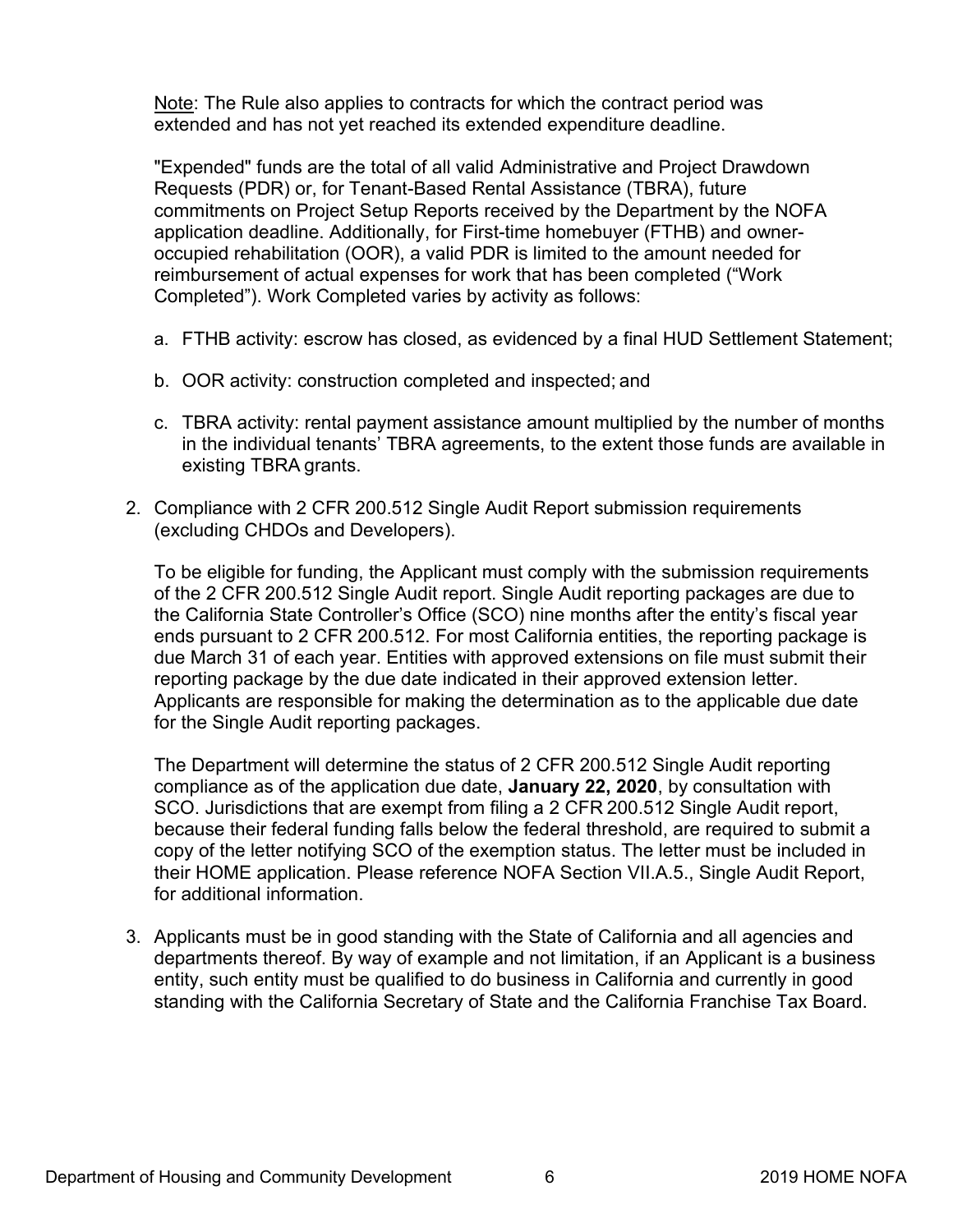Note: The Rule also applies to contracts for which the contract period was extended and has not yet reached its extended expenditure deadline.

"Expended" funds are the total of all valid Administrative and Project Drawdown Requests (PDR) or, for Tenant-Based Rental Assistance (TBRA), future commitments on Project Setup Reports received by the Department by the NOFA application deadline. Additionally, for First-time homebuyer (FTHB) and owneroccupied rehabilitation (OOR), a valid PDR is limited to the amount needed for reimbursement of actual expenses for work that has been completed ("Work Completed"). Work Completed varies by activity as follows:

- a. FTHB activity: escrow has closed, as evidenced by a final HUD Settlement Statement;
- b. OOR activity: construction completed and inspected; and
- c. TBRA activity: rental payment assistance amount multiplied by the number of months in the individual tenants' TBRA agreements, to the extent those funds are available in existing TBRA grants.
- 2. Compliance with 2 CFR 200.512 Single Audit Report submission requirements (excluding CHDOs and Developers).

To be eligible for funding, the Applicant must comply with the submission requirements of the 2 CFR 200.512 Single Audit report. Single Audit reporting packages are due to the California State Controller's Office (SCO) nine months after the entity's fiscal year ends pursuant to 2 CFR 200.512. For most California entities, the reporting package is due March 31 of each year. Entities with approved extensions on file must submit their reporting package by the due date indicated in their approved extension letter. Applicants are responsible for making the determination as to the applicable due date for the Single Audit reporting packages.

The Department will determine the status of 2 CFR 200.512 Single Audit reporting compliance as of the application due date, **January 22, 2020**, by consultation with SCO. Jurisdictions that are exempt from filing a 2 CFR 200.512 Single Audit report, because their federal funding falls below the federal threshold, are required to submit a copy of the letter notifying SCO of the exemption status. The letter must be included in their HOME application. Please reference NOFA Section VII.A.5., Single Audit Report, for additional information.

3. Applicants must be in good standing with the State of California and all agencies and departments thereof. By way of example and not limitation, if an Applicant is a business entity, such entity must be qualified to do business in California and currently in good standing with the California Secretary of State and the California Franchise Tax Board.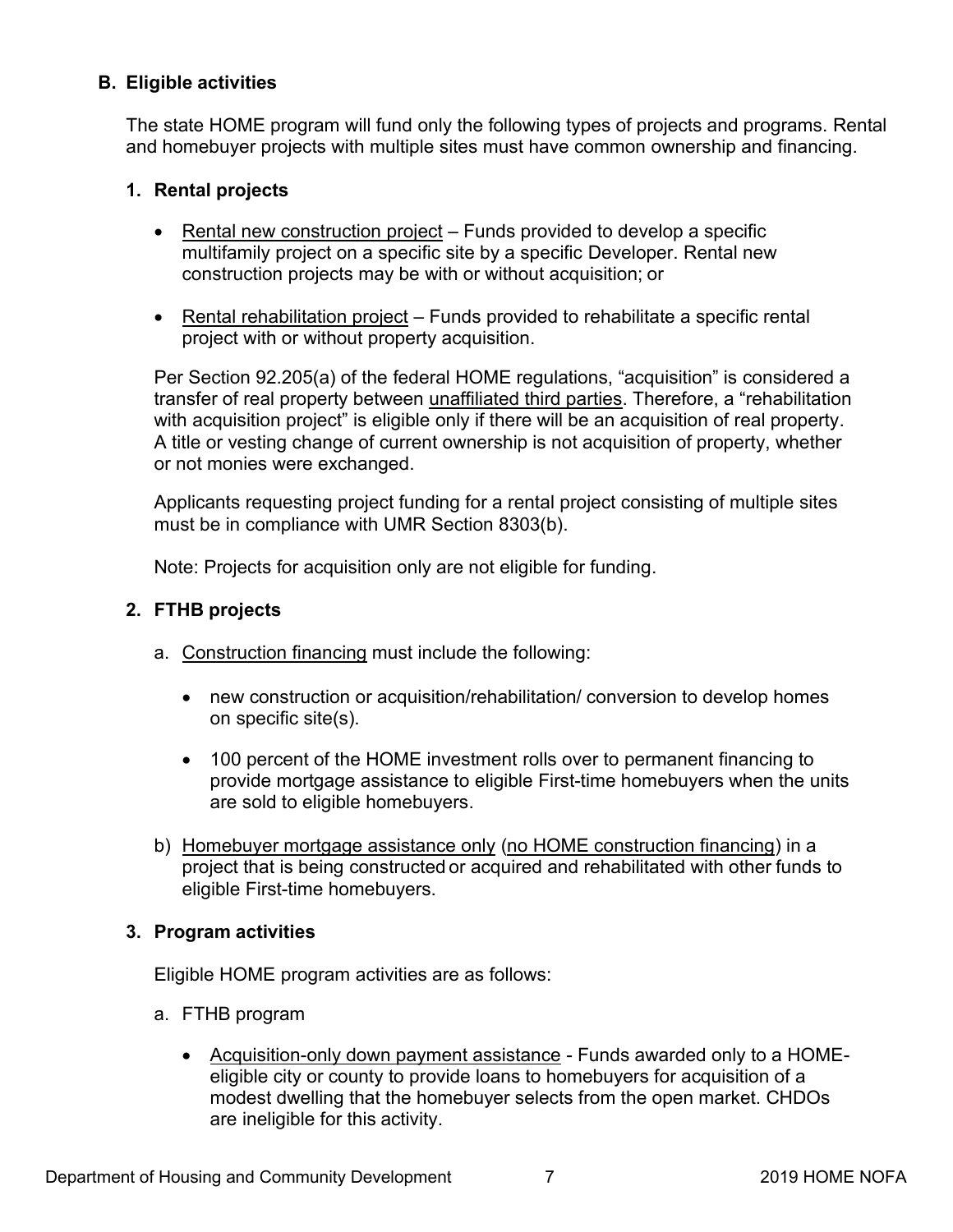# <span id="page-11-0"></span>**B. Eligible activities**

The state HOME program will fund only the following types of projects and programs. Rental and homebuyer projects with multiple sites must have common ownership and financing.

# **1. Rental projects**

- Rental new construction project Funds provided to develop a specific multifamily project on a specific site by a specific Developer. Rental new construction projects may be with or without acquisition; or
- Rental rehabilitation project Funds provided to rehabilitate a specific rental project with or without property acquisition.

Per Section 92.205(a) of the federal HOME regulations, "acquisition" is considered a transfer of real property between unaffiliated third parties. Therefore, a "rehabilitation with acquisition project" is eligible only if there will be an acquisition of real property. A title or vesting change of current ownership is not acquisition of property, whether or not monies were exchanged.

Applicants requesting project funding for a rental project consisting of multiple sites must be in compliance with UMR Section 8303(b).

Note: Projects for acquisition only are not eligible for funding.

# **2. FTHB projects**

- a. Construction financing must include the following:
	- new construction or acquisition/rehabilitation/ conversion to develop homes on specific site(s).
	- 100 percent of the HOME investment rolls over to permanent financing to provide mortgage assistance to eligible First-time homebuyers when the units are sold to eligible homebuyers.
- b) Homebuyer mortgage assistance only (no HOME construction financing) in a project that is being constructed or acquired and rehabilitated with other funds to eligible First-time homebuyers.

# **3. Program activities**

Eligible HOME program activities are as follows:

- a. FTHB program
	- Acquisition-only down payment assistance Funds awarded only to a HOMEeligible city or county to provide loans to homebuyers for acquisition of a modest dwelling that the homebuyer selects from the open market. CHDOs are ineligible for this activity.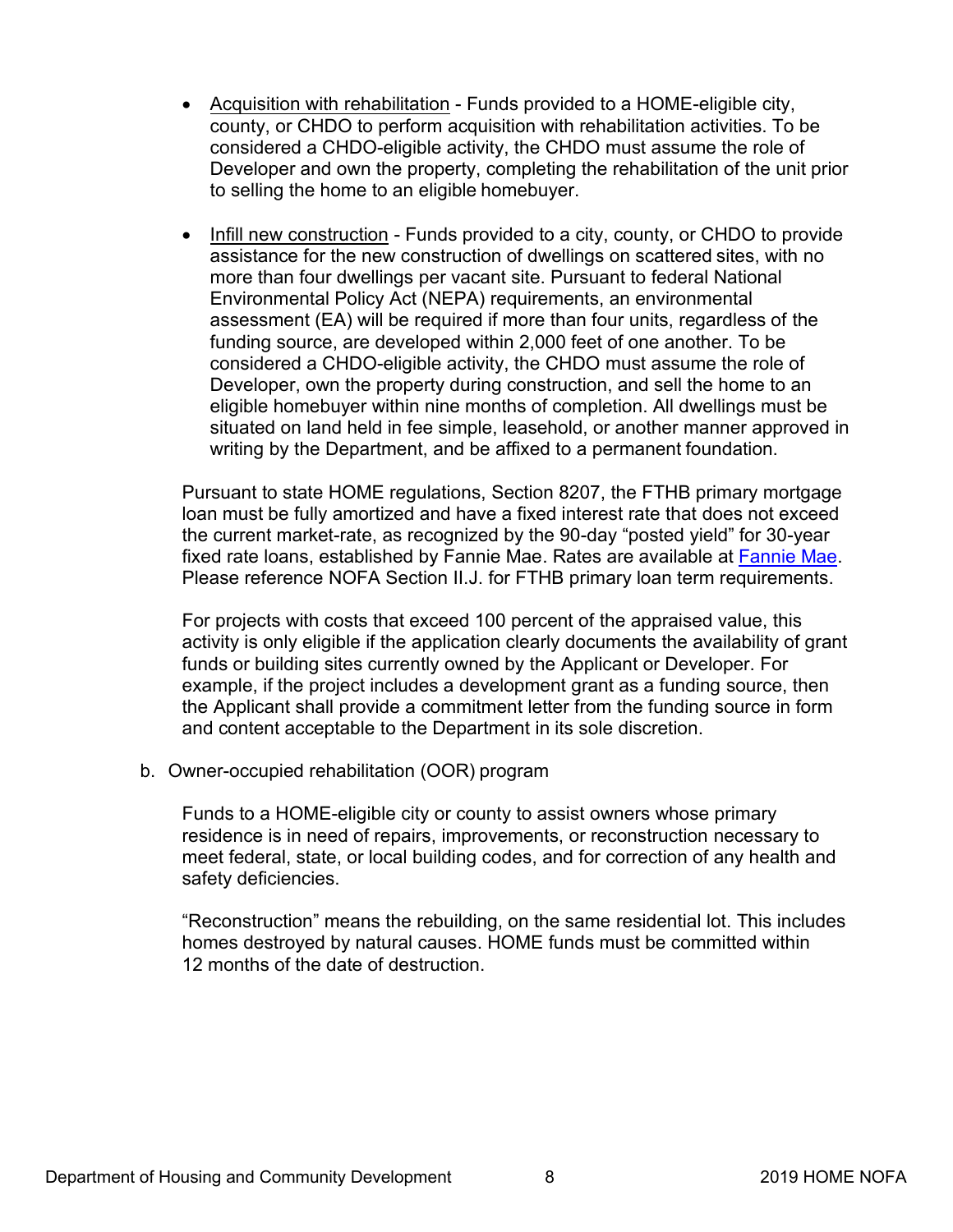- Acquisition with rehabilitation Funds provided to a HOME-eligible city, county, or CHDO to perform acquisition with rehabilitation activities. To be considered a CHDO-eligible activity, the CHDO must assume the role of Developer and own the property, completing the rehabilitation of the unit prior to selling the home to an eligible homebuyer.
- Infill new construction Funds provided to a city, county, or CHDO to provide assistance for the new construction of dwellings on scattered sites, with no more than four dwellings per vacant site. Pursuant to federal National Environmental Policy Act (NEPA) requirements, an environmental assessment (EA) will be required if more than four units, regardless of the funding source, are developed within 2,000 feet of one another. To be considered a CHDO-eligible activity, the CHDO must assume the role of Developer, own the property during construction, and sell the home to an eligible homebuyer within nine months of completion. All dwellings must be situated on land held in fee simple, leasehold, or another manner approved in writing by the Department, and be affixed to a permanent foundation.

Pursuant to state HOME regulations, Section 8207, the FTHB primary mortgage loan must be fully amortized and have a fixed interest rate that does not exceed the current market-rate, as recognized by the 90-day "posted yield" for 30-year fixed rate loans, established by Fannie Mae. Rates are available at [Fannie Mae.](https://www.fanniemae.com/singlefamily/historical-daily-required-net-yields) Please reference NOFA Section II.J. for FTHB primary loan term requirements.

For projects with costs that exceed 100 percent of the appraised value, this activity is only eligible if the application clearly documents the availability of grant funds or building sites currently owned by the Applicant or Developer. For example, if the project includes a development grant as a funding source, then the Applicant shall provide a commitment letter from the funding source in form and content acceptable to the Department in its sole discretion.

b. Owner-occupied rehabilitation (OOR) program

Funds to a HOME-eligible city or county to assist owners whose primary residence is in need of repairs, improvements, or reconstruction necessary to meet federal, state, or local building codes, and for correction of any health and safety deficiencies.

"Reconstruction" means the rebuilding, on the same residential lot. This includes homes destroyed by natural causes. HOME funds must be committed within 12 months of the date of destruction.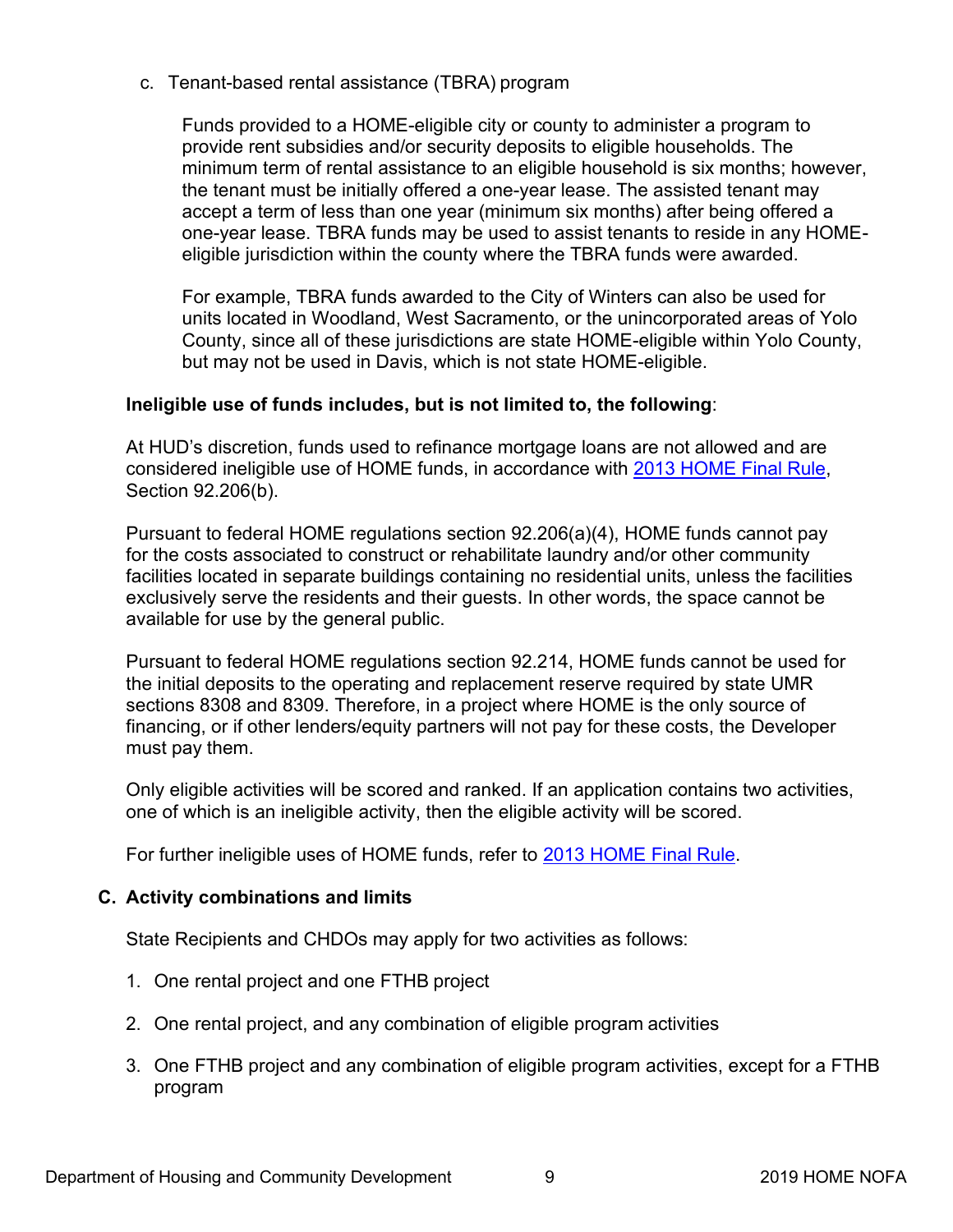<span id="page-13-0"></span>c. Tenant-based rental assistance (TBRA) program

Funds provided to a HOME-eligible city or county to administer a program to provide rent subsidies and/or security deposits to eligible households. The minimum term of rental assistance to an eligible household is six months; however, the tenant must be initially offered a one-year lease. The assisted tenant may accept a term of less than one year (minimum six months) after being offered a one-year lease. TBRA funds may be used to assist tenants to reside in any HOMEeligible jurisdiction within the county where the TBRA funds were awarded.

For example, TBRA funds awarded to the City of Winters can also be used for units located in Woodland, West Sacramento, or the unincorporated areas of Yolo County, since all of these jurisdictions are state HOME-eligible within Yolo County, but may not be used in Davis, which is not state HOME-eligible.

# **Ineligible use of funds includes, but is not limited to, the following**:

At HUD's discretion, funds used to refinance mortgage loans are not allowed and are considered ineligible use of HOME funds, in accordance with [2013 HOME Final Rule,](https://www.hudexchange.info/programs/home/home-final-rule/) Section 92.206(b).

Pursuant to federal HOME regulations section 92.206(a)(4), HOME funds cannot pay for the costs associated to construct or rehabilitate laundry and/or other community facilities located in separate buildings containing no residential units, unless the facilities exclusively serve the residents and their guests. In other words, the space cannot be available for use by the general public.

Pursuant to federal HOME regulations section 92.214, HOME funds cannot be used for the initial deposits to the operating and replacement reserve required by state UMR sections 8308 and 8309. Therefore, in a project where HOME is the only source of financing, or if other lenders/equity partners will not pay for these costs, the Developer must pay them.

Only eligible activities will be scored and ranked. If an application contains two activities, one of which is an ineligible activity, then the eligible activity will be scored.

For further ineligible uses of HOME funds, refer to [2013 HOME Final Rule.](https://www.hudexchange.info/programs/home/home-final-rule/)

# **C. Activity combinations and limits**

State Recipients and CHDOs may apply for two activities as follows:

- 1. One rental project and one FTHB project
- 2. One rental project, and any combination of eligible program activities
- 3. One FTHB project and any combination of eligible program activities, except for a FTHB program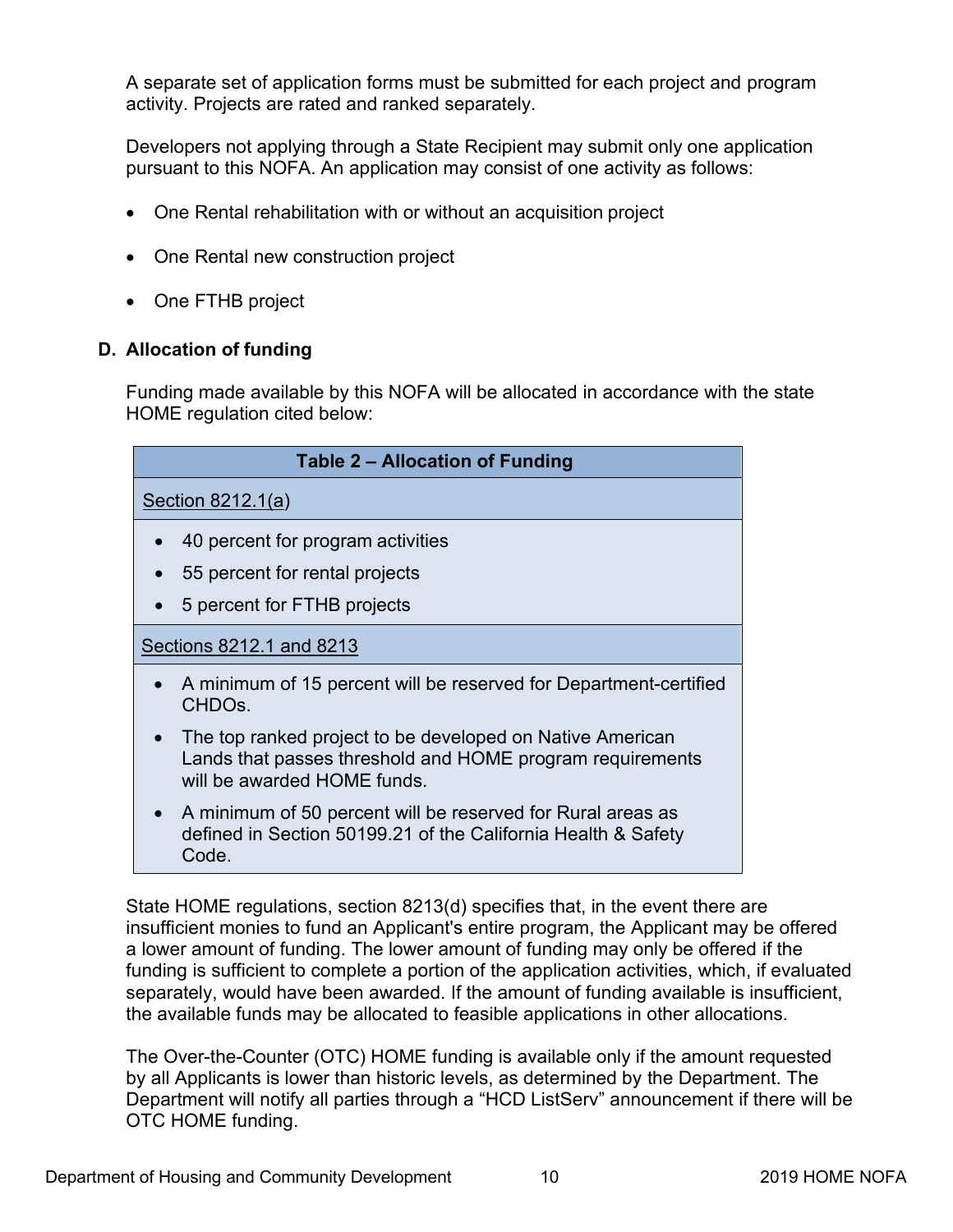<span id="page-14-0"></span>A separate set of application forms must be submitted for each project and program activity. Projects are rated and ranked separately.

Developers not applying through a State Recipient may submit only one application pursuant to this NOFA. An application may consist of one activity as follows:

- One Rental rehabilitation with or without an acquisition project
- One Rental new construction project
- One FTHB project

# **D. Allocation of funding**

Funding made available by this NOFA will be allocated in accordance with the state HOME regulation cited below:

| Table 2 - Allocation of Funding                                                                                                                                    |  |  |
|--------------------------------------------------------------------------------------------------------------------------------------------------------------------|--|--|
| Section $8212.1(a)$                                                                                                                                                |  |  |
| 40 percent for program activities<br>$\bullet$                                                                                                                     |  |  |
| 55 percent for rental projects                                                                                                                                     |  |  |
| 5 percent for FTHB projects<br>$\bullet$                                                                                                                           |  |  |
| Sections 8212.1 and 8213                                                                                                                                           |  |  |
| • A minimum of 15 percent will be reserved for Department-certified<br>CHDO <sub>s.</sub>                                                                          |  |  |
| The top ranked project to be developed on Native American<br>$\bullet$<br>Lands that passes threshold and HOME program requirements<br>will be awarded HOME funds. |  |  |
| A minimum of 50 percent will be reserved for Rural areas as<br>$\bullet$<br>defined in Section 50199.21 of the California Health & Safety<br>Code.                 |  |  |

State HOME regulations, section 8213(d) specifies that, in the event there are insufficient monies to fund an Applicant's entire program, the Applicant may be offered a lower amount of funding. The lower amount of funding may only be offered if the funding is sufficient to complete a portion of the application activities, which, if evaluated separately, would have been awarded. If the amount of funding available is insufficient, the available funds may be allocated to feasible applications in other allocations.

The Over-the-Counter (OTC) HOME funding is available only if the amount requested by all Applicants is lower than historic levels, as determined by the Department. The Department will notify all parties through a "HCD ListServ" announcement if there will be OTC HOME funding.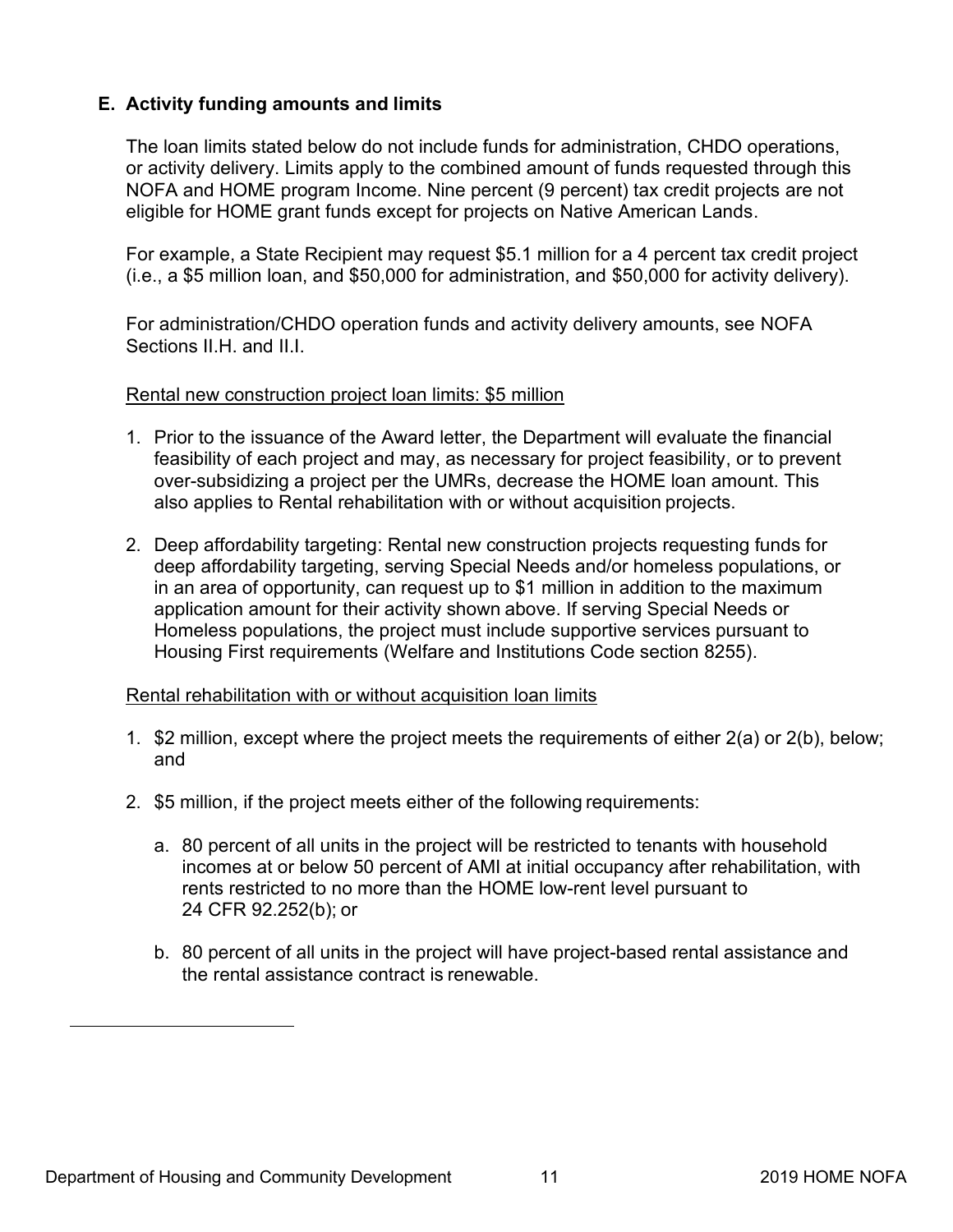# <span id="page-15-0"></span>**E. Activity funding amounts and limits**

The loan limits stated below do not include funds for administration, CHDO operations, or activity delivery. Limits apply to the combined amount of funds requested through this NOFA and HOME program Income. Nine percent (9 percent) tax credit projects are not eligible for HOME grant funds except for projects on Native American Lands.

For example, a State Recipient may request \$5.1 million for a 4 percent tax credit project (i.e., a \$5 million loan, and \$50,000 for administration, and \$50,000 for activity delivery).

For administration/CHDO operation funds and activity delivery amounts, see NOFA Sections II.H. and II.I.

#### Rental new construction project loan limits: \$5 million

- 1. Prior to the issuance of the Award letter, the Department will evaluate the financial feasibility of each project and may, as necessary for project feasibility, or to prevent over-subsidizing a project per the UMRs, decrease the HOME loan amount. This also applies to Rental rehabilitation with or without acquisition projects.
- 2. Deep affordability targeting: Rental new construction projects requesting funds for deep affordability targeting, serving Special Needs and/or homeless populations, or in an area of opportunity, can request up to \$1 million in addition to the maximum application amount for their activity shown above. If serving Special Needs or Homeless populations, the project must include supportive services pursuant to Housing First requirements (Welfare and Institutions Code section 8255).

#### Rental rehabilitation with or without acquisition loan limits

- 1. \$2 million, except where the project meets the requirements of either 2(a) or 2(b), below; and
- 2. \$5 million, if the project meets either of the following requirements:
	- a. 80 percent of all units in the project will be restricted to tenants with household incomes at or below 50 percent of AMI at initial occupancy after rehabilitation, with rents restricted to no more than the HOME low-rent level pursuant to 24 CFR 92.252(b); or
	- b. 80 percent of all units in the project will have project-based rental assistance and the rental assistance contract is renewable.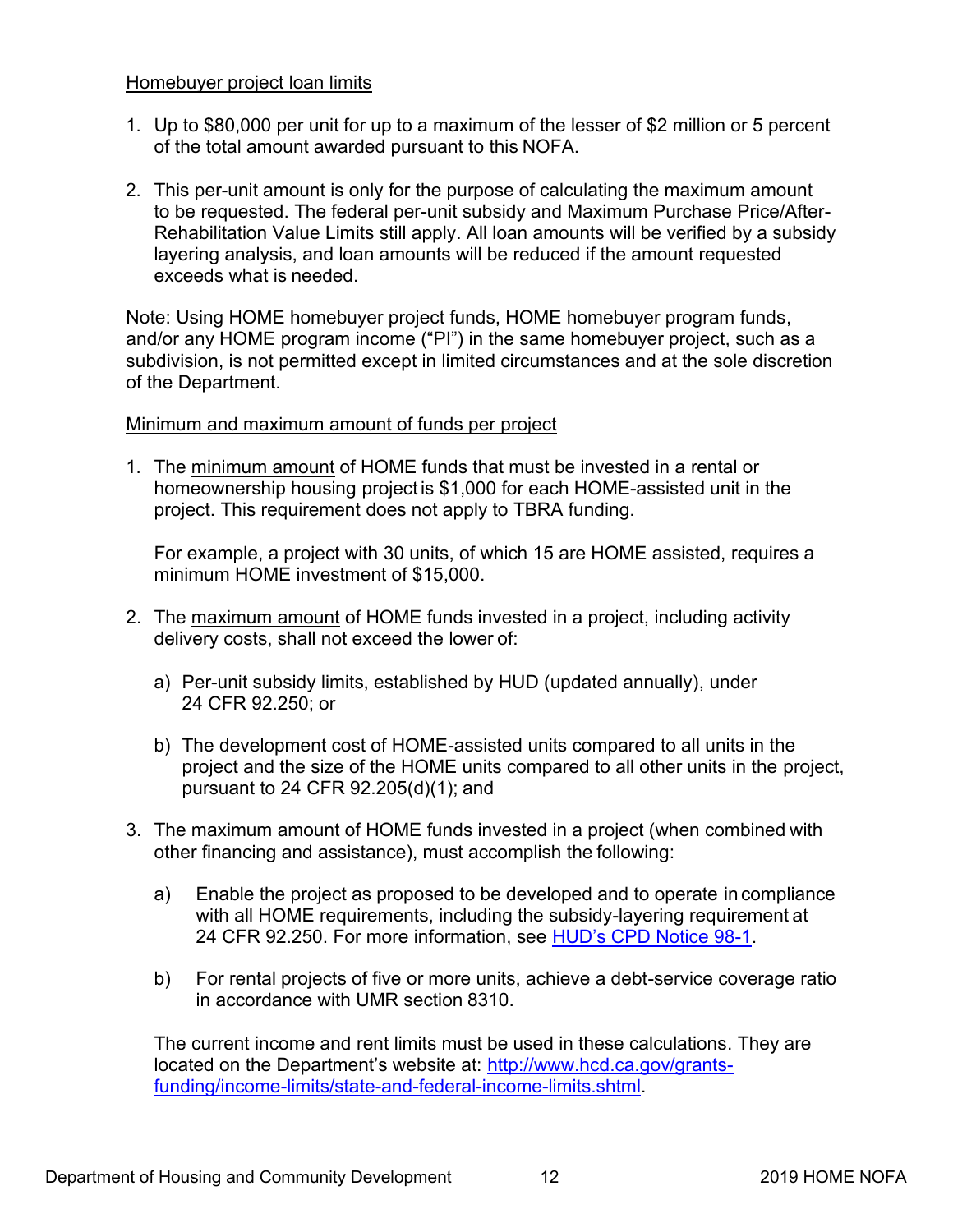# Homebuyer project loan limits

- 1. Up to \$80,000 per unit for up to a maximum of the lesser of \$2 million or 5 percent of the total amount awarded pursuant to this NOFA.
- 2. This per-unit amount is only for the purpose of calculating the maximum amount to be requested. The federal per-unit subsidy and Maximum Purchase Price/After-Rehabilitation Value Limits still apply. All loan amounts will be verified by a subsidy layering analysis, and loan amounts will be reduced if the amount requested exceeds what is needed.

Note: Using HOME homebuyer project funds, HOME homebuyer program funds, and/or any HOME program income ("PI") in the same homebuyer project, such as a subdivision, is not permitted except in limited circumstances and at the sole discretion of the Department.

# Minimum and maximum amount of funds per project

1. The minimum amount of HOME funds that must be invested in a rental or homeownership housing project is \$1,000 for each HOME-assisted unit in the project. This requirement does not apply to TBRA funding.

For example, a project with 30 units, of which 15 are HOME assisted, requires a minimum HOME investment of \$15,000.

- 2. The maximum amount of HOME funds invested in a project, including activity delivery costs, shall not exceed the lower of:
	- a) Per-unit subsidy limits, established by HUD (updated annually), under 24 CFR 92.250; or
	- b) The development cost of HOME-assisted units compared to all units in the project and the size of the HOME units compared to all other units in the project, pursuant to 24 CFR 92.205(d)(1); and
- 3. The maximum amount of HOME funds invested in a project (when combined with other financing and assistance), must accomplish the following:
	- a) Enable the project as proposed to be developed and to operate in compliance with all HOME requirements, including the subsidy-layering requirement at 24 CFR 92.250. For more information, see [HUD's CPD Notice 98-1.](https://www.hudexchange.info/programs/home/home-cpd-notices/#1998)
	- b) For rental projects of five or more units, achieve a debt-service coverage ratio in accordance with UMR section 8310.

The current income and rent limits must be used in these calculations. They are located on the Department's website at: [http://www.hcd.ca.gov/grants](http://www.hcd.ca.gov/grants-funding/income-limits/state-and-federal-income-limits.shtml)funding/income-limits/state-and-federal-income-limits.shtml.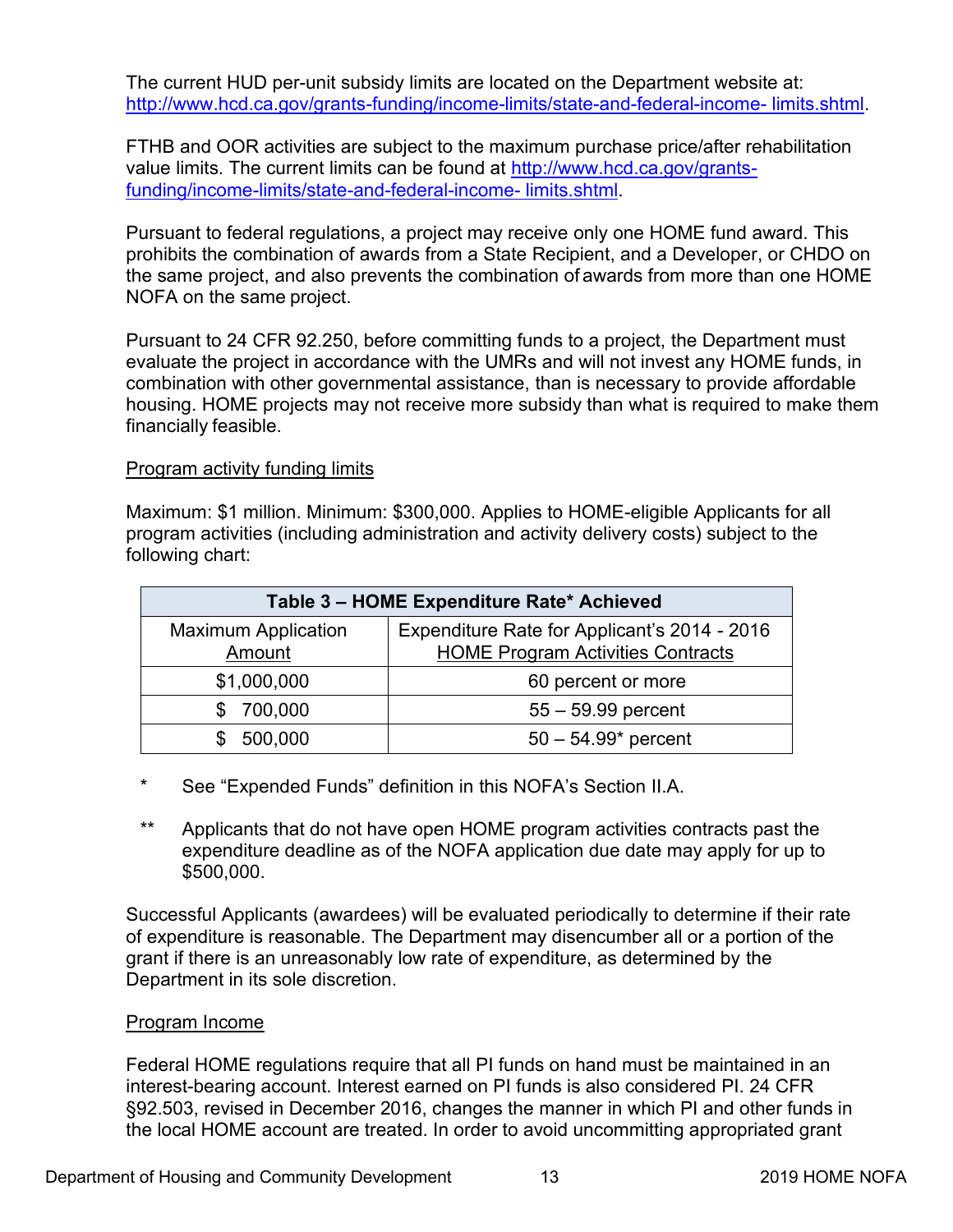The current HUD per-unit subsidy limits are located on the Department website at: [http://www.hcd.ca.gov/grants-funding/income-limits/state-and-federal-income-](http://www.hcd.ca.gov/grants-funding/income-limits/state-and-federal-income-limits.shtml) limits.shtml.

FTHB and OOR activities are subject to the maximum purchase price/after rehabilitation value limits. The current limits can be found at [http://www.hcd.ca.gov/grants](http://www.hcd.ca.gov/grants-funding/income-limits/state-and-federal-income-limits.shtml)funding/income-limits/state-and-federal-income- limits.shtml.

Pursuant to federal regulations, a project may receive only one HOME fund award. This prohibits the combination of awards from a State Recipient, and a Developer, or CHDO on the same project, and also prevents the combination of awards from more than one HOME NOFA on the same project.

Pursuant to 24 CFR 92.250, before committing funds to a project, the Department must evaluate the project in accordance with the UMRs and will not invest any HOME funds, in combination with other governmental assistance, than is necessary to provide affordable housing. HOME projects may not receive more subsidy than what is required to make them financially feasible.

# Program activity funding limits

Maximum: \$1 million. Minimum: \$300,000. Applies to HOME-eligible Applicants for all program activities (including administration and activity delivery costs) subject to the following chart:

| Table 3 - HOME Expenditure Rate* Achieved |                                                                                          |  |
|-------------------------------------------|------------------------------------------------------------------------------------------|--|
| <b>Maximum Application</b><br>Amount      | Expenditure Rate for Applicant's 2014 - 2016<br><b>HOME Program Activities Contracts</b> |  |
| \$1,000,000                               | 60 percent or more                                                                       |  |
| 700,000                                   | $55 - 59.99$ percent                                                                     |  |
| 500,000                                   | $50 - 54.99*$ percent                                                                    |  |

- \* See "Expended Funds" definition in this NOFA's Section II.A.
- \*\* Applicants that do not have open HOME program activities contracts past the expenditure deadline as of the NOFA application due date may apply for up to \$500,000.

Successful Applicants (awardees) will be evaluated periodically to determine if their rate of expenditure is reasonable. The Department may disencumber all or a portion of the grant if there is an unreasonably low rate of expenditure, as determined by the Department in its sole discretion.

# Program Income

Federal HOME regulations require that all PI funds on hand must be maintained in an interest-bearing account. Interest earned on PI funds is also considered PI. 24 CFR §92.503, revised in December 2016, changes the manner in which PI and other funds in the local HOME account are treated. In order to avoid uncommitting appropriated grant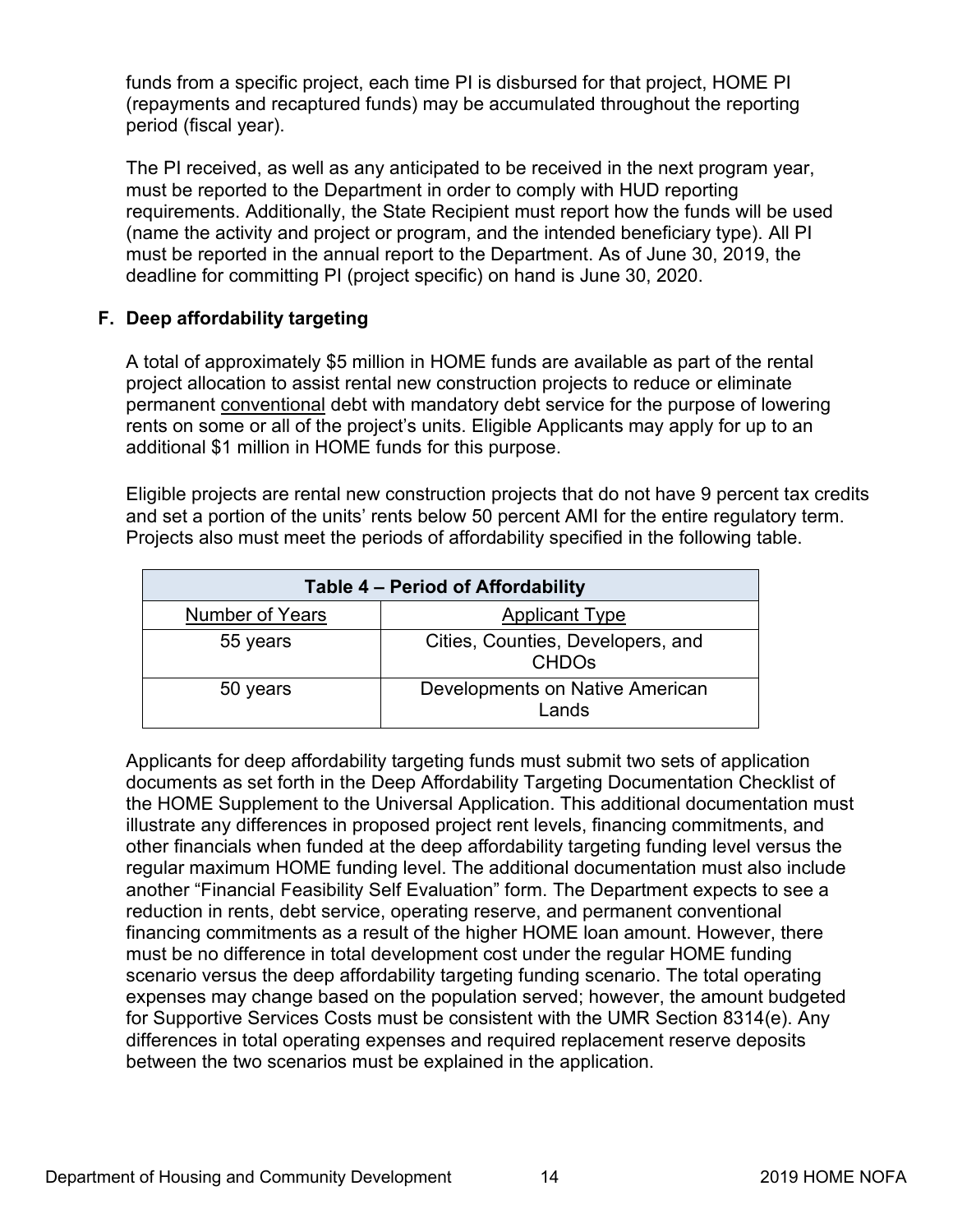<span id="page-18-0"></span>funds from a specific project, each time PI is disbursed for that project, HOME PI (repayments and recaptured funds) may be accumulated throughout the reporting period (fiscal year).

The PI received, as well as any anticipated to be received in the next program year, must be reported to the Department in order to comply with HUD reporting requirements. Additionally, the State Recipient must report how the funds will be used (name the activity and project or program, and the intended beneficiary type). All PI must be reported in the annual report to the Department. As of June 30, 2019, the deadline for committing PI (project specific) on hand is June 30, 2020.

# **F. Deep affordability targeting**

A total of approximately \$5 million in HOME funds are available as part of the rental project allocation to assist rental new construction projects to reduce or eliminate permanent conventional debt with mandatory debt service for the purpose of lowering rents on some or all of the project's units. Eligible Applicants may apply for up to an additional \$1 million in HOME funds for this purpose.

Eligible projects are rental new construction projects that do not have 9 percent tax credits and set a portion of the units' rents below 50 percent AMI for the entire regulatory term. Projects also must meet the periods of affordability specified in the following table.

| Table 4 – Period of Affordability |                                                              |  |
|-----------------------------------|--------------------------------------------------------------|--|
| <b>Number of Years</b>            | <b>Applicant Type</b>                                        |  |
| 55 years                          | Cities, Counties, Developers, and<br><b>CHDO<sub>s</sub></b> |  |
| 50 years                          | Developments on Native American<br>Lands                     |  |

Applicants for deep affordability targeting funds must submit two sets of application documents as set forth in the Deep Affordability Targeting Documentation Checklist of the HOME Supplement to the Universal Application. This additional documentation must illustrate any differences in proposed project rent levels, financing commitments, and other financials when funded at the deep affordability targeting funding level versus the regular maximum HOME funding level. The additional documentation must also include another "Financial Feasibility Self Evaluation" form. The Department expects to see a reduction in rents, debt service, operating reserve, and permanent conventional financing commitments as a result of the higher HOME loan amount. However, there must be no difference in total development cost under the regular HOME funding scenario versus the deep affordability targeting funding scenario. The total operating expenses may change based on the population served; however, the amount budgeted for Supportive Services Costs must be consistent with the UMR Section 8314(e). Any differences in total operating expenses and required replacement reserve deposits between the two scenarios must be explained in the application.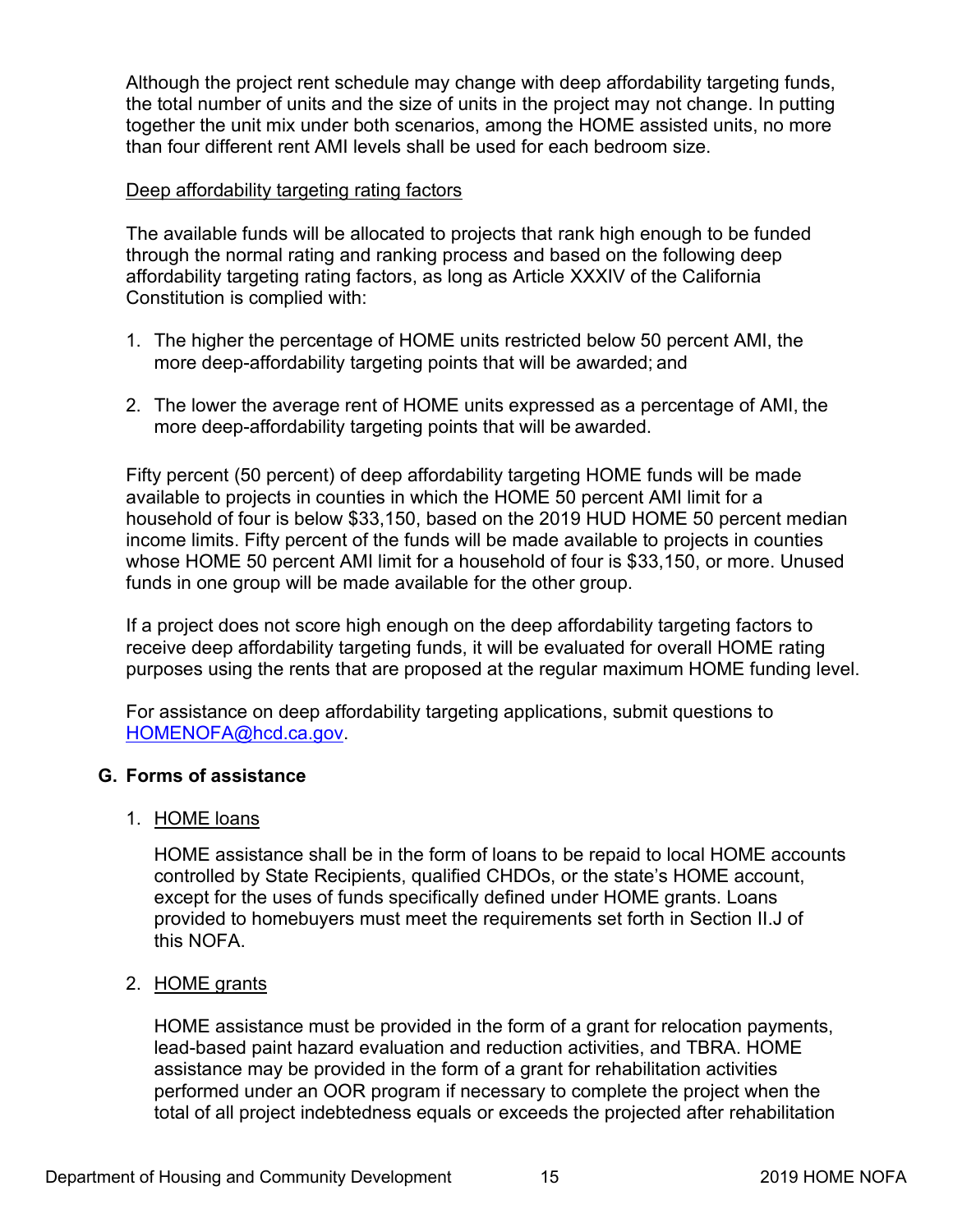<span id="page-19-0"></span>Although the project rent schedule may change with deep affordability targeting funds, the total number of units and the size of units in the project may not change. In putting together the unit mix under both scenarios, among the HOME assisted units, no more than four different rent AMI levels shall be used for each bedroom size.

# Deep affordability targeting rating factors

The available funds will be allocated to projects that rank high enough to be funded through the normal rating and ranking process and based on the following deep affordability targeting rating factors, as long as Article XXXIV of the California Constitution is complied with:

- 1. The higher the percentage of HOME units restricted below 50 percent AMI, the more deep-affordability targeting points that will be awarded; and
- 2. The lower the average rent of HOME units expressed as a percentage of AMI, the more deep-affordability targeting points that will be awarded.

Fifty percent (50 percent) of deep affordability targeting HOME funds will be made available to projects in counties in which the HOME 50 percent AMI limit for a household of four is below \$33,150, based on the 2019 HUD HOME 50 percent median income limits. Fifty percent of the funds will be made available to projects in counties whose HOME 50 percent AMI limit for a household of four is \$33,150, or more. Unused funds in one group will be made available for the other group.

If a project does not score high enough on the deep affordability targeting factors to receive deep affordability targeting funds, it will be evaluated for overall HOME rating purposes using the rents that are proposed at the regular maximum HOME funding level.

For assistance on deep affordability targeting applications, submit questions to [HOMENOFA@hcd.ca.gov.](mailto:HOMENOFA@hcd.ca.gov)

# **G. Forms of assistance**

# 1. HOME loans

HOME assistance shall be in the form of loans to be repaid to local HOME accounts controlled by State Recipients, qualified CHDOs, or the state's HOME account, except for the uses of funds specifically defined under HOME grants. Loans provided to homebuyers must meet the requirements set forth in Section II.J of this NOFA.

# 2. HOME grants

HOME assistance must be provided in the form of a grant for relocation payments, lead-based paint hazard evaluation and reduction activities, and TBRA. HOME assistance may be provided in the form of a grant for rehabilitation activities performed under an OOR program if necessary to complete the project when the total of all project indebtedness equals or exceeds the projected after rehabilitation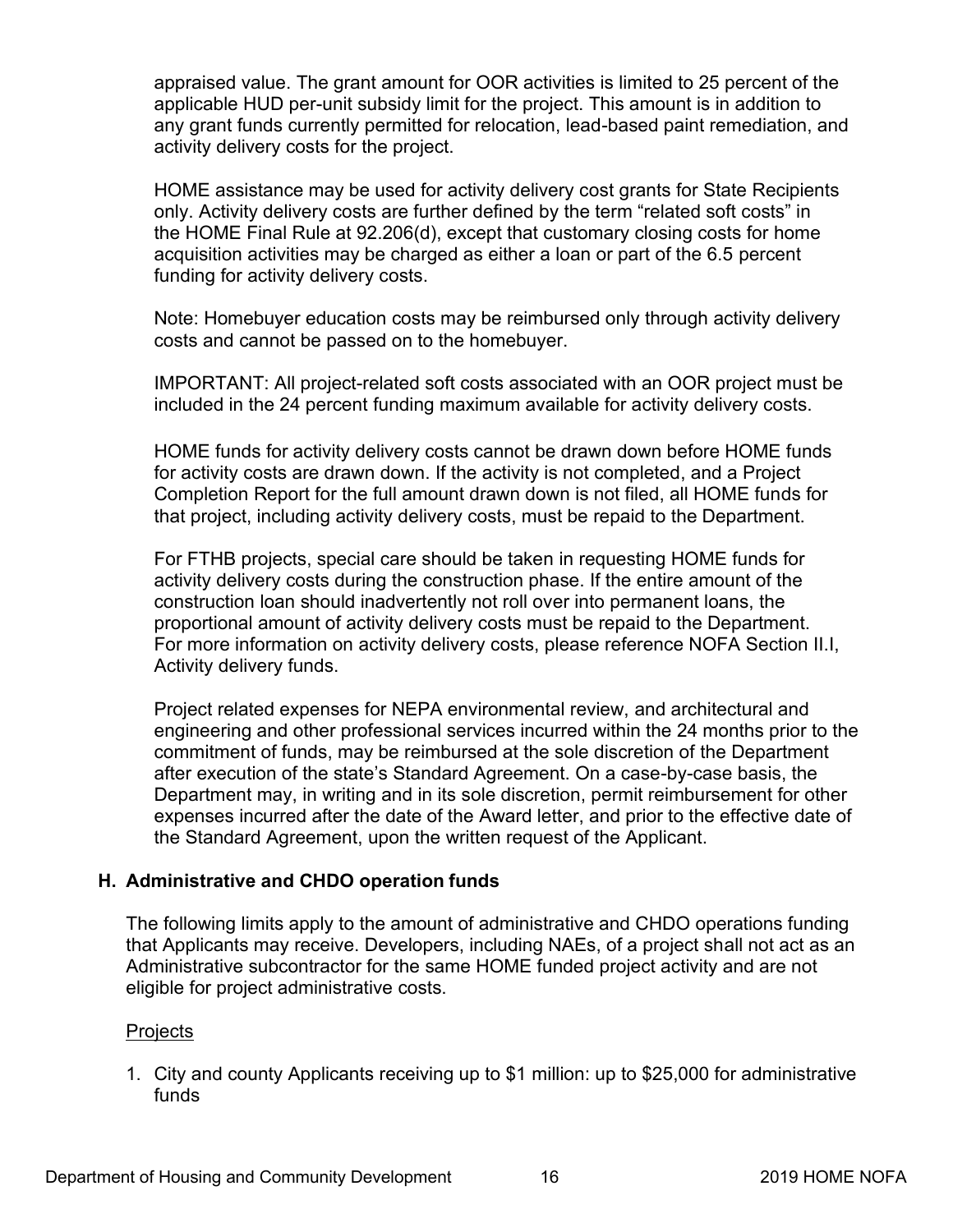<span id="page-20-0"></span>appraised value. The grant amount for OOR activities is limited to 25 percent of the applicable HUD per-unit subsidy limit for the project. This amount is in addition to any grant funds currently permitted for relocation, lead-based paint remediation, and activity delivery costs for the project.

HOME assistance may be used for activity delivery cost grants for State Recipients only. Activity delivery costs are further defined by the term "related soft costs" in the HOME Final Rule at 92.206(d), except that customary closing costs for home acquisition activities may be charged as either a loan or part of the 6.5 percent funding for activity delivery costs.

Note: Homebuyer education costs may be reimbursed only through activity delivery costs and cannot be passed on to the homebuyer.

IMPORTANT: All project-related soft costs associated with an OOR project must be included in the 24 percent funding maximum available for activity delivery costs.

HOME funds for activity delivery costs cannot be drawn down before HOME funds for activity costs are drawn down. If the activity is not completed, and a Project Completion Report for the full amount drawn down is not filed, all HOME funds for that project, including activity delivery costs, must be repaid to the Department.

For FTHB projects, special care should be taken in requesting HOME funds for activity delivery costs during the construction phase. If the entire amount of the construction loan should inadvertently not roll over into permanent loans, the proportional amount of activity delivery costs must be repaid to the Department. For more information on activity delivery costs, please reference NOFA Section II.I, Activity delivery funds.

Project related expenses for NEPA environmental review, and architectural and engineering and other professional services incurred within the 24 months prior to the commitment of funds, may be reimbursed at the sole discretion of the Department after execution of the state's Standard Agreement. On a case-by-case basis, the Department may, in writing and in its sole discretion, permit reimbursement for other expenses incurred after the date of the Award letter, and prior to the effective date of the Standard Agreement, upon the written request of the Applicant.

# **H. Administrative and CHDO operation funds**

The following limits apply to the amount of administrative and CHDO operations funding that Applicants may receive. Developers, including NAEs, of a project shall not act as an Administrative subcontractor for the same HOME funded project activity and are not eligible for project administrative costs.

# **Projects**

1. City and county Applicants receiving up to \$1 million: up to \$25,000 for administrative funds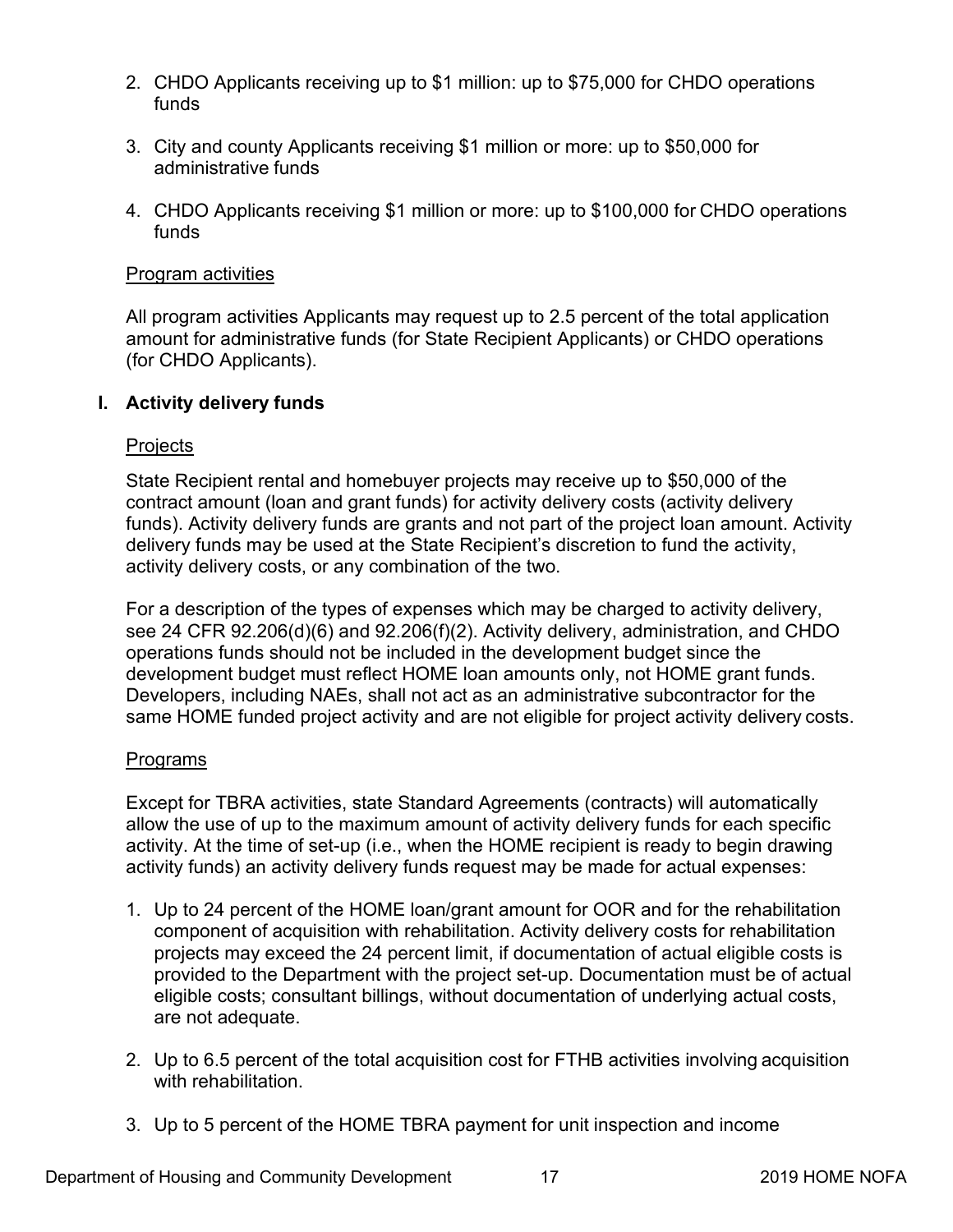- <span id="page-21-0"></span>2. CHDO Applicants receiving up to \$1 million: up to \$75,000 for CHDO operations funds
- 3. City and county Applicants receiving \$1 million or more: up to \$50,000 for administrative funds
- 4. CHDO Applicants receiving \$1 million or more: up to \$100,000 for CHDO operations funds

#### Program activities

All program activities Applicants may request up to 2.5 percent of the total application amount for administrative funds (for State Recipient Applicants) or CHDO operations (for CHDO Applicants).

# **I. Activity delivery funds**

#### **Projects**

State Recipient rental and homebuyer projects may receive up to \$50,000 of the contract amount (loan and grant funds) for activity delivery costs (activity delivery funds). Activity delivery funds are grants and not part of the project loan amount. Activity delivery funds may be used at the State Recipient's discretion to fund the activity, activity delivery costs, or any combination of the two.

For a description of the types of expenses which may be charged to activity delivery, see 24 CFR 92.206(d)(6) and 92.206(f)(2). Activity delivery, administration, and CHDO operations funds should not be included in the development budget since the development budget must reflect HOME loan amounts only, not HOME grant funds. Developers, including NAEs, shall not act as an administrative subcontractor for the same HOME funded project activity and are not eligible for project activity delivery costs.

# **Programs**

Except for TBRA activities, state Standard Agreements (contracts) will automatically allow the use of up to the maximum amount of activity delivery funds for each specific activity. At the time of set-up (i.e., when the HOME recipient is ready to begin drawing activity funds) an activity delivery funds request may be made for actual expenses:

- 1. Up to 24 percent of the HOME loan/grant amount for OOR and for the rehabilitation component of acquisition with rehabilitation. Activity delivery costs for rehabilitation projects may exceed the 24 percent limit, if documentation of actual eligible costs is provided to the Department with the project set-up. Documentation must be of actual eligible costs; consultant billings, without documentation of underlying actual costs, are not adequate.
- 2. Up to 6.5 percent of the total acquisition cost for FTHB activities involving acquisition with rehabilitation.
- 3. Up to 5 percent of the HOME TBRA payment for unit inspection and income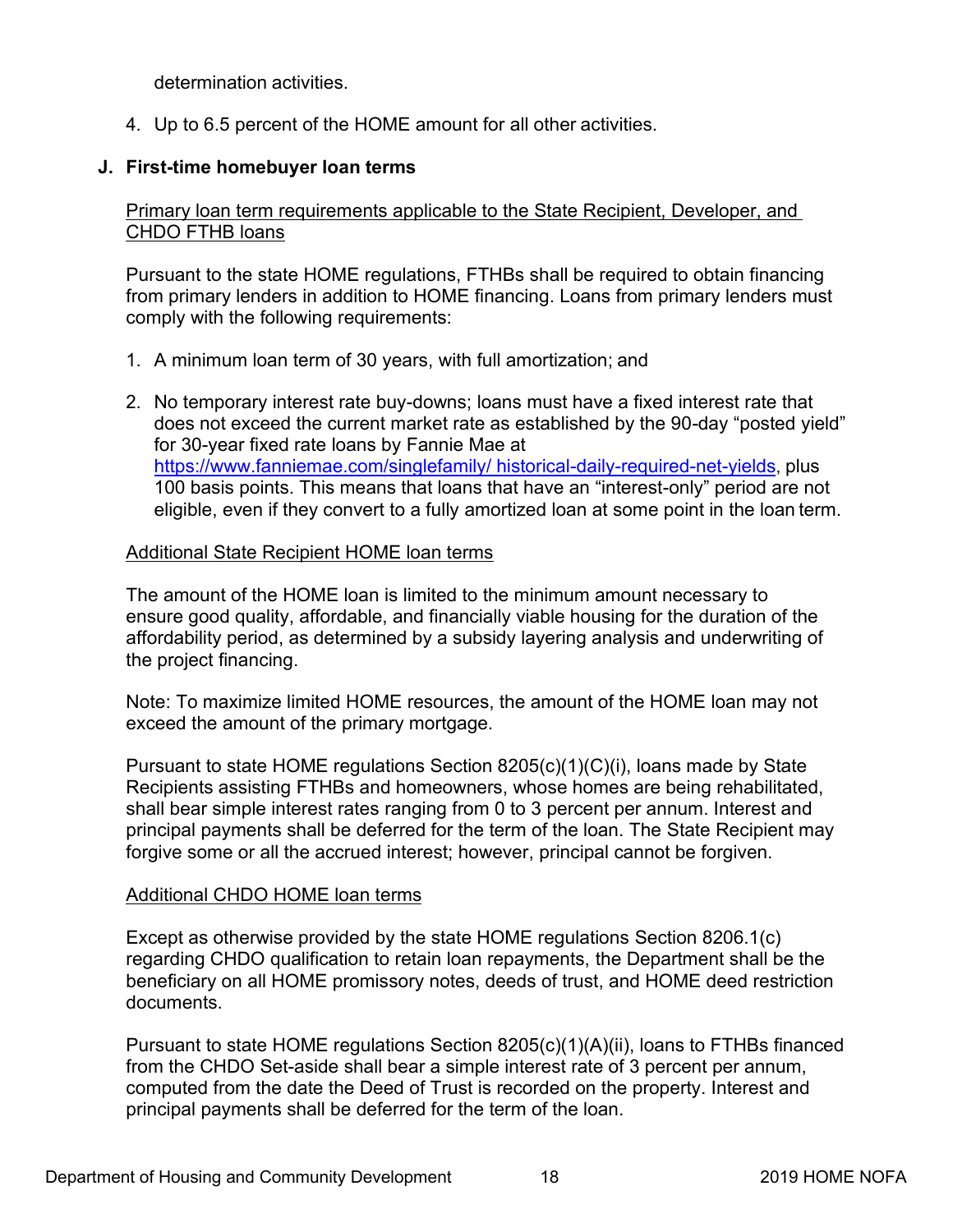<span id="page-22-0"></span>determination activities.

4. Up to 6.5 percent of the HOME amount for all other activities.

# **J. First-time homebuyer loan terms**

# Primary loan term requirements applicable to the State Recipient, Developer, and CHDO FTHB loans

Pursuant to the state HOME regulations, FTHBs shall be required to obtain financing from primary lenders in addition to HOME financing. Loans from primary lenders must comply with the following requirements:

- 1. A minimum loan term of 30 years, with full amortization; and
- 2. No temporary interest rate buy-downs; loans must have a fixed interest rate that does not exceed the current market rate as established by the 90-day "posted yield" for 30-year fixed rate loans by Fannie Mae at [https://www.fanniemae.com/singlefamily/ historical-daily-required-net-yields](https://www.fanniemae.com/singlefamily/historical-daily-required-net-yields), plus 100 basis points. This means that loans that have an "interest-only" period are not eligible, even if they convert to a fully amortized loan at some point in the loan term.

#### Additional State Recipient HOME loan terms

The amount of the HOME loan is limited to the minimum amount necessary to ensure good quality, affordable, and financially viable housing for the duration of the affordability period, as determined by a subsidy layering analysis and underwriting of the project financing.

Note: To maximize limited HOME resources, the amount of the HOME loan may not exceed the amount of the primary mortgage.

Pursuant to state HOME regulations Section 8205(c)(1)(C)(i), loans made by State Recipients assisting FTHBs and homeowners, whose homes are being rehabilitated, shall bear simple interest rates ranging from 0 to 3 percent per annum. Interest and principal payments shall be deferred for the term of the loan. The State Recipient may forgive some or all the accrued interest; however, principal cannot be forgiven.

# Additional CHDO HOME loan terms

Except as otherwise provided by the state HOME regulations Section 8206.1(c) regarding CHDO qualification to retain loan repayments, the Department shall be the beneficiary on all HOME promissory notes, deeds of trust, and HOME deed restriction documents.

Pursuant to state HOME regulations Section 8205(c)(1)(A)(ii), loans to FTHBs financed from the CHDO Set-aside shall bear a simple interest rate of 3 percent per annum, computed from the date the Deed of Trust is recorded on the property. Interest and principal payments shall be deferred for the term of the loan.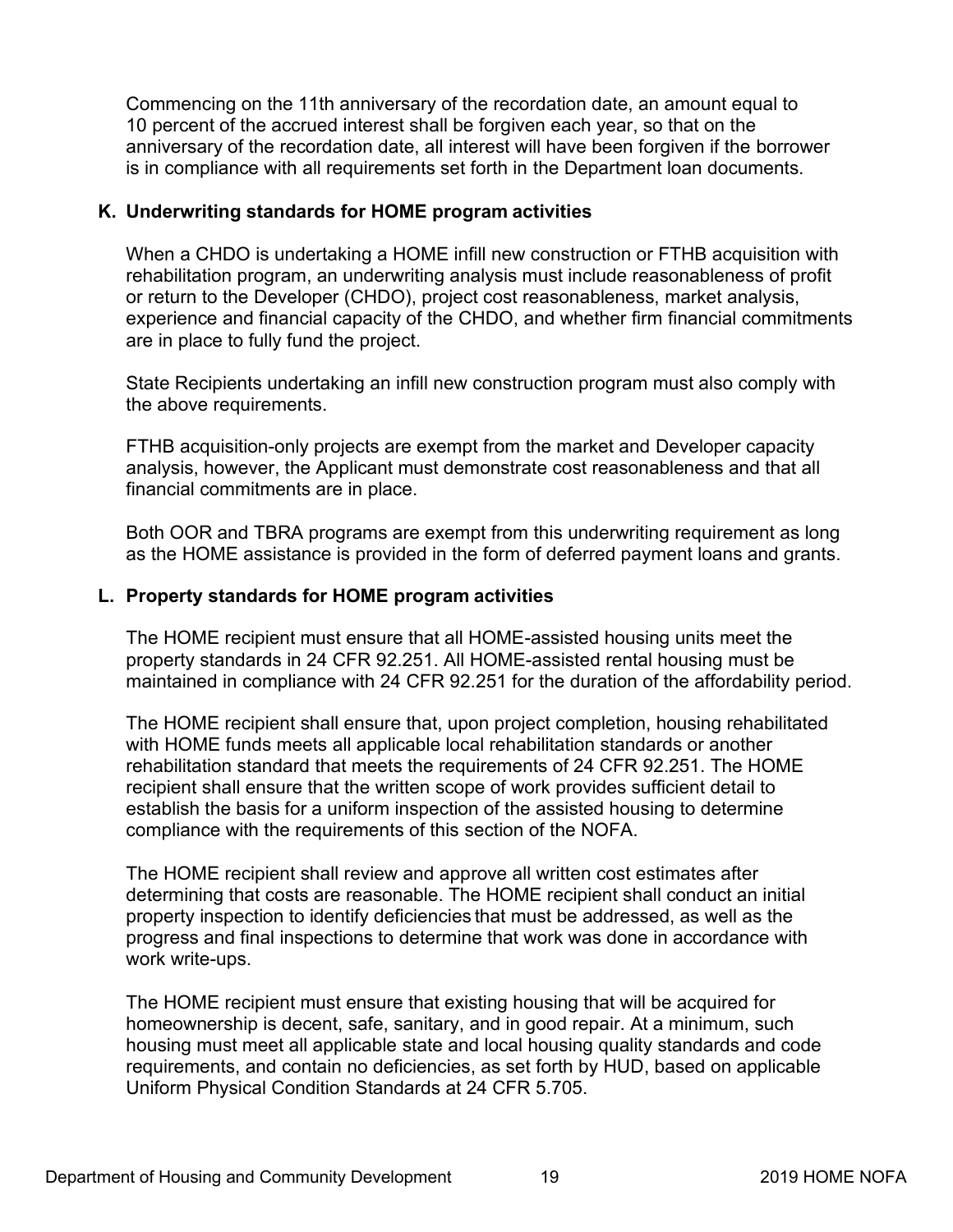<span id="page-23-0"></span>Commencing on the 11th anniversary of the recordation date, an amount equal to 10 percent of the accrued interest shall be forgiven each year, so that on the anniversary of the recordation date, all interest will have been forgiven if the borrower is in compliance with all requirements set forth in the Department loan documents.

# **K. Underwriting standards for HOME program activities**

When a CHDO is undertaking a HOME infill new construction or FTHB acquisition with rehabilitation program, an underwriting analysis must include reasonableness of profit or return to the Developer (CHDO), project cost reasonableness, market analysis, experience and financial capacity of the CHDO, and whether firm financial commitments are in place to fully fund the project.

State Recipients undertaking an infill new construction program must also comply with the above requirements.

FTHB acquisition-only projects are exempt from the market and Developer capacity analysis, however, the Applicant must demonstrate cost reasonableness and that all financial commitments are in place.

Both OOR and TBRA programs are exempt from this underwriting requirement as long as the HOME assistance is provided in the form of deferred payment loans and grants.

# **L. Property standards for HOME program activities**

The HOME recipient must ensure that all HOME-assisted housing units meet the property standards in 24 CFR 92.251. All HOME-assisted rental housing must be maintained in compliance with 24 CFR 92.251 for the duration of the affordability period.

The HOME recipient shall ensure that, upon project completion, housing rehabilitated with HOME funds meets all applicable local rehabilitation standards or another rehabilitation standard that meets the requirements of 24 CFR 92.251. The HOME recipient shall ensure that the written scope of work provides sufficient detail to establish the basis for a uniform inspection of the assisted housing to determine compliance with the requirements of this section of the NOFA.

The HOME recipient shall review and approve all written cost estimates after determining that costs are reasonable. The HOME recipient shall conduct an initial property inspection to identify deficiencies that must be addressed, as well as the progress and final inspections to determine that work was done in accordance with work write-ups.

The HOME recipient must ensure that existing housing that will be acquired for homeownership is decent, safe, sanitary, and in good repair. At a minimum, such housing must meet all applicable state and local housing quality standards and code requirements, and contain no deficiencies, as set forth by HUD, based on applicable Uniform Physical Condition Standards at 24 CFR 5.705.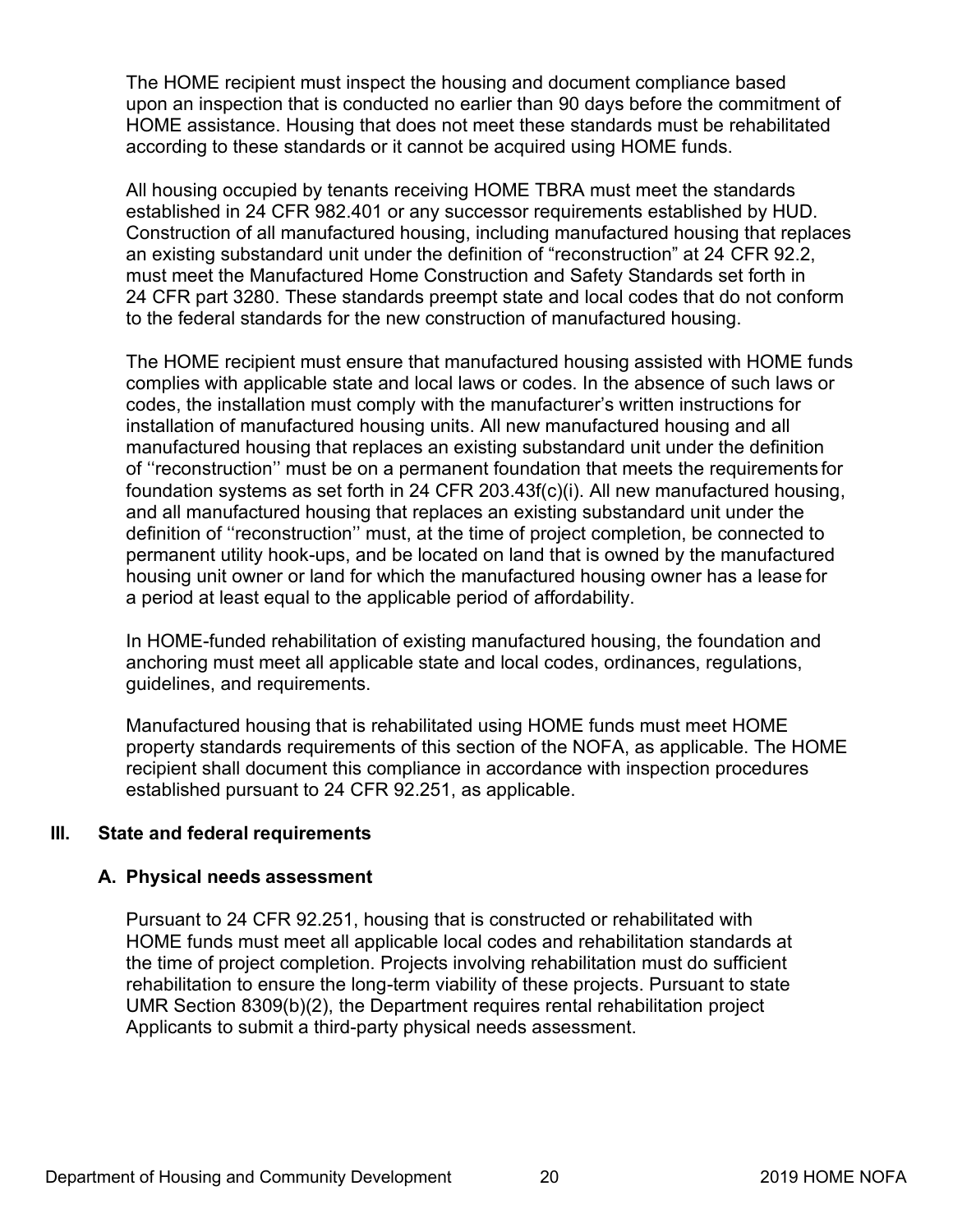<span id="page-24-0"></span>The HOME recipient must inspect the housing and document compliance based upon an inspection that is conducted no earlier than 90 days before the commitment of HOME assistance. Housing that does not meet these standards must be rehabilitated according to these standards or it cannot be acquired using HOME funds.

All housing occupied by tenants receiving HOME TBRA must meet the standards established in 24 CFR 982.401 or any successor requirements established by HUD. Construction of all manufactured housing, including manufactured housing that replaces an existing substandard unit under the definition of "reconstruction" at 24 CFR 92.2, must meet the Manufactured Home Construction and Safety Standards set forth in 24 CFR part 3280. These standards preempt state and local codes that do not conform to the federal standards for the new construction of manufactured housing.

The HOME recipient must ensure that manufactured housing assisted with HOME funds complies with applicable state and local laws or codes. In the absence of such laws or codes, the installation must comply with the manufacturer's written instructions for installation of manufactured housing units. All new manufactured housing and all manufactured housing that replaces an existing substandard unit under the definition of ''reconstruction'' must be on a permanent foundation that meets the requirements for foundation systems as set forth in 24 CFR 203.43f(c)(i). All new manufactured housing, and all manufactured housing that replaces an existing substandard unit under the definition of ''reconstruction'' must, at the time of project completion, be connected to permanent utility hook-ups, and be located on land that is owned by the manufactured housing unit owner or land for which the manufactured housing owner has a lease for a period at least equal to the applicable period of affordability.

In HOME-funded rehabilitation of existing manufactured housing, the foundation and anchoring must meet all applicable state and local codes, ordinances, regulations, guidelines, and requirements.

Manufactured housing that is rehabilitated using HOME funds must meet HOME property standards requirements of this section of the NOFA, as applicable. The HOME recipient shall document this compliance in accordance with inspection procedures established pursuant to 24 CFR 92.251, as applicable.

# **III. State and federal requirements**

# **A. Physical needs assessment**

Pursuant to 24 CFR 92.251, housing that is constructed or rehabilitated with HOME funds must meet all applicable local codes and rehabilitation standards at the time of project completion. Projects involving rehabilitation must do sufficient rehabilitation to ensure the long-term viability of these projects. Pursuant to state UMR Section 8309(b)(2), the Department requires rental rehabilitation project Applicants to submit a third-party physical needs assessment.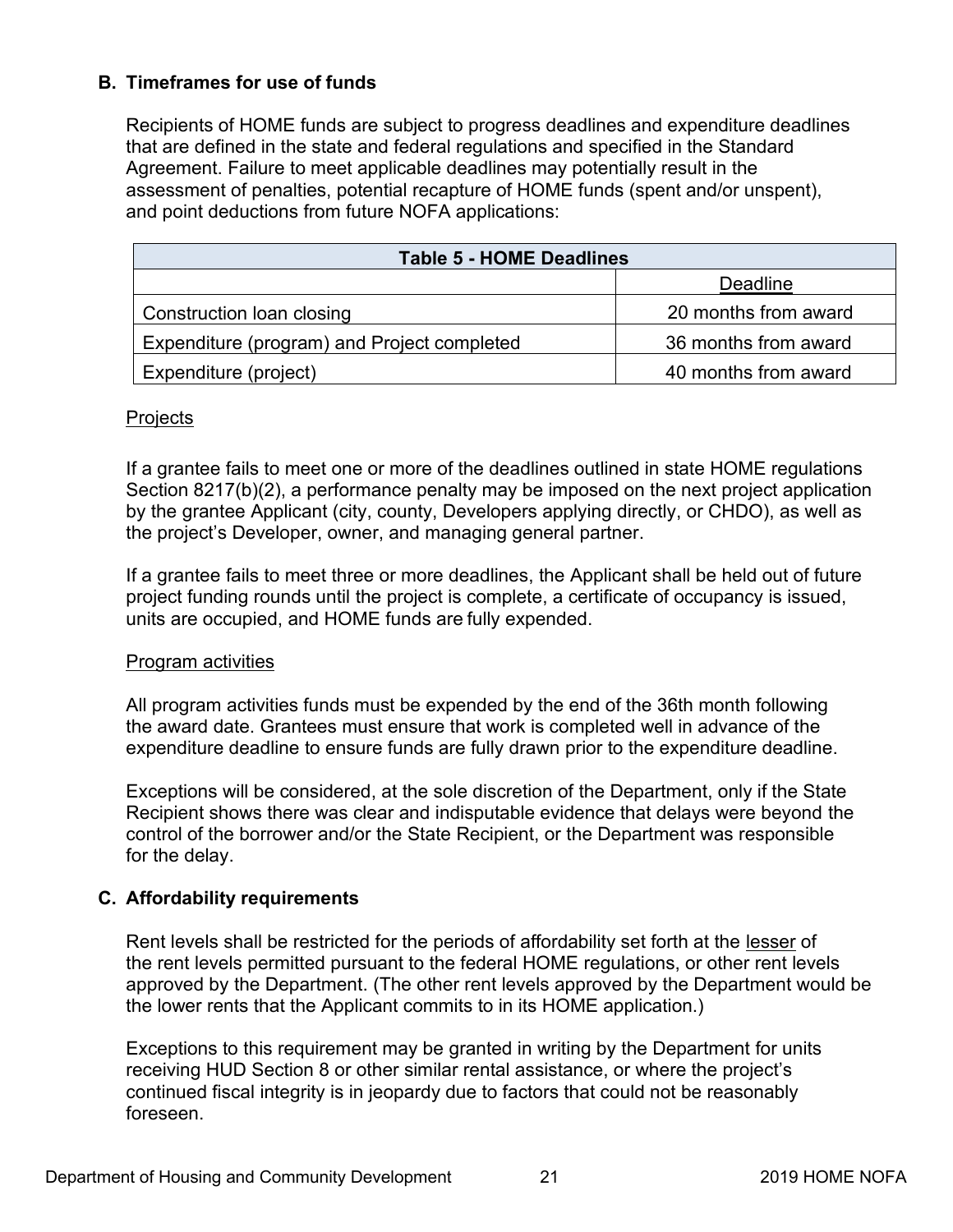# <span id="page-25-0"></span>**B. Timeframes for use of funds**

Recipients of HOME funds are subject to progress deadlines and expenditure deadlines that are defined in the state and federal regulations and specified in the Standard Agreement. Failure to meet applicable deadlines may potentially result in the assessment of penalties, potential recapture of HOME funds (spent and/or unspent), and point deductions from future NOFA applications:

| <b>Table 5 - HOME Deadlines</b>             |                      |  |
|---------------------------------------------|----------------------|--|
|                                             | <b>Deadline</b>      |  |
| Construction loan closing                   | 20 months from award |  |
| Expenditure (program) and Project completed | 36 months from award |  |
| Expenditure (project)                       | 40 months from award |  |

#### **Projects**

If a grantee fails to meet one or more of the deadlines outlined in state HOME regulations Section 8217(b)(2), a performance penalty may be imposed on the next project application by the grantee Applicant (city, county, Developers applying directly, or CHDO), as well as the project's Developer, owner, and managing general partner.

If a grantee fails to meet three or more deadlines, the Applicant shall be held out of future project funding rounds until the project is complete, a certificate of occupancy is issued, units are occupied, and HOME funds are fully expended.

#### Program activities

All program activities funds must be expended by the end of the 36th month following the award date. Grantees must ensure that work is completed well in advance of the expenditure deadline to ensure funds are fully drawn prior to the expenditure deadline.

Exceptions will be considered, at the sole discretion of the Department, only if the State Recipient shows there was clear and indisputable evidence that delays were beyond the control of the borrower and/or the State Recipient, or the Department was responsible for the delay.

# **C. Affordability requirements**

Rent levels shall be restricted for the periods of affordability set forth at the lesser of the rent levels permitted pursuant to the federal HOME regulations, or other rent levels approved by the Department. (The other rent levels approved by the Department would be the lower rents that the Applicant commits to in its HOME application.)

Exceptions to this requirement may be granted in writing by the Department for units receiving HUD Section 8 or other similar rental assistance, or where the project's continued fiscal integrity is in jeopardy due to factors that could not be reasonably foreseen.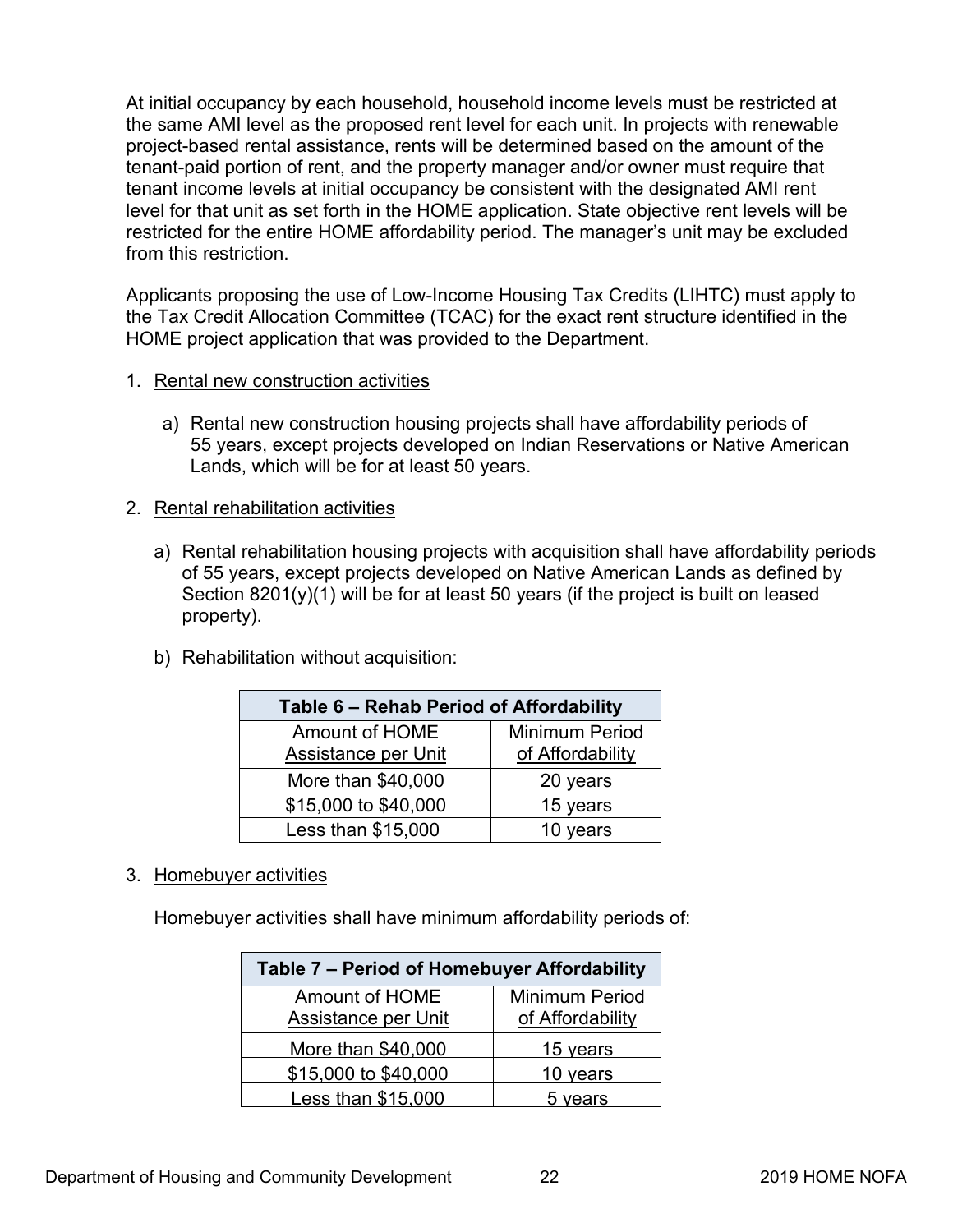At initial occupancy by each household, household income levels must be restricted at the same AMI level as the proposed rent level for each unit. In projects with renewable project-based rental assistance, rents will be determined based on the amount of the tenant-paid portion of rent, and the property manager and/or owner must require that tenant income levels at initial occupancy be consistent with the designated AMI rent level for that unit as set forth in the HOME application. State objective rent levels will be restricted for the entire HOME affordability period. The manager's unit may be excluded from this restriction.

Applicants proposing the use of Low-Income Housing Tax Credits (LIHTC) must apply to the Tax Credit Allocation Committee (TCAC) for the exact rent structure identified in the HOME project application that was provided to the Department.

- 1. Rental new construction activities
	- a) Rental new construction housing projects shall have affordability periods of 55 years, except projects developed on Indian Reservations or Native American Lands, which will be for at least 50 years.
- 2. Rental rehabilitation activities
	- a) Rental rehabilitation housing projects with acquisition shall have affordability periods of 55 years, except projects developed on Native American Lands as defined by Section  $8201(y)(1)$  will be for at least 50 years (if the project is built on leased property).
	- b) Rehabilitation without acquisition:

| Table 6 - Rehab Period of Affordability |                  |  |
|-----------------------------------------|------------------|--|
| Amount of HOME                          | Minimum Period   |  |
| Assistance per Unit                     | of Affordability |  |
| More than \$40,000                      | 20 years         |  |
| \$15,000 to \$40,000                    | 15 years         |  |
| Less than \$15,000                      | 10 years         |  |

3. Homebuyer activities

Homebuyer activities shall have minimum affordability periods of:

| Table 7 - Period of Homebuyer Affordability |                       |  |
|---------------------------------------------|-----------------------|--|
| Amount of HOME                              | <b>Minimum Period</b> |  |
| Assistance per Unit                         | of Affordability      |  |
| More than \$40,000                          | 15 years              |  |
| \$15,000 to \$40,000                        | 10 years              |  |
| Less than \$15,000                          | 5 years               |  |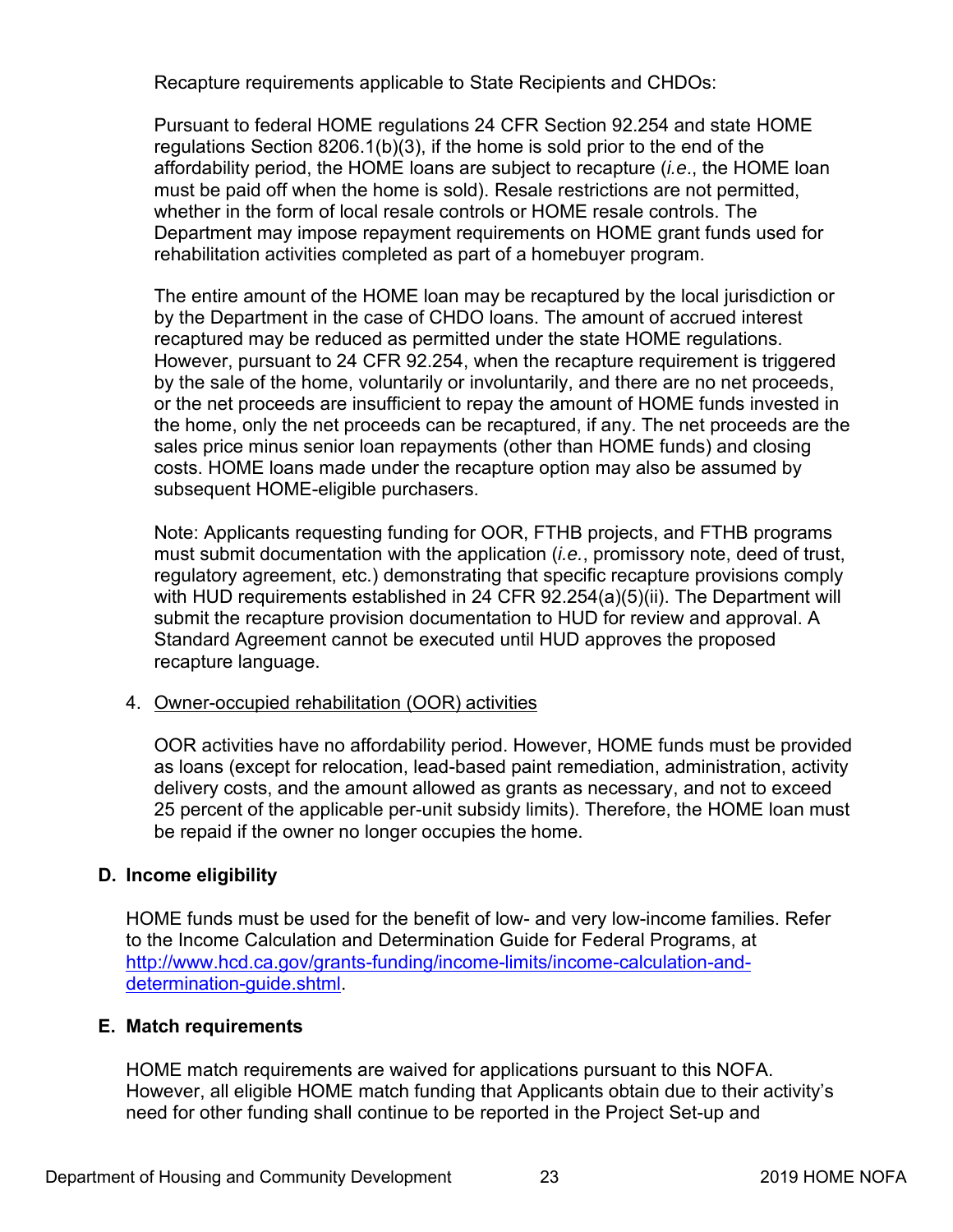<span id="page-27-0"></span>Recapture requirements applicable to State Recipients and CHDOs:

Pursuant to federal HOME regulations 24 CFR Section 92.254 and state HOME regulations Section 8206.1(b)(3), if the home is sold prior to the end of the affordability period, the HOME loans are subject to recapture (*i.e*., the HOME loan must be paid off when the home is sold). Resale restrictions are not permitted, whether in the form of local resale controls or HOME resale controls. The Department may impose repayment requirements on HOME grant funds used for rehabilitation activities completed as part of a homebuyer program.

The entire amount of the HOME loan may be recaptured by the local jurisdiction or by the Department in the case of CHDO loans. The amount of accrued interest recaptured may be reduced as permitted under the state HOME regulations. However, pursuant to 24 CFR 92.254, when the recapture requirement is triggered by the sale of the home, voluntarily or involuntarily, and there are no net proceeds, or the net proceeds are insufficient to repay the amount of HOME funds invested in the home, only the net proceeds can be recaptured, if any. The net proceeds are the sales price minus senior loan repayments (other than HOME funds) and closing costs. HOME loans made under the recapture option may also be assumed by subsequent HOME-eligible purchasers.

Note: Applicants requesting funding for OOR, FTHB projects, and FTHB programs must submit documentation with the application (*i.e.*, promissory note, deed of trust, regulatory agreement, etc.) demonstrating that specific recapture provisions comply with HUD requirements established in 24 CFR 92.254(a)(5)(ii). The Department will submit the recapture provision documentation to HUD for review and approval. A Standard Agreement cannot be executed until HUD approves the proposed recapture language.

# 4. Owner-occupied rehabilitation (OOR) activities

OOR activities have no affordability period. However, HOME funds must be provided as loans (except for relocation, lead-based paint remediation, administration, activity delivery costs, and the amount allowed as grants as necessary, and not to exceed 25 percent of the applicable per-unit subsidy limits). Therefore, the HOME loan must be repaid if the owner no longer occupies the home.

# **D. Income eligibility**

HOME funds must be used for the benefit of low- and very low-income families. Refer to the Income Calculation and Determination Guide for Federal Programs, at [http://www.hcd.ca.gov/grants-funding/income-limits/income-calculation-and](http://www.hcd.ca.gov/grants-funding/income-limits/income-calculation-and-determination-guide.shtml)determination-guide.shtml.

# **E. Match requirements**

HOME match requirements are waived for applications pursuant to this NOFA. However, all eligible HOME match funding that Applicants obtain due to their activity's need for other funding shall continue to be reported in the Project Set-up and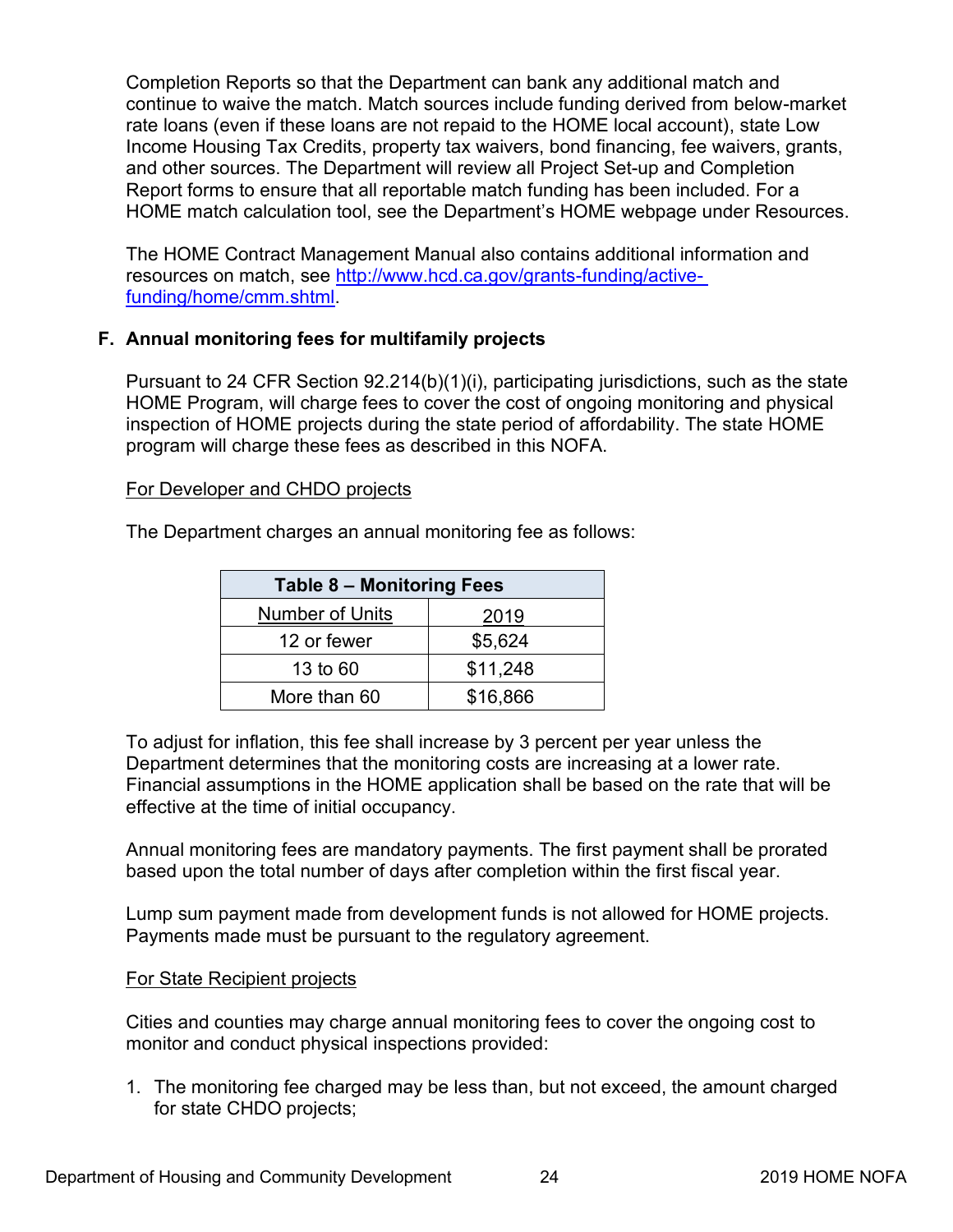<span id="page-28-0"></span>Completion Reports so that the Department can bank any additional match and continue to waive the match. Match sources include funding derived from below-market rate loans (even if these loans are not repaid to the HOME local account), state Low Income Housing Tax Credits, property tax waivers, bond financing, fee waivers, grants, and other sources. The Department will review all Project Set-up and Completion Report forms to ensure that all reportable match funding has been included. For a HOME match calculation tool, see the Department's HOME webpage under Resources.

The HOME Contract Management Manual also contains additional information and resources on match, see [http://www.hcd.ca.gov/grants-funding/active](http://www.hcd.ca.gov/grants-funding/active-funding/home/cmm.shtml)funding/home/cmm.shtml.

# **F. Annual monitoring fees for multifamily projects**

Pursuant to 24 CFR Section 92.214(b)(1)(i), participating jurisdictions, such as the state HOME Program, will charge fees to cover the cost of ongoing monitoring and physical inspection of HOME projects during the state period of affordability. The state HOME program will charge these fees as described in this NOFA.

#### For Developer and CHDO projects

The Department charges an annual monitoring fee as follows:

| <b>Table 8 - Monitoring Fees</b> |          |
|----------------------------------|----------|
| <b>Number of Units</b>           | 2019     |
| 12 or fewer                      | \$5,624  |
| 13 to 60                         | \$11,248 |
| More than 60                     | \$16,866 |

To adjust for inflation, this fee shall increase by 3 percent per year unless the Department determines that the monitoring costs are increasing at a lower rate. Financial assumptions in the HOME application shall be based on the rate that will be effective at the time of initial occupancy.

Annual monitoring fees are mandatory payments. The first payment shall be prorated based upon the total number of days after completion within the first fiscal year.

Lump sum payment made from development funds is not allowed for HOME projects. Payments made must be pursuant to the regulatory agreement.

# For State Recipient projects

Cities and counties may charge annual monitoring fees to cover the ongoing cost to monitor and conduct physical inspections provided:

1. The monitoring fee charged may be less than, but not exceed, the amount charged for state CHDO projects;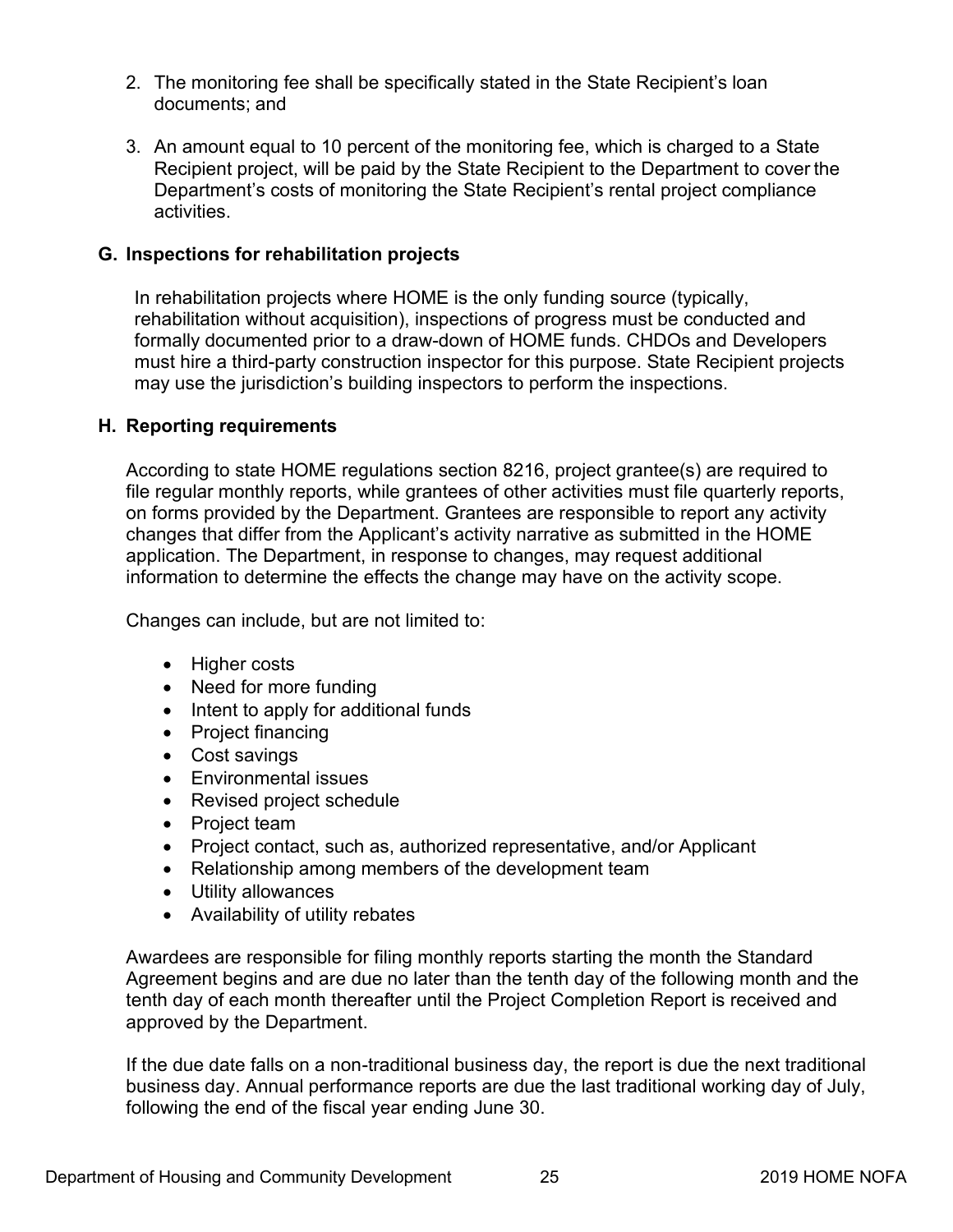- <span id="page-29-0"></span>2. The monitoring fee shall be specifically stated in the State Recipient's loan documents; and
- 3. An amount equal to 10 percent of the monitoring fee, which is charged to a State Recipient project, will be paid by the State Recipient to the Department to cover the Department's costs of monitoring the State Recipient's rental project compliance activities.

#### **G. Inspections for rehabilitation projects**

In rehabilitation projects where HOME is the only funding source (typically, rehabilitation without acquisition), inspections of progress must be conducted and formally documented prior to a draw-down of HOME funds. CHDOs and Developers must hire a third-party construction inspector for this purpose. State Recipient projects may use the jurisdiction's building inspectors to perform the inspections.

#### **H. Reporting requirements**

According to state HOME regulations section 8216, project grantee(s) are required to file regular monthly reports, while grantees of other activities must file quarterly reports, on forms provided by the Department. Grantees are responsible to report any activity changes that differ from the Applicant's activity narrative as submitted in the HOME application. The Department, in response to changes, may request additional information to determine the effects the change may have on the activity scope.

Changes can include, but are not limited to:

- Higher costs
- Need for more funding
- Intent to apply for additional funds
- Project financing
- Cost savings
- Environmental issues
- Revised project schedule
- Project team
- Project contact, such as, authorized representative, and/or Applicant
- Relationship among members of the development team
- Utility allowances
- Availability of utility rebates

Awardees are responsible for filing monthly reports starting the month the Standard Agreement begins and are due no later than the tenth day of the following month and the tenth day of each month thereafter until the Project Completion Report is received and approved by the Department.

If the due date falls on a non-traditional business day, the report is due the next traditional business day. Annual performance reports are due the last traditional working day of July, following the end of the fiscal year ending June 30.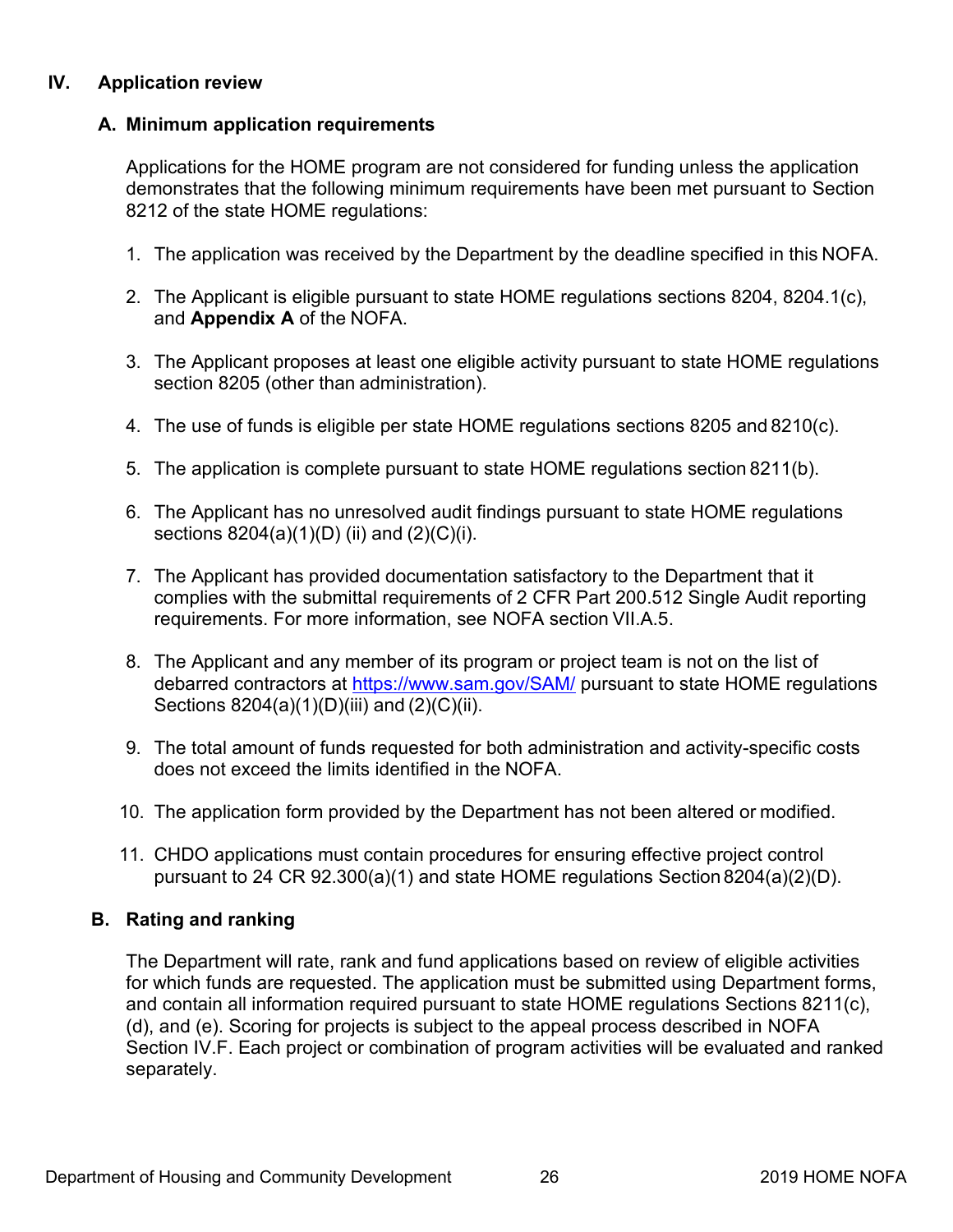# <span id="page-30-0"></span>**IV. Application review**

# **A. Minimum application requirements**

Applications for the HOME program are not considered for funding unless the application demonstrates that the following minimum requirements have been met pursuant to Section 8212 of the state HOME regulations:

- 1. The application was received by the Department by the deadline specified in this NOFA.
- 2. The Applicant is eligible pursuant to state HOME regulations sections 8204, 8204.1(c), and **Appendix A** of the NOFA.
- 3. The Applicant proposes at least one eligible activity pursuant to state HOME regulations section 8205 (other than administration).
- 4. The use of funds is eligible per state HOME regulations sections 8205 and 8210(c).
- 5. The application is complete pursuant to state HOME regulations section 8211(b).
- 6. The Applicant has no unresolved audit findings pursuant to state HOME regulations sections 8204(a)(1)(D) (ii) and (2)(C)(i).
- 7. The Applicant has provided documentation satisfactory to the Department that it complies with the submittal requirements of 2 CFR Part 200.512 Single Audit reporting requirements. For more information, see NOFA section VII.A.5.
- 8. The Applicant and any member of its program or project team is not on the list of debarred contractors at <https://www.sam.gov/SAM/> pursuant to state HOME regulations Sections 8204(a)(1)(D)(iii) and (2)(C)(ii).
- 9. The total amount of funds requested for both administration and activity-specific costs does not exceed the limits identified in the NOFA.
- 10. The application form provided by the Department has not been altered or modified.
- 11. CHDO applications must contain procedures for ensuring effective project control pursuant to 24 CR 92.300(a)(1) and state HOME regulations Section 8204(a)(2)(D).

# **B. Rating and ranking**

The Department will rate, rank and fund applications based on review of eligible activities for which funds are requested. The application must be submitted using Department forms, and contain all information required pursuant to state HOME regulations Sections 8211(c), (d), and (e). Scoring for projects is subject to the appeal process described in NOFA Section IV.F. Each project or combination of program activities will be evaluated and ranked separately.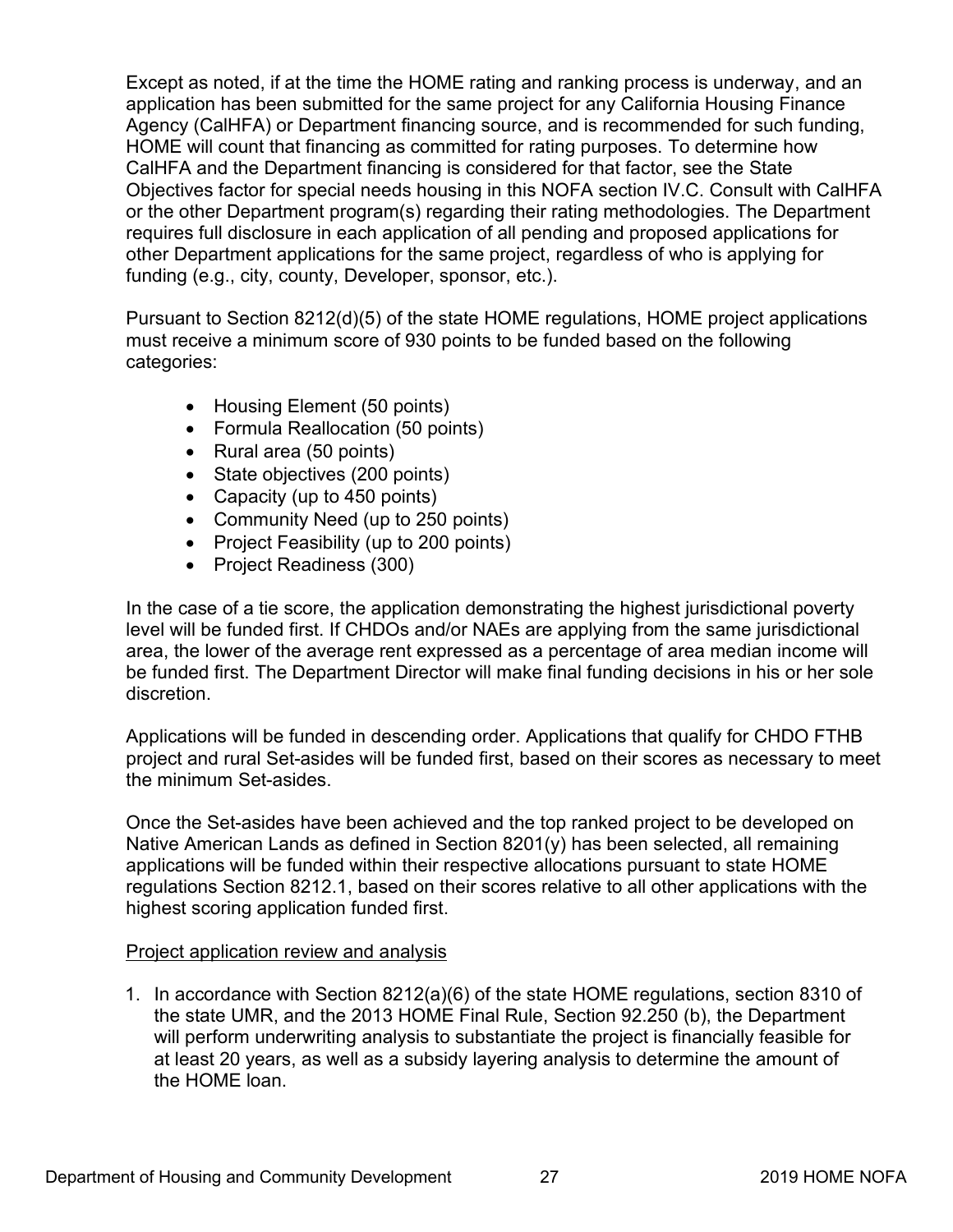Except as noted, if at the time the HOME rating and ranking process is underway, and an application has been submitted for the same project for any California Housing Finance Agency (CalHFA) or Department financing source, and is recommended for such funding, HOME will count that financing as committed for rating purposes. To determine how CalHFA and the Department financing is considered for that factor, see the State Objectives factor for special needs housing in this NOFA section IV.C. Consult with CalHFA or the other Department program(s) regarding their rating methodologies. The Department requires full disclosure in each application of all pending and proposed applications for other Department applications for the same project, regardless of who is applying for funding (e.g., city, county, Developer, sponsor, etc.).

Pursuant to Section 8212(d)(5) of the state HOME regulations, HOME project applications must receive a minimum score of 930 points to be funded based on the following categories:

- Housing Element (50 points)
- Formula Reallocation (50 points)
- Rural area (50 points)
- State objectives (200 points)
- Capacity (up to 450 points)
- Community Need (up to 250 points)
- Project Feasibility (up to 200 points)
- Project Readiness (300)

In the case of a tie score, the application demonstrating the highest jurisdictional poverty level will be funded first. If CHDOs and/or NAEs are applying from the same jurisdictional area, the lower of the average rent expressed as a percentage of area median income will be funded first. The Department Director will make final funding decisions in his or her sole discretion.

Applications will be funded in descending order. Applications that qualify for CHDO FTHB project and rural Set-asides will be funded first, based on their scores as necessary to meet the minimum Set-asides.

Once the Set-asides have been achieved and the top ranked project to be developed on Native American Lands as defined in Section 8201(y) has been selected, all remaining applications will be funded within their respective allocations pursuant to state HOME regulations Section 8212.1, based on their scores relative to all other applications with the highest scoring application funded first.

# Project application review and analysis

1. In accordance with Section 8212(a)(6) of the state HOME regulations, section 8310 of the state UMR, and the 2013 HOME Final Rule, Section 92.250 (b), the Department will perform underwriting analysis to substantiate the project is financially feasible for at least 20 years, as well as a subsidy layering analysis to determine the amount of the HOME loan.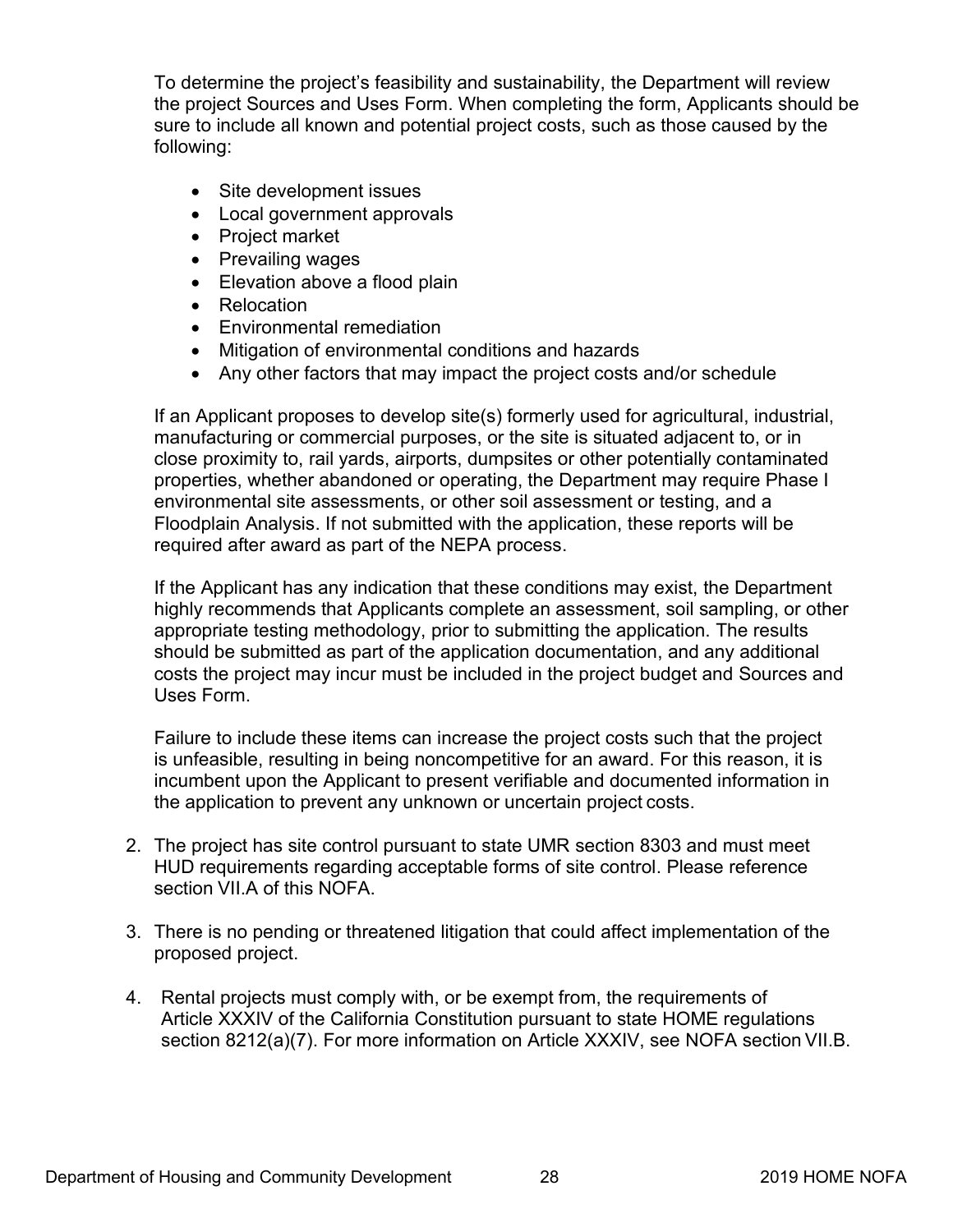To determine the project's feasibility and sustainability, the Department will review the project Sources and Uses Form. When completing the form, Applicants should be sure to include all known and potential project costs, such as those caused by the following:

- Site development issues
- Local government approvals
- Project market
- Prevailing wages
- Elevation above a flood plain
- Relocation
- Environmental remediation
- Mitigation of environmental conditions and hazards
- Any other factors that may impact the project costs and/or schedule

If an Applicant proposes to develop site(s) formerly used for agricultural, industrial, manufacturing or commercial purposes, or the site is situated adjacent to, or in close proximity to, rail yards, airports, dumpsites or other potentially contaminated properties, whether abandoned or operating, the Department may require Phase I environmental site assessments, or other soil assessment or testing, and a Floodplain Analysis. If not submitted with the application, these reports will be required after award as part of the NEPA process.

If the Applicant has any indication that these conditions may exist, the Department highly recommends that Applicants complete an assessment, soil sampling, or other appropriate testing methodology, prior to submitting the application. The results should be submitted as part of the application documentation, and any additional costs the project may incur must be included in the project budget and Sources and Uses Form.

Failure to include these items can increase the project costs such that the project is unfeasible, resulting in being noncompetitive for an award. For this reason, it is incumbent upon the Applicant to present verifiable and documented information in the application to prevent any unknown or uncertain project costs.

- 2. The project has site control pursuant to state UMR section 8303 and must meet HUD requirements regarding acceptable forms of site control. Please reference section VII.A of this NOFA.
- 3. There is no pending or threatened litigation that could affect implementation of the proposed project.
- 4. Rental projects must comply with, or be exempt from, the requirements of Article XXXIV of the California Constitution pursuant to state HOME regulations section 8212(a)(7). For more information on Article XXXIV, see NOFA section VII.B.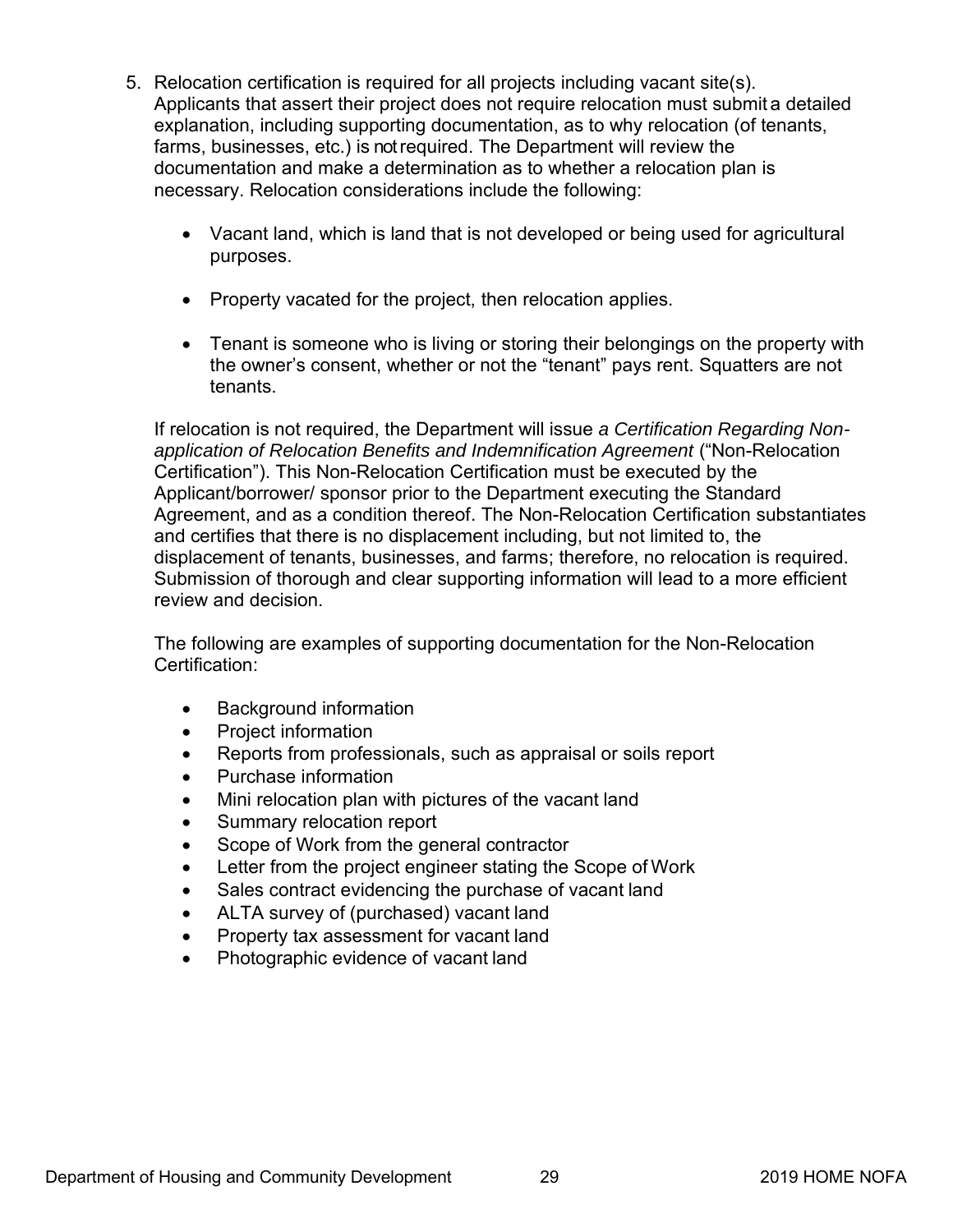- 5. Relocation certification is required for all projects including vacant site(s). Applicants that assert their project does not require relocation must submit a detailed explanation, including supporting documentation, as to why relocation (of tenants, farms, businesses, etc.) is not required. The Department will review the documentation and make a determination as to whether a relocation plan is necessary. Relocation considerations include the following:
	- Vacant land, which is land that is not developed or being used for agricultural purposes.
	- Property vacated for the project, then relocation applies.
	- Tenant is someone who is living or storing their belongings on the property with the owner's consent, whether or not the "tenant" pays rent. Squatters are not tenants.

If relocation is not required, the Department will issue *a Certification Regarding Nonapplication of Relocation Benefits and Indemnification Agreement* ("Non-Relocation Certification"). This Non-Relocation Certification must be executed by the Applicant/borrower/ sponsor prior to the Department executing the Standard Agreement, and as a condition thereof. The Non-Relocation Certification substantiates and certifies that there is no displacement including, but not limited to, the displacement of tenants, businesses, and farms; therefore, no relocation is required. Submission of thorough and clear supporting information will lead to a more efficient review and decision.

The following are examples of supporting documentation for the Non-Relocation Certification:

- Background information
- Project information
- Reports from professionals, such as appraisal or soils report
- Purchase information
- Mini relocation plan with pictures of the vacant land
- Summary relocation report
- Scope of Work from the general contractor
- Letter from the project engineer stating the Scope of Work
- Sales contract evidencing the purchase of vacant land
- ALTA survey of (purchased) vacant land
- Property tax assessment for vacant land
- Photographic evidence of vacant land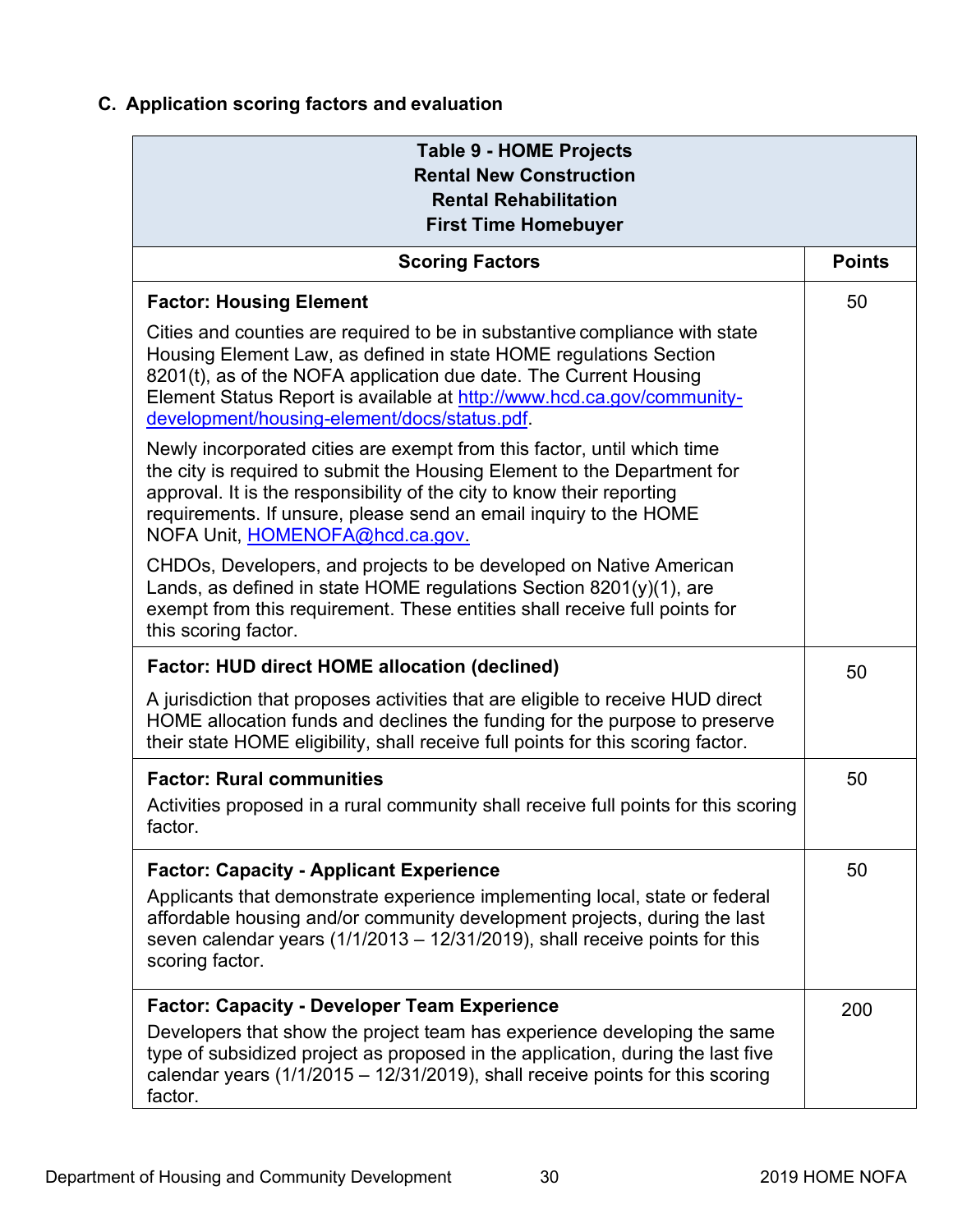# <span id="page-34-0"></span>**C. Application scoring factors and evaluation**

| <b>Table 9 - HOME Projects</b><br><b>Rental New Construction</b><br><b>Rental Rehabilitation</b><br><b>First Time Homebuyer</b>                                                                                                                                                                                                                |     |  |
|------------------------------------------------------------------------------------------------------------------------------------------------------------------------------------------------------------------------------------------------------------------------------------------------------------------------------------------------|-----|--|
| <b>Scoring Factors</b>                                                                                                                                                                                                                                                                                                                         |     |  |
| <b>Factor: Housing Element</b>                                                                                                                                                                                                                                                                                                                 | 50  |  |
| Cities and counties are required to be in substantive compliance with state<br>Housing Element Law, as defined in state HOME regulations Section<br>8201(t), as of the NOFA application due date. The Current Housing<br>Element Status Report is available at http://www.hcd.ca.gov/community-<br>development/housing-element/docs/status.pdf |     |  |
| Newly incorporated cities are exempt from this factor, until which time<br>the city is required to submit the Housing Element to the Department for<br>approval. It is the responsibility of the city to know their reporting<br>requirements. If unsure, please send an email inquiry to the HOME<br>NOFA Unit, HOMENOFA@hcd.ca.gov.          |     |  |
| CHDOs, Developers, and projects to be developed on Native American<br>Lands, as defined in state HOME regulations Section $8201(y)(1)$ , are<br>exempt from this requirement. These entities shall receive full points for<br>this scoring factor.                                                                                             |     |  |
| <b>Factor: HUD direct HOME allocation (declined)</b>                                                                                                                                                                                                                                                                                           |     |  |
| A jurisdiction that proposes activities that are eligible to receive HUD direct<br>HOME allocation funds and declines the funding for the purpose to preserve<br>their state HOME eligibility, shall receive full points for this scoring factor.                                                                                              |     |  |
| <b>Factor: Rural communities</b>                                                                                                                                                                                                                                                                                                               | 50  |  |
| Activities proposed in a rural community shall receive full points for this scoring<br>factor.                                                                                                                                                                                                                                                 |     |  |
| <b>Factor: Capacity - Applicant Experience</b><br>Applicants that demonstrate experience implementing local, state or federal<br>affordable housing and/or community development projects, during the last<br>seven calendar years $(1/1/2013 - 12/31/2019)$ , shall receive points for this<br>scoring factor.                                | 50  |  |
| <b>Factor: Capacity - Developer Team Experience</b><br>Developers that show the project team has experience developing the same<br>type of subsidized project as proposed in the application, during the last five<br>calendar years $(1/1/2015 - 12/31/2019)$ , shall receive points for this scoring<br>factor.                              | 200 |  |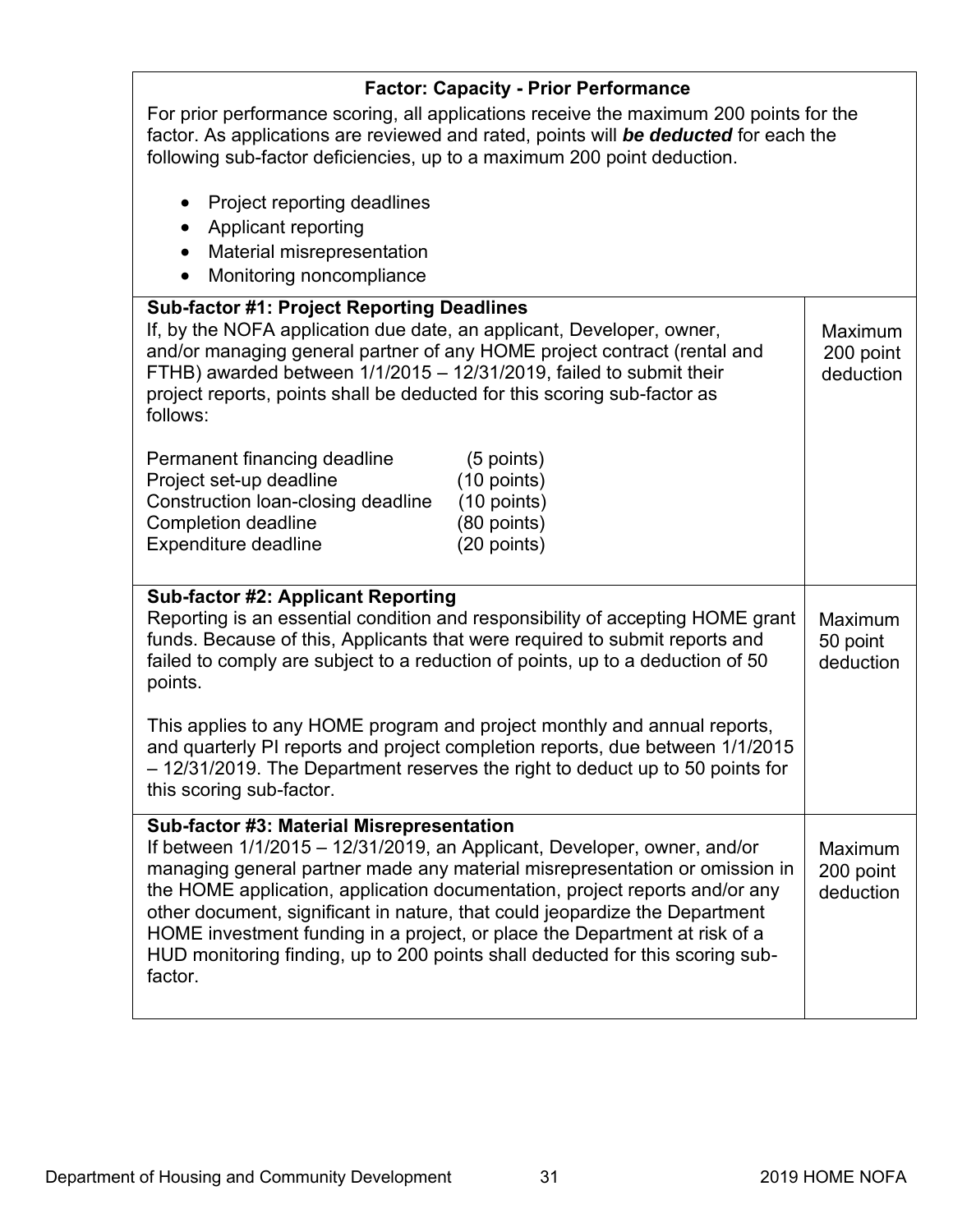| <b>Factor: Capacity - Prior Performance</b>                                                                                                                                                                                                                                                                                                                                                                                                                                                                                                  |                                   |  |
|----------------------------------------------------------------------------------------------------------------------------------------------------------------------------------------------------------------------------------------------------------------------------------------------------------------------------------------------------------------------------------------------------------------------------------------------------------------------------------------------------------------------------------------------|-----------------------------------|--|
| For prior performance scoring, all applications receive the maximum 200 points for the<br>factor. As applications are reviewed and rated, points will be deducted for each the<br>following sub-factor deficiencies, up to a maximum 200 point deduction.                                                                                                                                                                                                                                                                                    |                                   |  |
| Project reporting deadlines<br><b>Applicant reporting</b><br>$\bullet$<br>Material misrepresentation<br>$\bullet$<br>Monitoring noncompliance                                                                                                                                                                                                                                                                                                                                                                                                |                                   |  |
| <b>Sub-factor #1: Project Reporting Deadlines</b><br>If, by the NOFA application due date, an applicant, Developer, owner,<br>and/or managing general partner of any HOME project contract (rental and<br>FTHB) awarded between 1/1/2015 - 12/31/2019, failed to submit their<br>project reports, points shall be deducted for this scoring sub-factor as<br>follows:                                                                                                                                                                        | Maximum<br>200 point<br>deduction |  |
| Permanent financing deadline<br>(5 points)<br>Project set-up deadline<br>(10 points)<br>Construction loan-closing deadline<br>$(10$ points)<br><b>Completion deadline</b><br>(80 points)<br>Expenditure deadline<br>(20 points)                                                                                                                                                                                                                                                                                                              |                                   |  |
| <b>Sub-factor #2: Applicant Reporting</b><br>Reporting is an essential condition and responsibility of accepting HOME grant<br>funds. Because of this, Applicants that were required to submit reports and<br>failed to comply are subject to a reduction of points, up to a deduction of 50<br>points.                                                                                                                                                                                                                                      | Maximum<br>50 point<br>deduction  |  |
| This applies to any HOME program and project monthly and annual reports,<br>and quarterly PI reports and project completion reports, due between 1/1/2015<br>- 12/31/2019. The Department reserves the right to deduct up to 50 points for<br>this scoring sub-factor.                                                                                                                                                                                                                                                                       |                                   |  |
| Sub-factor #3: Material Misrepresentation<br>If between 1/1/2015 – 12/31/2019, an Applicant, Developer, owner, and/or<br>managing general partner made any material misrepresentation or omission in<br>the HOME application, application documentation, project reports and/or any<br>other document, significant in nature, that could jeopardize the Department<br>HOME investment funding in a project, or place the Department at risk of a<br>HUD monitoring finding, up to 200 points shall deducted for this scoring sub-<br>factor. | Maximum<br>200 point<br>deduction |  |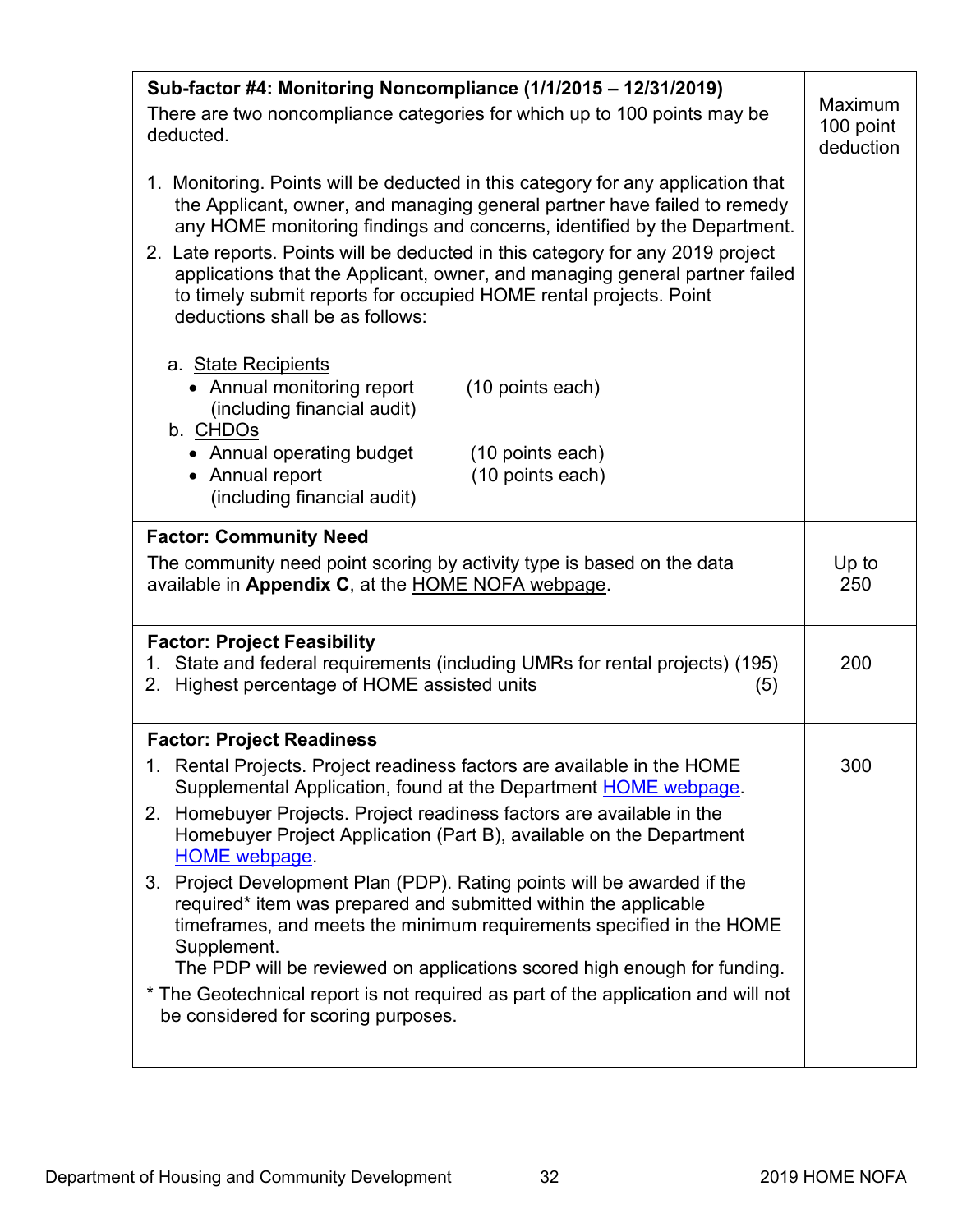| Sub-factor #4: Monitoring Noncompliance (1/1/2015 - 12/31/2019)                                                                                                                                                                                                       |                                   |
|-----------------------------------------------------------------------------------------------------------------------------------------------------------------------------------------------------------------------------------------------------------------------|-----------------------------------|
| There are two noncompliance categories for which up to 100 points may be<br>deducted.                                                                                                                                                                                 | Maximum<br>100 point<br>deduction |
| 1. Monitoring. Points will be deducted in this category for any application that<br>the Applicant, owner, and managing general partner have failed to remedy<br>any HOME monitoring findings and concerns, identified by the Department.                              |                                   |
| 2. Late reports. Points will be deducted in this category for any 2019 project<br>applications that the Applicant, owner, and managing general partner failed<br>to timely submit reports for occupied HOME rental projects. Point<br>deductions shall be as follows: |                                   |
| a. State Recipients<br>• Annual monitoring report<br>(10 points each)<br>(including financial audit)<br>b. CHDOs                                                                                                                                                      |                                   |
| • Annual operating budget<br>(10 points each)<br>• Annual report<br>(10 points each)<br>(including financial audit)                                                                                                                                                   |                                   |
| <b>Factor: Community Need</b>                                                                                                                                                                                                                                         |                                   |
| The community need point scoring by activity type is based on the data<br>available in Appendix C, at the HOME NOFA webpage.                                                                                                                                          | Up to<br>250                      |
| <b>Factor: Project Feasibility</b><br>1. State and federal requirements (including UMRs for rental projects) (195)<br>Highest percentage of HOME assisted units<br>2.<br>(5)                                                                                          | 200                               |
| <b>Factor: Project Readiness</b>                                                                                                                                                                                                                                      |                                   |
| 1. Rental Projects. Project readiness factors are available in the HOME<br>Supplemental Application, found at the Department HOME webpage.                                                                                                                            | 300                               |
| 2. Homebuyer Projects. Project readiness factors are available in the<br>Homebuyer Project Application (Part B), available on the Department<br><b>HOME</b> webpage.                                                                                                  |                                   |
| 3. Project Development Plan (PDP). Rating points will be awarded if the<br>required* item was prepared and submitted within the applicable<br>timeframes, and meets the minimum requirements specified in the HOME<br>Supplement.                                     |                                   |
| The PDP will be reviewed on applications scored high enough for funding.<br>* The Geotechnical report is not required as part of the application and will not<br>be considered for scoring purposes.                                                                  |                                   |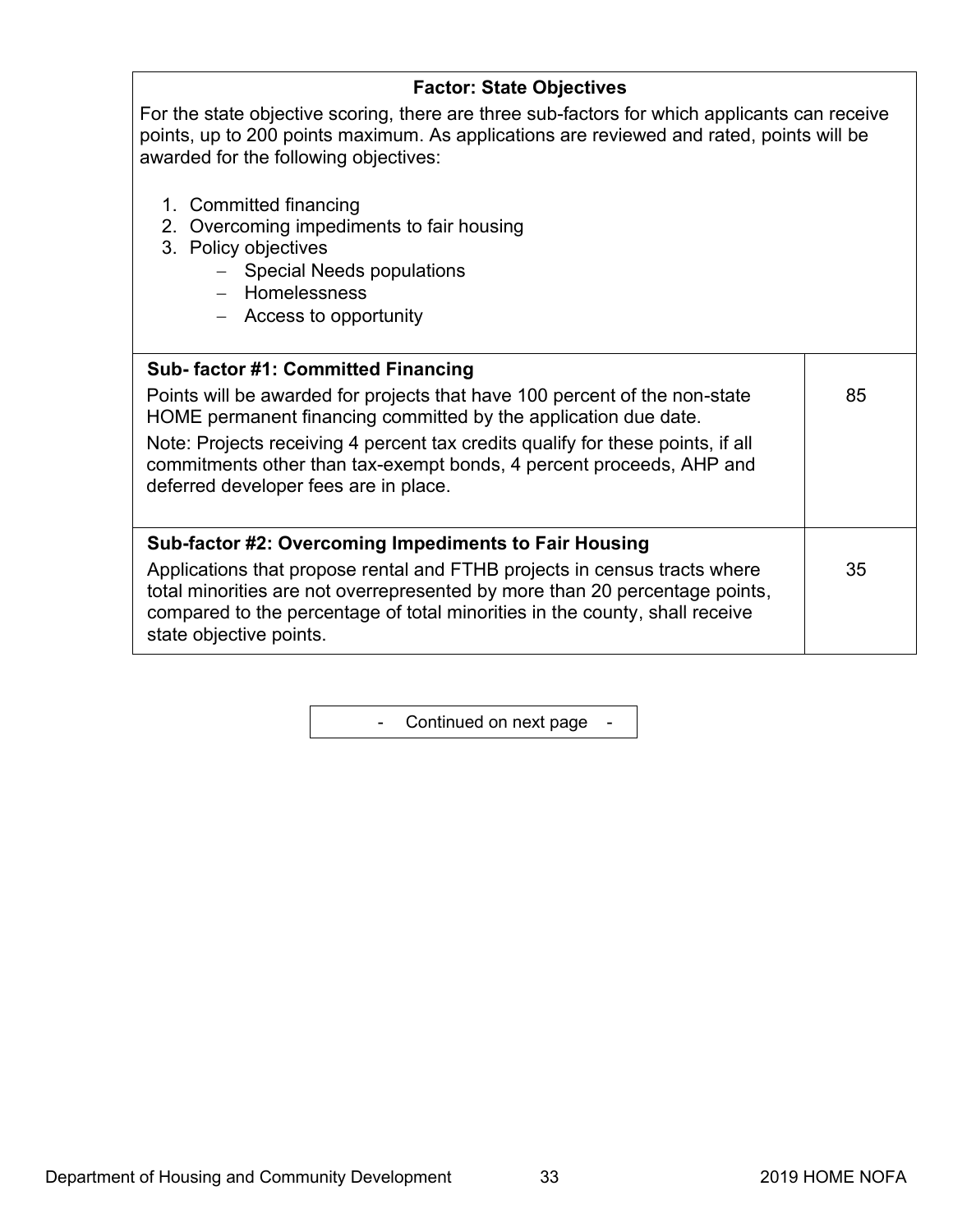| <b>Factor: State Objectives</b>                                                                                                                                                                                                                                    |    |
|--------------------------------------------------------------------------------------------------------------------------------------------------------------------------------------------------------------------------------------------------------------------|----|
| For the state objective scoring, there are three sub-factors for which applicants can receive<br>points, up to 200 points maximum. As applications are reviewed and rated, points will be<br>awarded for the following objectives:                                 |    |
| 1. Committed financing<br>Overcoming impediments to fair housing<br>2.<br>3. Policy objectives<br>- Special Needs populations<br>- Homelessness<br>- Access to opportunity                                                                                         |    |
| Sub- factor #1: Committed Financing                                                                                                                                                                                                                                |    |
| Points will be awarded for projects that have 100 percent of the non-state<br>HOME permanent financing committed by the application due date.                                                                                                                      | 85 |
| Note: Projects receiving 4 percent tax credits qualify for these points, if all<br>commitments other than tax-exempt bonds, 4 percent proceeds, AHP and<br>deferred developer fees are in place.                                                                   |    |
| Sub-factor #2: Overcoming Impediments to Fair Housing                                                                                                                                                                                                              |    |
| Applications that propose rental and FTHB projects in census tracts where<br>total minorities are not overrepresented by more than 20 percentage points,<br>compared to the percentage of total minorities in the county, shall receive<br>state objective points. | 35 |

- Continued on next page -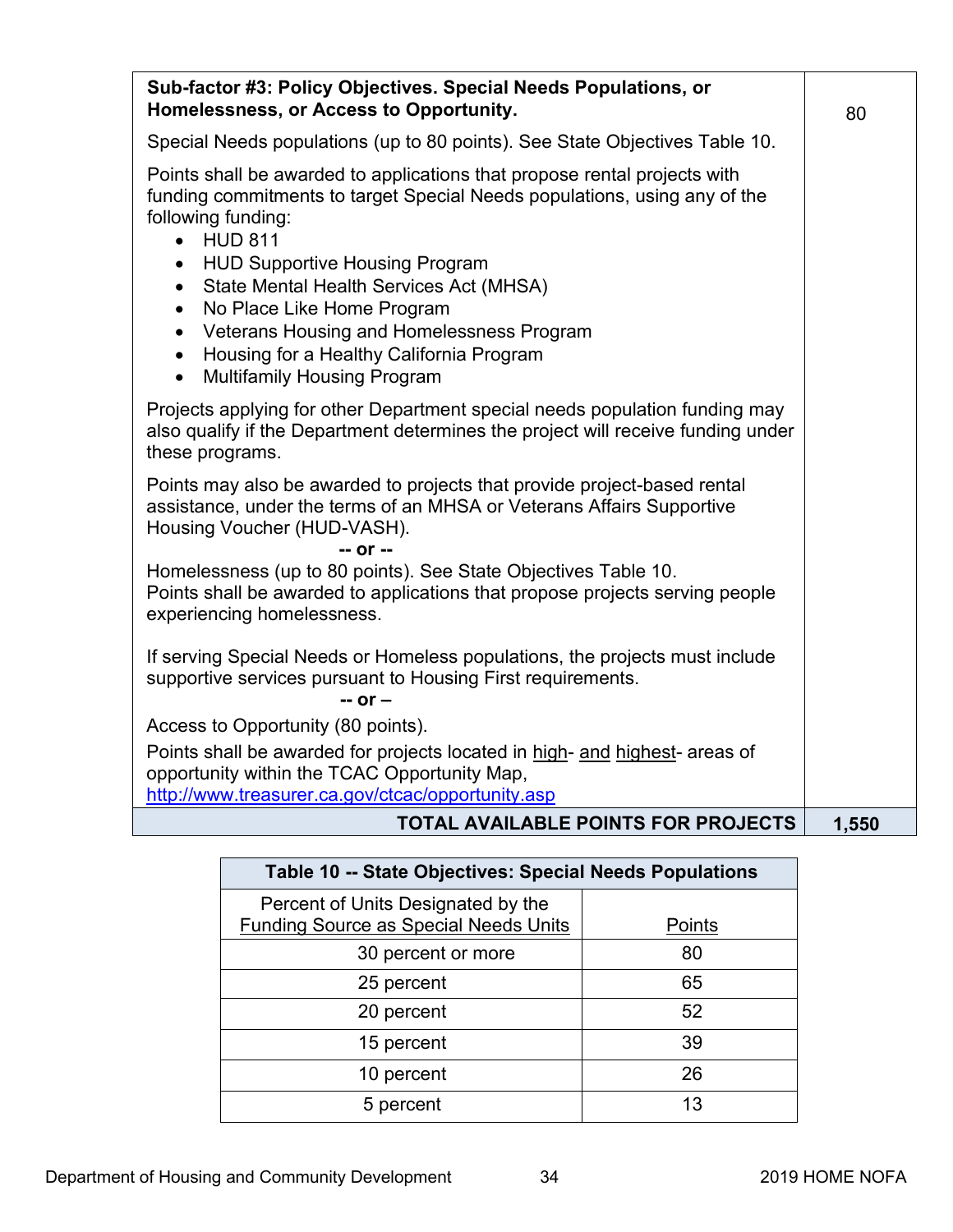| Sub-factor #3: Policy Objectives. Special Needs Populations, or<br>Homelessness, or Access to Opportunity.                                                                                | 80    |
|-------------------------------------------------------------------------------------------------------------------------------------------------------------------------------------------|-------|
| Special Needs populations (up to 80 points). See State Objectives Table 10.                                                                                                               |       |
| Points shall be awarded to applications that propose rental projects with<br>funding commitments to target Special Needs populations, using any of the<br>following funding:<br>• HUD 811 |       |
| • HUD Supportive Housing Program<br>State Mental Health Services Act (MHSA)<br>$\bullet$                                                                                                  |       |
| No Place Like Home Program<br>$\bullet$                                                                                                                                                   |       |
| Veterans Housing and Homelessness Program<br>$\bullet$<br>Housing for a Healthy California Program<br>$\bullet$                                                                           |       |
| <b>Multifamily Housing Program</b><br>$\bullet$                                                                                                                                           |       |
| Projects applying for other Department special needs population funding may<br>also qualify if the Department determines the project will receive funding under<br>these programs.        |       |
| Points may also be awarded to projects that provide project-based rental<br>assistance, under the terms of an MHSA or Veterans Affairs Supportive<br>Housing Voucher (HUD-VASH).          |       |
| -- or --<br>Homelessness (up to 80 points). See State Objectives Table 10.                                                                                                                |       |
| Points shall be awarded to applications that propose projects serving people<br>experiencing homelessness.                                                                                |       |
| If serving Special Needs or Homeless populations, the projects must include<br>supportive services pursuant to Housing First requirements.<br>$-$ or $-$                                  |       |
| Access to Opportunity (80 points).                                                                                                                                                        |       |
| Points shall be awarded for projects located in high- and highest- areas of<br>opportunity within the TCAC Opportunity Map,                                                               |       |
| http://www.treasurer.ca.gov/ctcac/opportunity.asp                                                                                                                                         |       |
| TOTAL AVAILABLE POINTS FOR PROJECTS                                                                                                                                                       | 1,550 |

| Table 10 -- State Objectives: Special Needs Populations                            |        |  |
|------------------------------------------------------------------------------------|--------|--|
| Percent of Units Designated by the<br><b>Funding Source as Special Needs Units</b> | Points |  |
| 30 percent or more                                                                 | 80     |  |
| 25 percent                                                                         | 65     |  |
| 20 percent                                                                         | 52     |  |
| 15 percent                                                                         | 39     |  |
| 10 percent                                                                         | 26     |  |
| 5 percent                                                                          | 13     |  |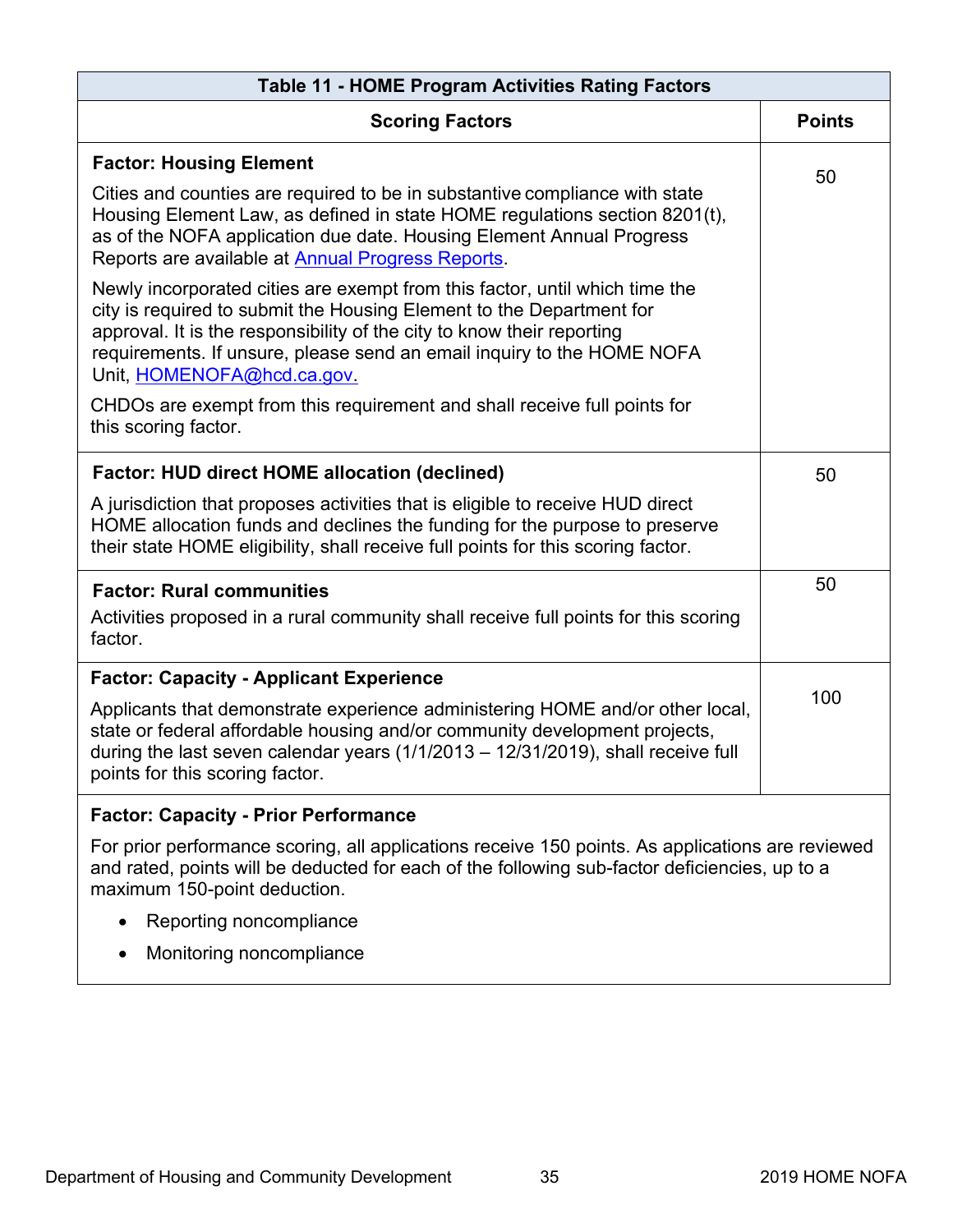| <b>Table 11 - HOME Program Activities Rating Factors</b>                                                                                                                                                                                                                                                                                                                                                |               |
|---------------------------------------------------------------------------------------------------------------------------------------------------------------------------------------------------------------------------------------------------------------------------------------------------------------------------------------------------------------------------------------------------------|---------------|
| <b>Scoring Factors</b>                                                                                                                                                                                                                                                                                                                                                                                  | <b>Points</b> |
| <b>Factor: Housing Element</b><br>Cities and counties are required to be in substantive compliance with state<br>Housing Element Law, as defined in state HOME regulations section 8201(t),<br>as of the NOFA application due date. Housing Element Annual Progress<br>Reports are available at Annual Progress Reports.<br>Newly incorporated cities are exempt from this factor, until which time the | 50            |
| city is required to submit the Housing Element to the Department for<br>approval. It is the responsibility of the city to know their reporting<br>requirements. If unsure, please send an email inquiry to the HOME NOFA<br>Unit, HOMENOFA@hcd.ca.gov.<br>CHDOs are exempt from this requirement and shall receive full points for                                                                      |               |
| this scoring factor.                                                                                                                                                                                                                                                                                                                                                                                    |               |
| <b>Factor: HUD direct HOME allocation (declined)</b>                                                                                                                                                                                                                                                                                                                                                    | 50            |
| A jurisdiction that proposes activities that is eligible to receive HUD direct<br>HOME allocation funds and declines the funding for the purpose to preserve<br>their state HOME eligibility, shall receive full points for this scoring factor.                                                                                                                                                        |               |
| <b>Factor: Rural communities</b>                                                                                                                                                                                                                                                                                                                                                                        | 50            |
| Activities proposed in a rural community shall receive full points for this scoring<br>factor.                                                                                                                                                                                                                                                                                                          |               |
| <b>Factor: Capacity - Applicant Experience</b>                                                                                                                                                                                                                                                                                                                                                          |               |
| Applicants that demonstrate experience administering HOME and/or other local,<br>state or federal affordable housing and/or community development projects,<br>during the last seven calendar years $(1/1/2013 - 12/31/2019)$ , shall receive full<br>points for this scoring factor.                                                                                                                   | 100           |
| <b>Factor: Capacity - Prior Performance</b>                                                                                                                                                                                                                                                                                                                                                             |               |
| For prior performance scoring, all applications receive 150 points. As applications are reviewed<br>and rated, points will be deducted for each of the following sub-factor deficiencies, up to a<br>maximum 150-point deduction.                                                                                                                                                                       |               |
| Reporting noncompliance                                                                                                                                                                                                                                                                                                                                                                                 |               |
| Monitoring noncompliance                                                                                                                                                                                                                                                                                                                                                                                |               |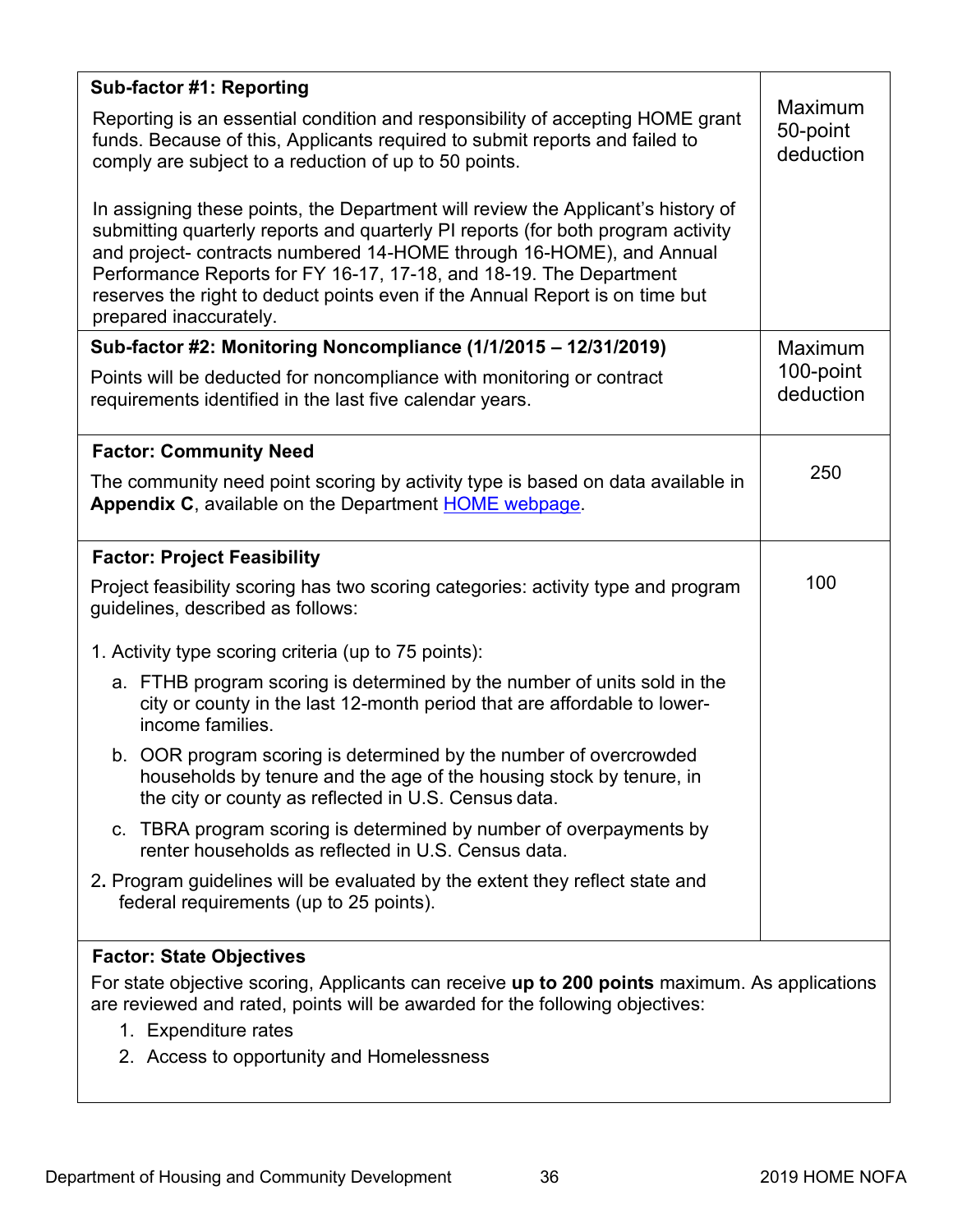| Sub-factor #1: Reporting                                                                                                                                                                                                                                                                                                                                                                                                     |                                  |
|------------------------------------------------------------------------------------------------------------------------------------------------------------------------------------------------------------------------------------------------------------------------------------------------------------------------------------------------------------------------------------------------------------------------------|----------------------------------|
| Reporting is an essential condition and responsibility of accepting HOME grant<br>funds. Because of this, Applicants required to submit reports and failed to<br>comply are subject to a reduction of up to 50 points.                                                                                                                                                                                                       | Maximum<br>50-point<br>deduction |
| In assigning these points, the Department will review the Applicant's history of<br>submitting quarterly reports and quarterly PI reports (for both program activity<br>and project- contracts numbered 14-HOME through 16-HOME), and Annual<br>Performance Reports for FY 16-17, 17-18, and 18-19. The Department<br>reserves the right to deduct points even if the Annual Report is on time but<br>prepared inaccurately. |                                  |
| Sub-factor #2: Monitoring Noncompliance (1/1/2015 - 12/31/2019)                                                                                                                                                                                                                                                                                                                                                              | Maximum                          |
| Points will be deducted for noncompliance with monitoring or contract<br>requirements identified in the last five calendar years.                                                                                                                                                                                                                                                                                            | 100-point<br>deduction           |
| <b>Factor: Community Need</b>                                                                                                                                                                                                                                                                                                                                                                                                |                                  |
| The community need point scoring by activity type is based on data available in<br><b>Appendix C, available on the Department HOME webpage.</b>                                                                                                                                                                                                                                                                              | 250                              |
| <b>Factor: Project Feasibility</b>                                                                                                                                                                                                                                                                                                                                                                                           |                                  |
| Project feasibility scoring has two scoring categories: activity type and program<br>guidelines, described as follows:                                                                                                                                                                                                                                                                                                       | 100                              |
| 1. Activity type scoring criteria (up to 75 points):                                                                                                                                                                                                                                                                                                                                                                         |                                  |
| a. FTHB program scoring is determined by the number of units sold in the<br>city or county in the last 12-month period that are affordable to lower-<br>income families.                                                                                                                                                                                                                                                     |                                  |
| b. OOR program scoring is determined by the number of overcrowded<br>households by tenure and the age of the housing stock by tenure, in<br>the city or county as reflected in U.S. Census data.                                                                                                                                                                                                                             |                                  |
| c. TBRA program scoring is determined by number of overpayments by<br>renter households as reflected in U.S. Census data.                                                                                                                                                                                                                                                                                                    |                                  |
| 2. Program guidelines will be evaluated by the extent they reflect state and<br>federal requirements (up to 25 points).                                                                                                                                                                                                                                                                                                      |                                  |
| <b>Factor: State Objectives</b>                                                                                                                                                                                                                                                                                                                                                                                              |                                  |
| For state objective scoring, Applicants can receive up to 200 points maximum. As applications<br>are reviewed and rated, points will be awarded for the following objectives:                                                                                                                                                                                                                                                |                                  |
| 1. Expenditure rates                                                                                                                                                                                                                                                                                                                                                                                                         |                                  |
| 2. Access to opportunity and Homelessness                                                                                                                                                                                                                                                                                                                                                                                    |                                  |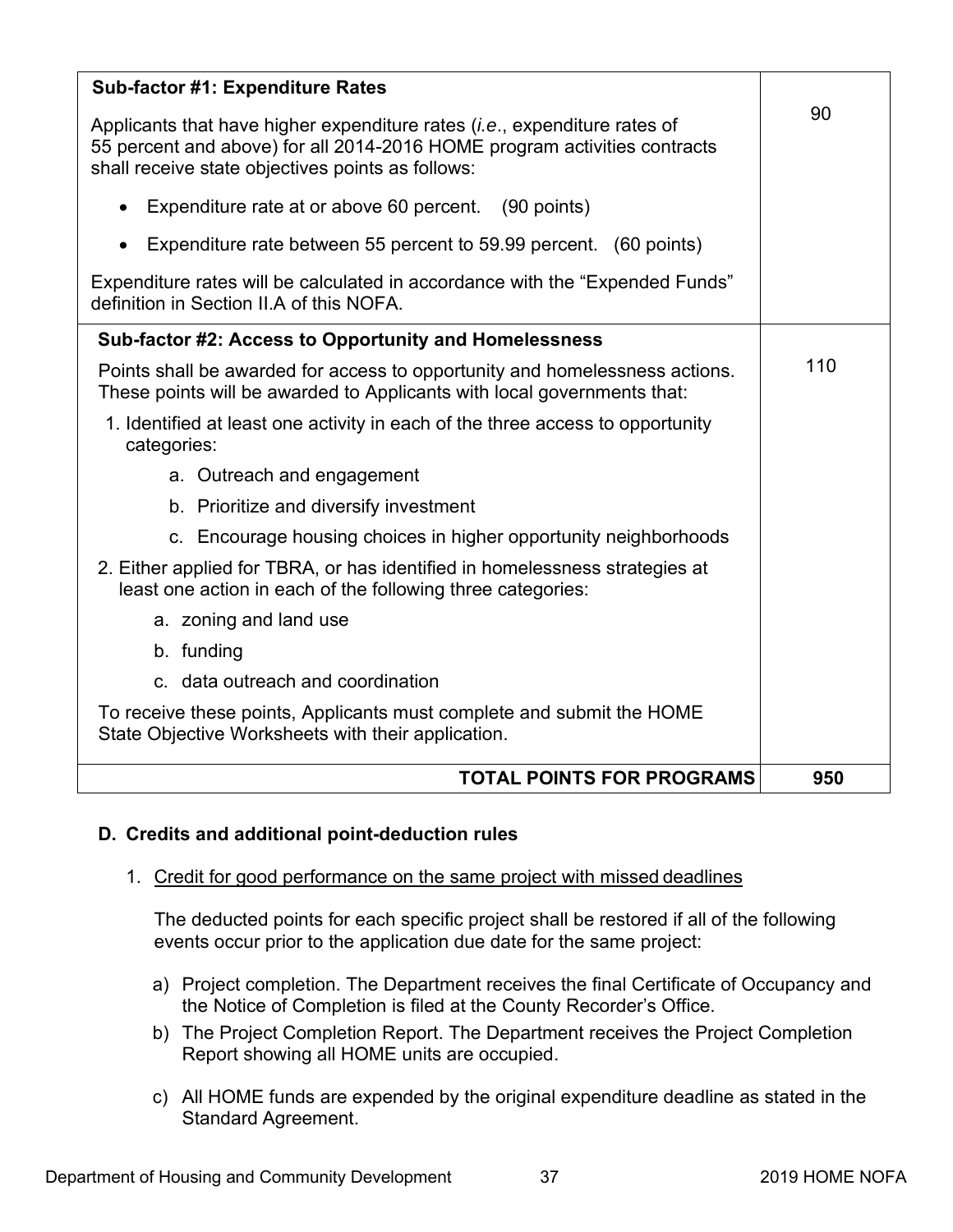<span id="page-41-0"></span>

| <b>Sub-factor #1: Expenditure Rates</b>                                                                                                                                                                              |     |
|----------------------------------------------------------------------------------------------------------------------------------------------------------------------------------------------------------------------|-----|
| Applicants that have higher expenditure rates ( <i>i.e.</i> , expenditure rates of<br>55 percent and above) for all 2014-2016 HOME program activities contracts<br>shall receive state objectives points as follows: | 90  |
| Expenditure rate at or above 60 percent. (90 points)                                                                                                                                                                 |     |
| Expenditure rate between 55 percent to 59.99 percent. (60 points)                                                                                                                                                    |     |
| Expenditure rates will be calculated in accordance with the "Expended Funds"<br>definition in Section II.A of this NOFA.                                                                                             |     |
| Sub-factor #2: Access to Opportunity and Homelessness                                                                                                                                                                |     |
| Points shall be awarded for access to opportunity and homelessness actions.<br>These points will be awarded to Applicants with local governments that:                                                               | 110 |
| 1. Identified at least one activity in each of the three access to opportunity<br>categories:                                                                                                                        |     |
| a. Outreach and engagement                                                                                                                                                                                           |     |
| b. Prioritize and diversify investment                                                                                                                                                                               |     |
| c. Encourage housing choices in higher opportunity neighborhoods                                                                                                                                                     |     |
| 2. Either applied for TBRA, or has identified in homelessness strategies at<br>least one action in each of the following three categories:                                                                           |     |
| a. zoning and land use                                                                                                                                                                                               |     |
| b. funding                                                                                                                                                                                                           |     |
| c. data outreach and coordination                                                                                                                                                                                    |     |
| To receive these points, Applicants must complete and submit the HOME<br>State Objective Worksheets with their application.                                                                                          |     |
| <b>TOTAL POINTS FOR PROGRAMS</b>                                                                                                                                                                                     | 950 |

# **D. Credits and additional point-deduction rules**

# 1. Credit for good performance on the same project with missed deadlines

The deducted points for each specific project shall be restored if all of the following events occur prior to the application due date for the same project:

- a) Project completion. The Department receives the final Certificate of Occupancy and the Notice of Completion is filed at the County Recorder's Office.
- b) The Project Completion Report. The Department receives the Project Completion Report showing all HOME units are occupied.
- c) All HOME funds are expended by the original expenditure deadline as stated in the Standard Agreement.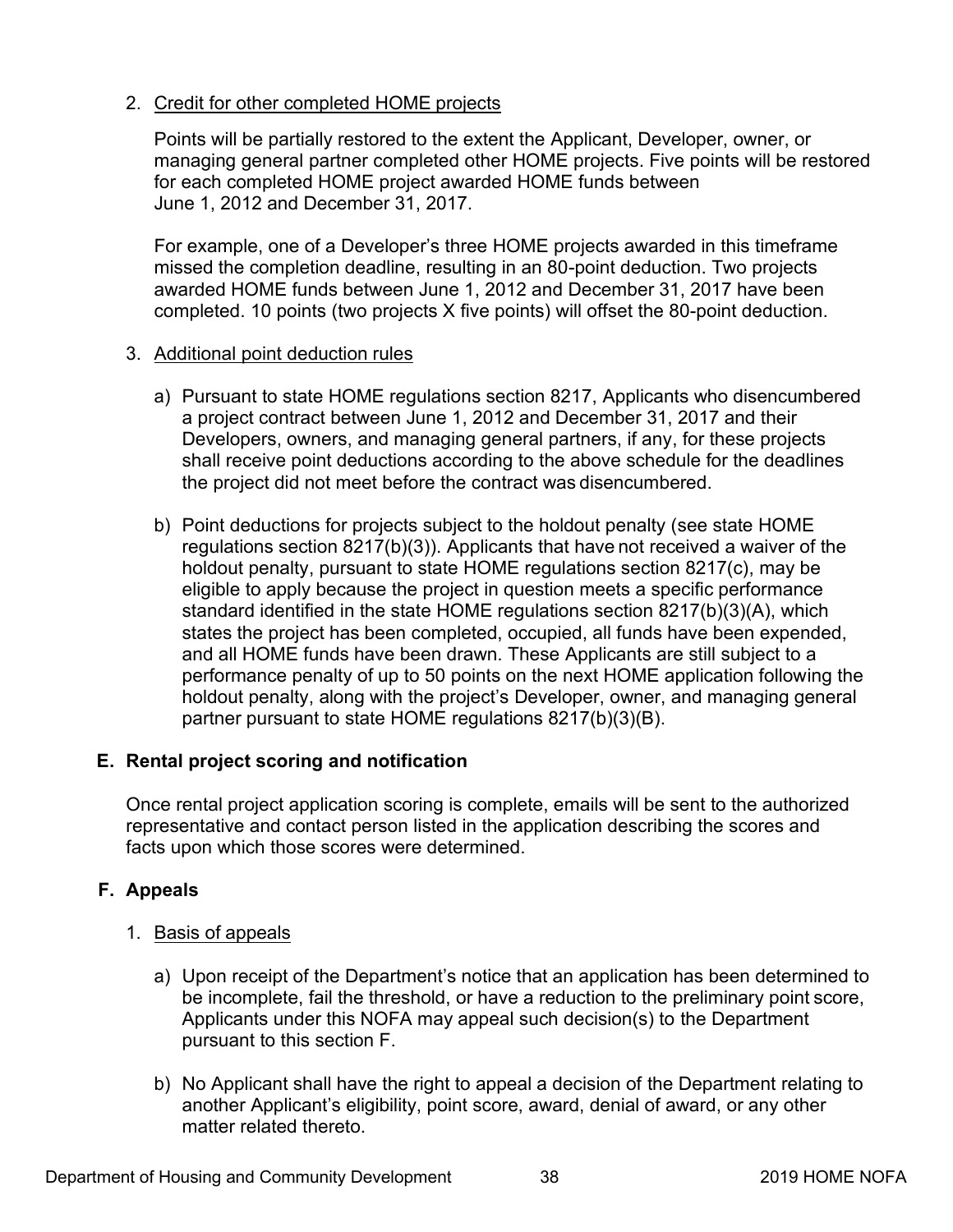# <span id="page-42-0"></span>2. Credit for other completed HOME projects

Points will be partially restored to the extent the Applicant, Developer, owner, or managing general partner completed other HOME projects. Five points will be restored for each completed HOME project awarded HOME funds between June 1, 2012 and December 31, 2017.

For example, one of a Developer's three HOME projects awarded in this timeframe missed the completion deadline, resulting in an 80-point deduction. Two projects awarded HOME funds between June 1, 2012 and December 31, 2017 have been completed. 10 points (two projects X five points) will offset the 80-point deduction.

# 3. Additional point deduction rules

- a) Pursuant to state HOME regulations section 8217, Applicants who disencumbered a project contract between June 1, 2012 and December 31, 2017 and their Developers, owners, and managing general partners, if any, for these projects shall receive point deductions according to the above schedule for the deadlines the project did not meet before the contract was disencumbered.
- b) Point deductions for projects subject to the holdout penalty (see state HOME regulations section 8217(b)(3)). Applicants that have not received a waiver of the holdout penalty, pursuant to state HOME regulations section 8217(c), may be eligible to apply because the project in question meets a specific performance standard identified in the state HOME regulations section 8217(b)(3)(A), which states the project has been completed, occupied, all funds have been expended, and all HOME funds have been drawn. These Applicants are still subject to a performance penalty of up to 50 points on the next HOME application following the holdout penalty, along with the project's Developer, owner, and managing general partner pursuant to state HOME regulations 8217(b)(3)(B).

# **E. Rental project scoring and notification**

Once rental project application scoring is complete, emails will be sent to the authorized representative and contact person listed in the application describing the scores and facts upon which those scores were determined.

# **F. Appeals**

- 1. Basis of appeals
	- a) Upon receipt of the Department's notice that an application has been determined to be incomplete, fail the threshold, or have a reduction to the preliminary point score, Applicants under this NOFA may appeal such decision(s) to the Department pursuant to this section F.
	- b) No Applicant shall have the right to appeal a decision of the Department relating to another Applicant's eligibility, point score, award, denial of award, or any other matter related thereto.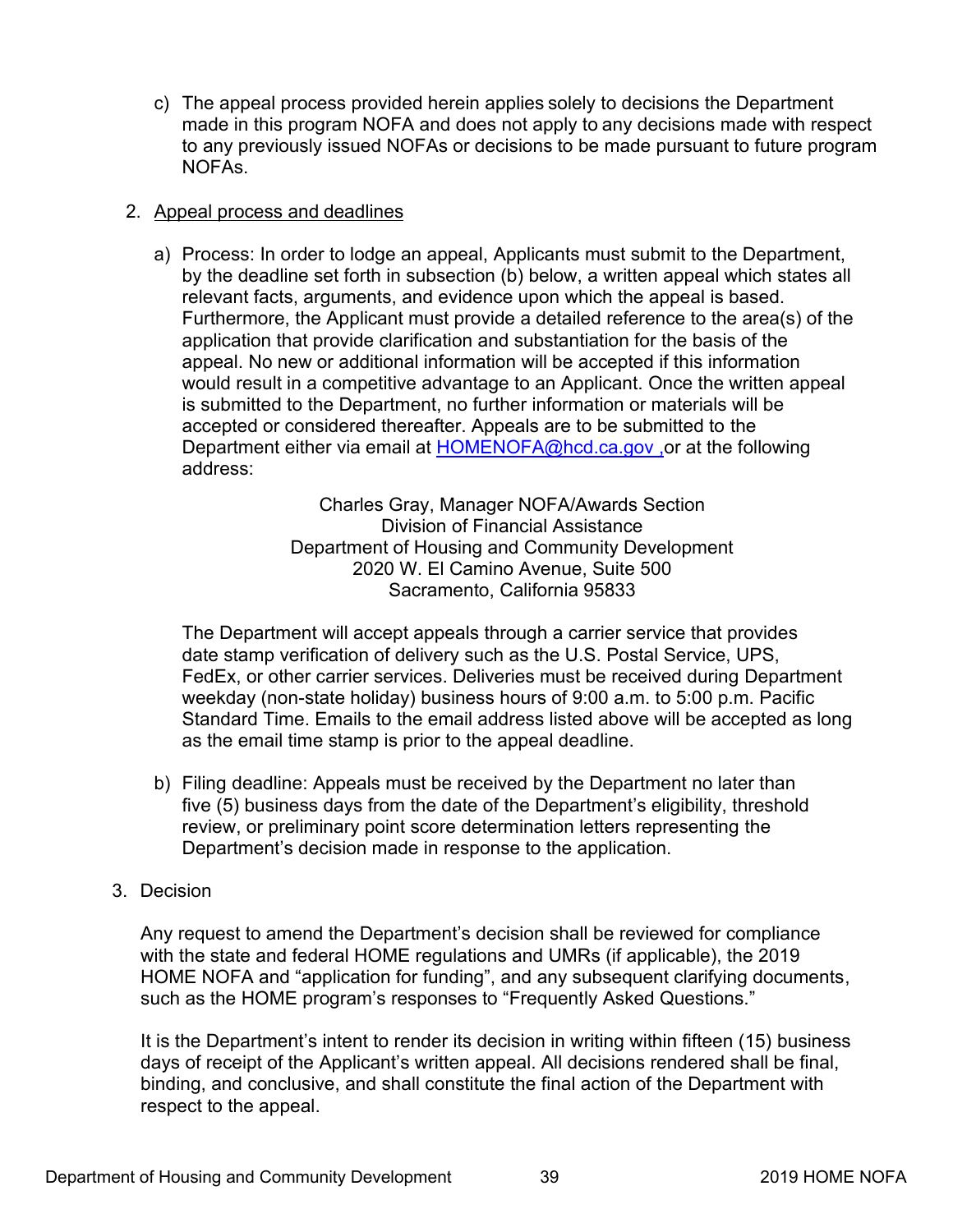c) The appeal process provided herein applies solely to decisions the Department made in this program NOFA and does not apply to any decisions made with respect to any previously issued NOFAs or decisions to be made pursuant to future program NOFAs.

# 2. Appeal process and deadlines

a) Process: In order to lodge an appeal, Applicants must submit to the Department, by the deadline set forth in subsection (b) below, a written appeal which states all relevant facts, arguments, and evidence upon which the appeal is based. Furthermore, the Applicant must provide a detailed reference to the area(s) of the application that provide clarification and substantiation for the basis of the appeal. No new or additional information will be accepted if this information would result in a competitive advantage to an Applicant. Once the written appeal is submitted to the Department, no further information or materials will be accepted or considered thereafter. Appeals are to be submitted to the Department either via email at [HOMENOFA@hcd.ca.gov](mailto:HOMENOFA@hcd.ca.gov), or at the following address:

> Charles Gray, Manager NOFA/Awards Section Division of Financial Assistance Department of Housing and Community Development 2020 W. El Camino Avenue, Suite 500 Sacramento, California 95833

The Department will accept appeals through a carrier service that provides date stamp verification of delivery such as the U.S. Postal Service, UPS, FedEx, or other carrier services. Deliveries must be received during Department weekday (non-state holiday) business hours of 9:00 a.m. to 5:00 p.m. Pacific Standard Time. Emails to the email address listed above will be accepted as long as the email time stamp is prior to the appeal deadline.

- b) Filing deadline: Appeals must be received by the Department no later than five (5) business days from the date of the Department's eligibility, threshold review, or preliminary point score determination letters representing the Department's decision made in response to the application.
- 3. Decision

Any request to amend the Department's decision shall be reviewed for compliance with the state and federal HOME regulations and UMRs (if applicable), the 2019 HOME NOFA and "application for funding", and any subsequent clarifying documents, such as the HOME program's responses to "Frequently Asked Questions."

It is the Department's intent to render its decision in writing within fifteen (15) business days of receipt of the Applicant's written appeal. All decisions rendered shall be final, binding, and conclusive, and shall constitute the final action of the Department with respect to the appeal.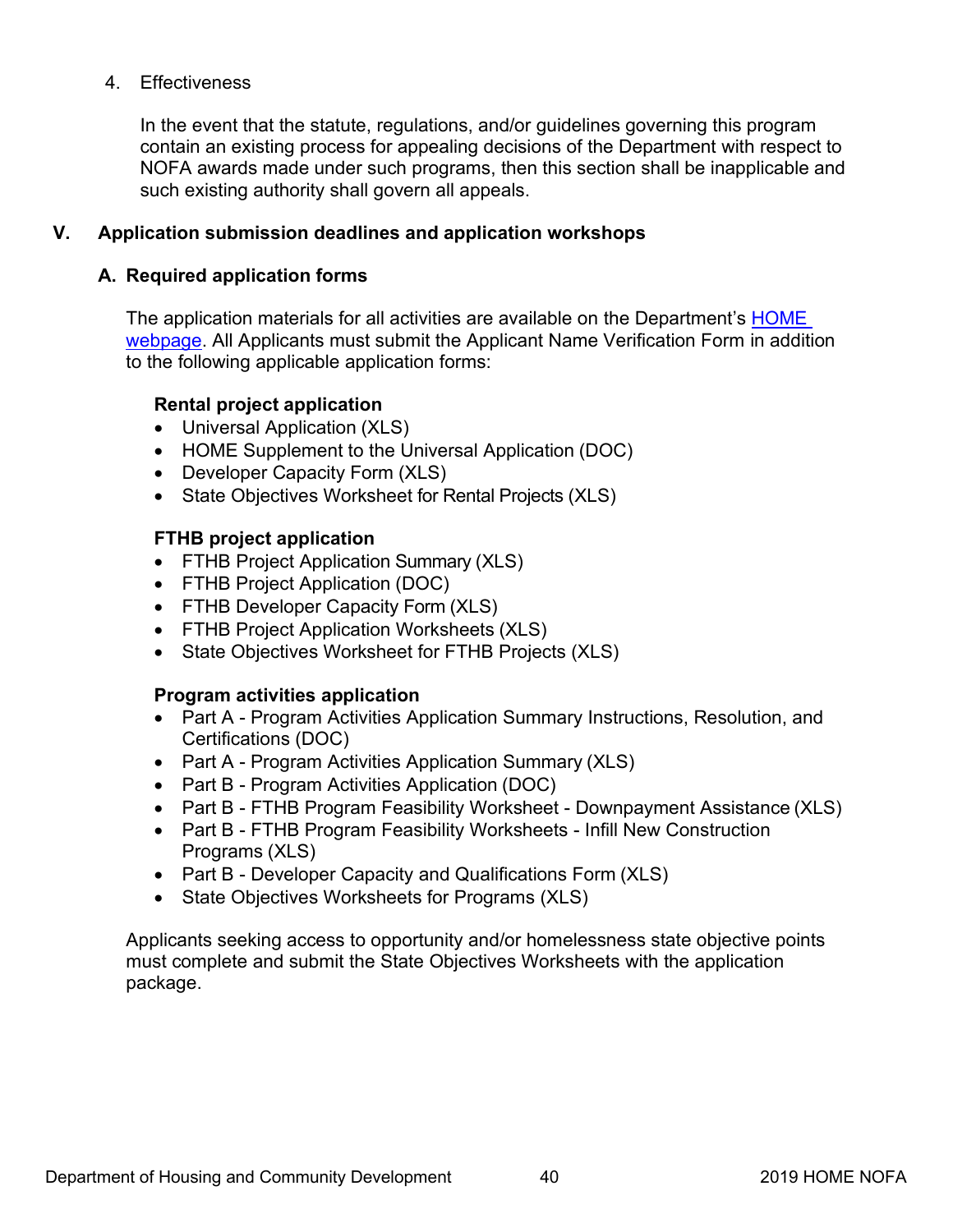# <span id="page-44-0"></span>4. Effectiveness

In the event that the statute, regulations, and/or guidelines governing this program contain an existing process for appealing decisions of the Department with respect to NOFA awards made under such programs, then this section shall be inapplicable and such existing authority shall govern all appeals.

# **V. Application submission deadlines and application workshops**

# **A. Required application forms**

The application materials for all activities are available on the Department's HOME webpage. All Applicants must submit the Applicant Name Verification Form in addition to the following applicable application forms:

# **Rental project application**

- [Universal Application](http://www.hcd.ca.gov/grants-funding/nofas/docs/Req_5_NOFA-9_Attachment-4-2016-Universal-Rental-Project-Application-Form.xls) (XLS)
- [HOME Supplement to the Universal Application](http://www.hcd.ca.gov/grants-funding/nofas/docs/HOME-Supplement-to-Universal-Application.doc) (DOC)
- [Developer Capacity Form](http://www.hcd.ca.gov/grants-funding/nofas/docs/Req-6-NOFA-11-Attachment-2016-FTHB-Developer-Capacity.xls) (XLS)
- State Objectives Worksheet [for Rental Projects](http://www.hcd.ca.gov/grants-funding/nofas/docs/Req_12_NOFA-12_Attachment_2016-Final-Deeper-Affordability.xlsx) (XLS)

# **FTHB project application**

- [FTHB Project Application](http://www.hcd.ca.gov/grants-funding/nofas/docs/Attachment-21-FIIXED-2-Part-A-2016-Final-Summary-Application-Homebuyer.xls) Summary (XLS)
- [FTHB Project Application](http://www.hcd.ca.gov/grants-funding/nofas/docs/Part-B-First-Time-Homebuyer-Project-Application.doc) (DOC)
- [FTHB Developer Capacity](http://www.hcd.ca.gov/grants-funding/nofas/docs/Attachment-11-2016-FTHB-Developer-Capacity.xls) Form (XLS)
- [FTHB Project Application Worksheets](http://www.hcd.ca.gov/grants-funding/nofas/docs/Attachment-12-Part-B-2016-FTHB-Project-Application-Worksheets.xls) (XLS)
- [State Objectives](http://www.hcd.ca.gov/grants-funding/nofas/docs/Req_13_NOFA-19_Attachment_2016-Minority-Concentration-State-Objective-....xlsx) Worksheet for FTHB Projects (XLS)

# **Program activities application**

- Part A [Program Activities Application](http://www.hcd.ca.gov/grants-funding/nofas/docs/20A-FINAL-Part-A-Program-Activities-Summary-Application-Instructions-Resolution-and-Certifications-November-2016-2-1-2017.docx) Summary Instructions, Resolution, and Certifications (DOC)
- Part A [Program Activities Application](http://www.hcd.ca.gov/grants-funding/nofas/docs/21-FINAL-Part-A-Program-Activities-Application-Summary-2016.xls) Summary (XLS)
- Part B [Program Activities Application](http://www.hcd.ca.gov/grants-funding/nofas/docs/NOFA-22_FINAL-Part-B-Program-Activities-Application-2016.docx) (DOC)
- Part B [FTHB Program Feasibility Worksheet -](http://www.hcd.ca.gov/grants-funding/nofas/docs/23-FINAL-Part-B-First-Time-Homebuyer-Feasibility-Worksheet-Mortgage-Assistance-2016.xls) Downpayment Assistance (XLS)
- Part B FTHB [Program Feasibility Worksheets -](http://www.hcd.ca.gov/grants-funding/nofas/docs/24-FINAL-Part-B-First-Time-Homebuyer-Program-Feasibility-Infill-New-Construction-2016.xls) Infill New Construction Programs (XLS)
- Part B [Developer Capacity and Qualifications Form](http://www.hcd.ca.gov/grants-funding/nofas/docs/Attachment-19-Part-B-2016-Developer-Capacity-Form-(CHDO-Applicants-Only)-FINAL.xls) (XLS)
- [State Objectives](http://www.hcd.ca.gov/grants-funding/nofas/docs/Req_13_NOFA-19_Attachment_2016-Minority-Concentration-State-Objective-....xlsx) Worksheets for Programs (XLS)

Applicants seeking access to opportunity and/or homelessness state objective points must complete and submit the State Objectives Worksheets with the application package.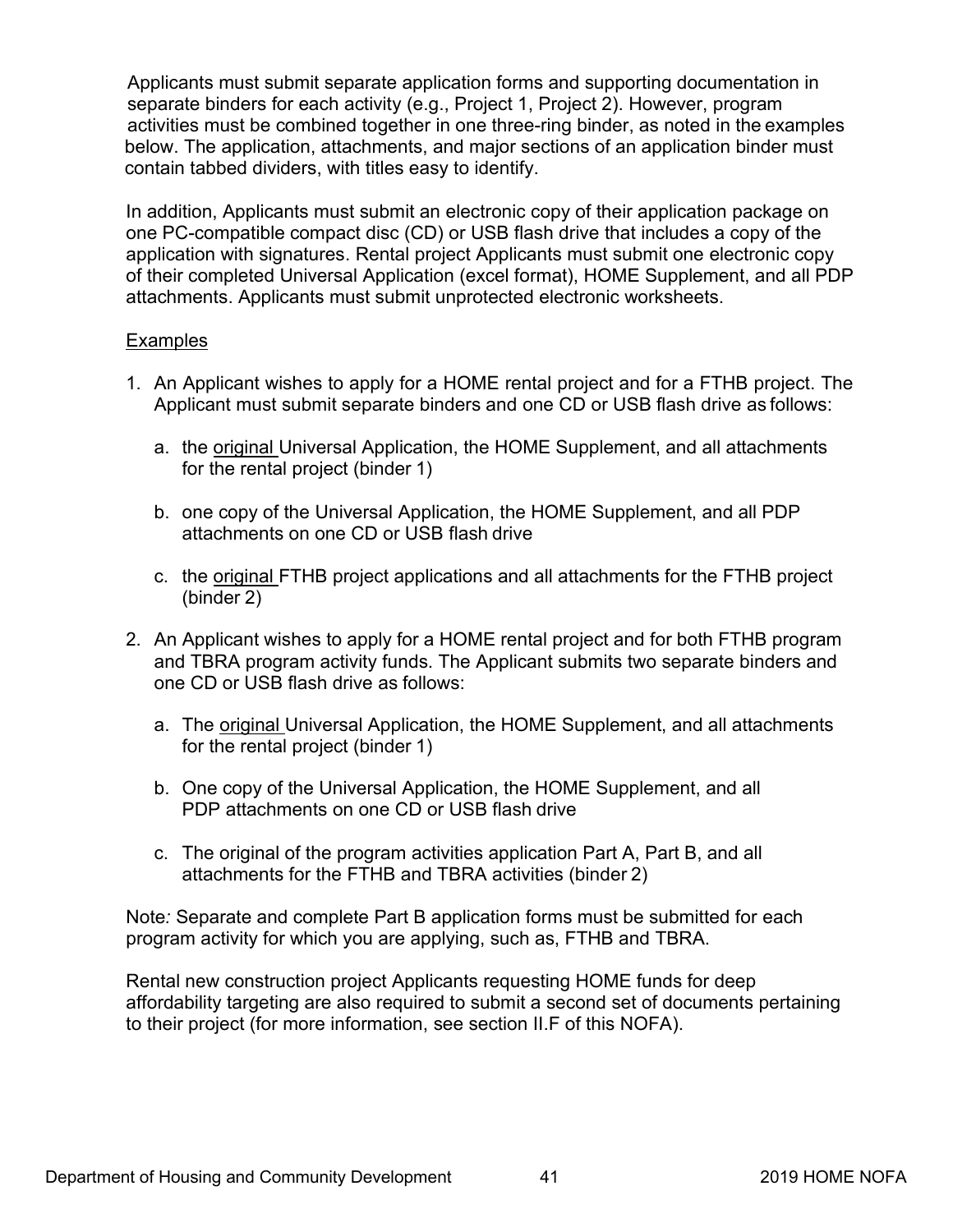Applicants must submit separate application forms and supporting documentation in separate binders for each activity (e.g., Project 1, Project 2). However, program activities must be combined together in one three-ring binder, as noted in the examples below. The application, attachments, and major sections of an application binder must contain tabbed dividers, with titles easy to identify.

In addition, Applicants must submit an electronic copy of their application package on one PC-compatible compact disc (CD) or USB flash drive that includes a copy of the application with signatures. Rental project Applicants must submit one electronic copy of their completed Universal Application (excel format), HOME Supplement, and all PDP attachments. Applicants must submit unprotected electronic worksheets.

# Examples

- 1. An Applicant wishes to apply for a HOME rental project and for a FTHB project. The Applicant must submit separate binders and one CD or USB flash drive as follows:
	- a. the original Universal Application, the HOME Supplement, and all attachments for the rental project (binder 1)
	- b. one copy of the Universal Application, the HOME Supplement, and all PDP attachments on one CD or USB flash drive
	- c. the original FTHB project applications and all attachments for the FTHB project (binder 2)
- 2. An Applicant wishes to apply for a HOME rental project and for both FTHB program and TBRA program activity funds. The Applicant submits two separate binders and one CD or USB flash drive as follows:
	- a. The original Universal Application, the HOME Supplement, and all attachments for the rental project (binder 1)
	- b. One copy of the Universal Application, the HOME Supplement, and all PDP attachments on one CD or USB flash drive
	- c. The original of the program activities application Part A, Part B, and all attachments for the FTHB and TBRA activities (binder 2)

Note*:* Separate and complete Part B application forms must be submitted for each program activity for which you are applying, such as, FTHB and TBRA.

Rental new construction project Applicants requesting HOME funds for deep affordability targeting are also required to submit a second set of documents pertaining to their project (for more information, see section II.F of this NOFA).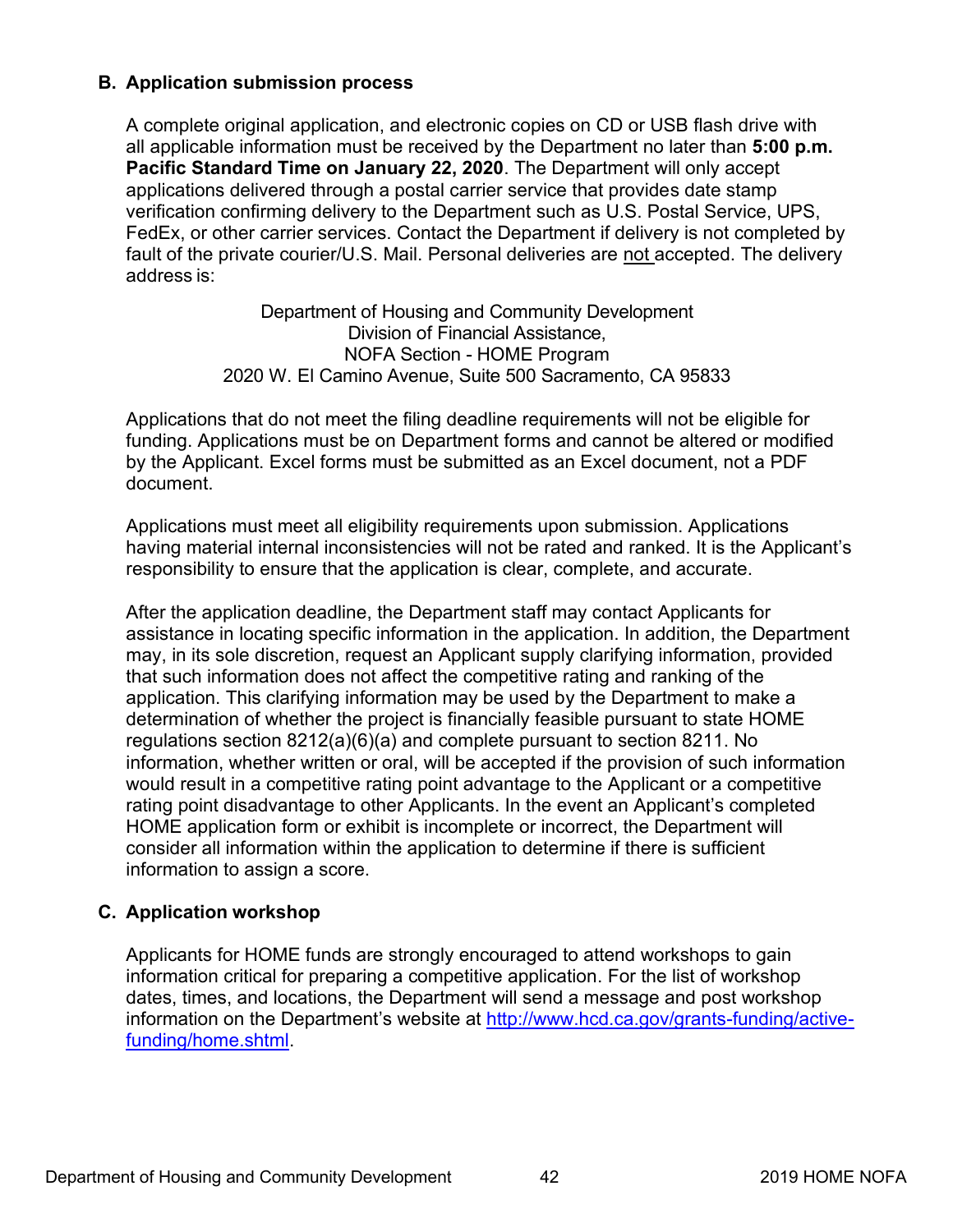# <span id="page-46-0"></span>**B. Application submission process**

A complete original application, and electronic copies on CD or USB flash drive with all applicable information must be received by the Department no later than **5:00 p.m. Pacific Standard Time on January 22, 2020**. The Department will only accept applications delivered through a postal carrier service that provides date stamp verification confirming delivery to the Department such as U.S. Postal Service, UPS, FedEx, or other carrier services. Contact the Department if delivery is not completed by fault of the private courier/U.S. Mail. Personal deliveries are not accepted. The delivery address is:

> Department of Housing and Community Development Division of Financial Assistance, NOFA Section - HOME Program 2020 W. El Camino Avenue, Suite 500 Sacramento, CA 95833

Applications that do not meet the filing deadline requirements will not be eligible for funding. Applications must be on Department forms and cannot be altered or modified by the Applicant. Excel forms must be submitted as an Excel document, not a PDF document.

Applications must meet all eligibility requirements upon submission. Applications having material internal inconsistencies will not be rated and ranked. It is the Applicant's responsibility to ensure that the application is clear, complete, and accurate.

After the application deadline, the Department staff may contact Applicants for assistance in locating specific information in the application. In addition, the Department may, in its sole discretion, request an Applicant supply clarifying information, provided that such information does not affect the competitive rating and ranking of the application. This clarifying information may be used by the Department to make a determination of whether the project is financially feasible pursuant to state HOME regulations section 8212(a)(6)(a) and complete pursuant to section 8211. No information, whether written or oral, will be accepted if the provision of such information would result in a competitive rating point advantage to the Applicant or a competitive rating point disadvantage to other Applicants. In the event an Applicant's completed HOME application form or exhibit is incomplete or incorrect, the Department will consider all information within the application to determine if there is sufficient information to assign a score.

# **C. Application workshop**

Applicants for HOME funds are strongly encouraged to attend workshops to gain information critical for preparing a competitive application. For the list of workshop dates, times, and locations, the Department will send a message and post workshop information on the Department's website at [http://www.hcd.ca.gov/grants-funding/active](http://www.hcd.ca.gov/grants-funding/active-funding/home.shtml)funding/home.shtml.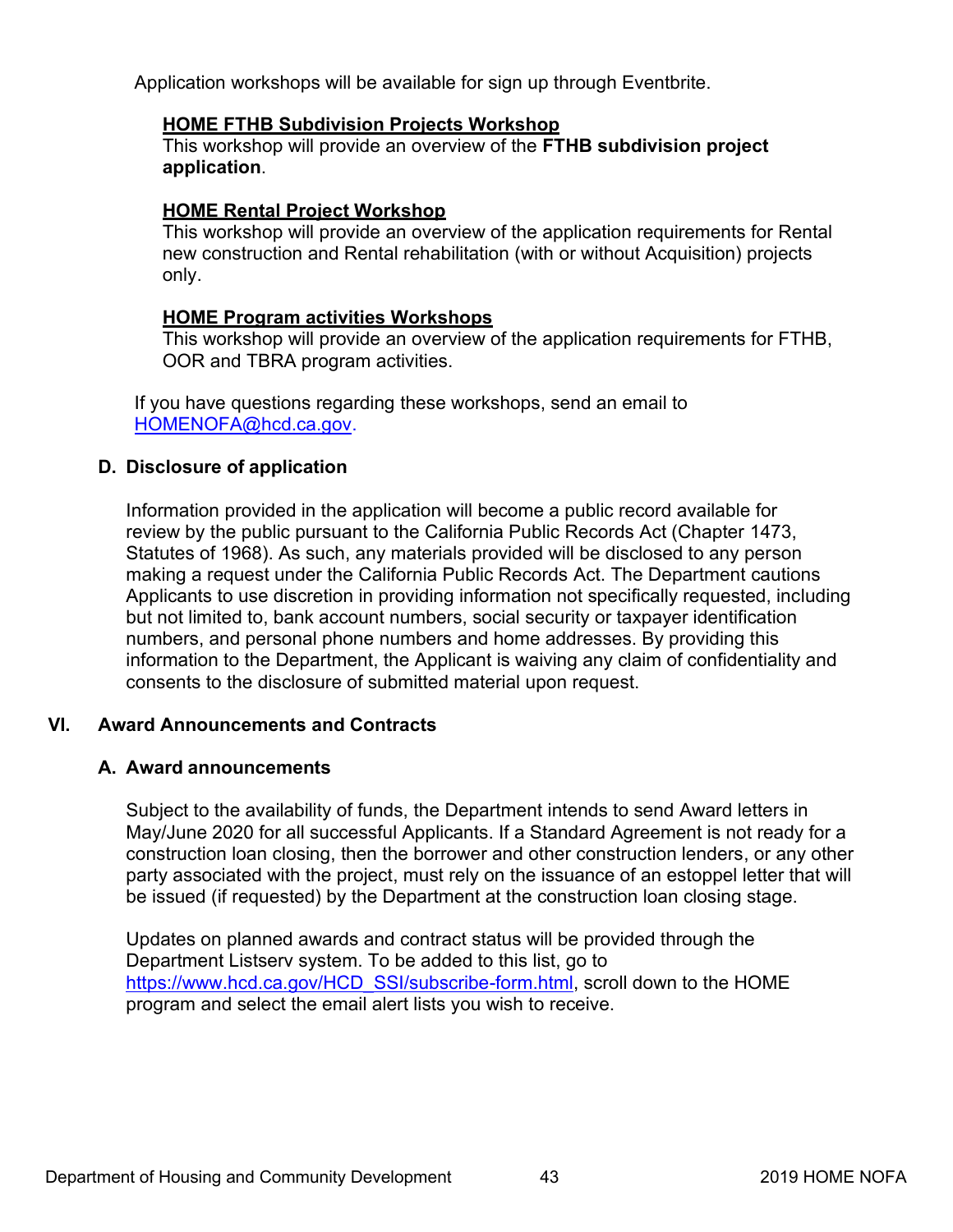<span id="page-47-0"></span>Application workshops will be available for sign up through Eventbrite.

#### **HOME FTHB Subdivision Projects Workshop**

This workshop will provide an overview of the **FTHB subdivision project application**.

# **HOME Rental Project Workshop**

This workshop will provide an overview of the application requirements for Rental new construction and Rental rehabilitation (with or without Acquisition) projects only.

# **HOME Program activities Workshops**

This workshop will provide an overview of the application requirements for FTHB, OOR and TBRA program activities.

If you have questions regarding these workshops, send an email to [HOMENOFA@hcd.ca.gov.](mailto:HOMENOFA@hcd.ca.gov.)

# **D. Disclosure of application**

Information provided in the application will become a public record available for review by the public pursuant to the California Public Records Act (Chapter 1473, Statutes of 1968). As such, any materials provided will be disclosed to any person making a request under the California Public Records Act. The Department cautions Applicants to use discretion in providing information not specifically requested, including but not limited to, bank account numbers, social security or taxpayer identification numbers, and personal phone numbers and home addresses. By providing this information to the Department, the Applicant is waiving any claim of confidentiality and consents to the disclosure of submitted material upon request.

# **VI. Award Announcements and Contracts**

# **A. Award announcements**

Subject to the availability of funds, the Department intends to send Award letters in May/June 2020 for all successful Applicants. If a Standard Agreement is not ready for a construction loan closing, then the borrower and other construction lenders, or any other party associated with the project, must rely on the issuance of an estoppel letter that will be issued (if requested) by the Department at the construction loan closing stage.

Updates on planned awards and contract status will be provided through the Department Listserv system. To be added to this list, go to [https://www.hcd.ca.gov/HCD\\_SSI/subscribe-form.html,](https://www.hcd.ca.gov/HCD_SSI/subscribe-form.html) scroll down to the HOME program and select the email alert lists you wish to receive.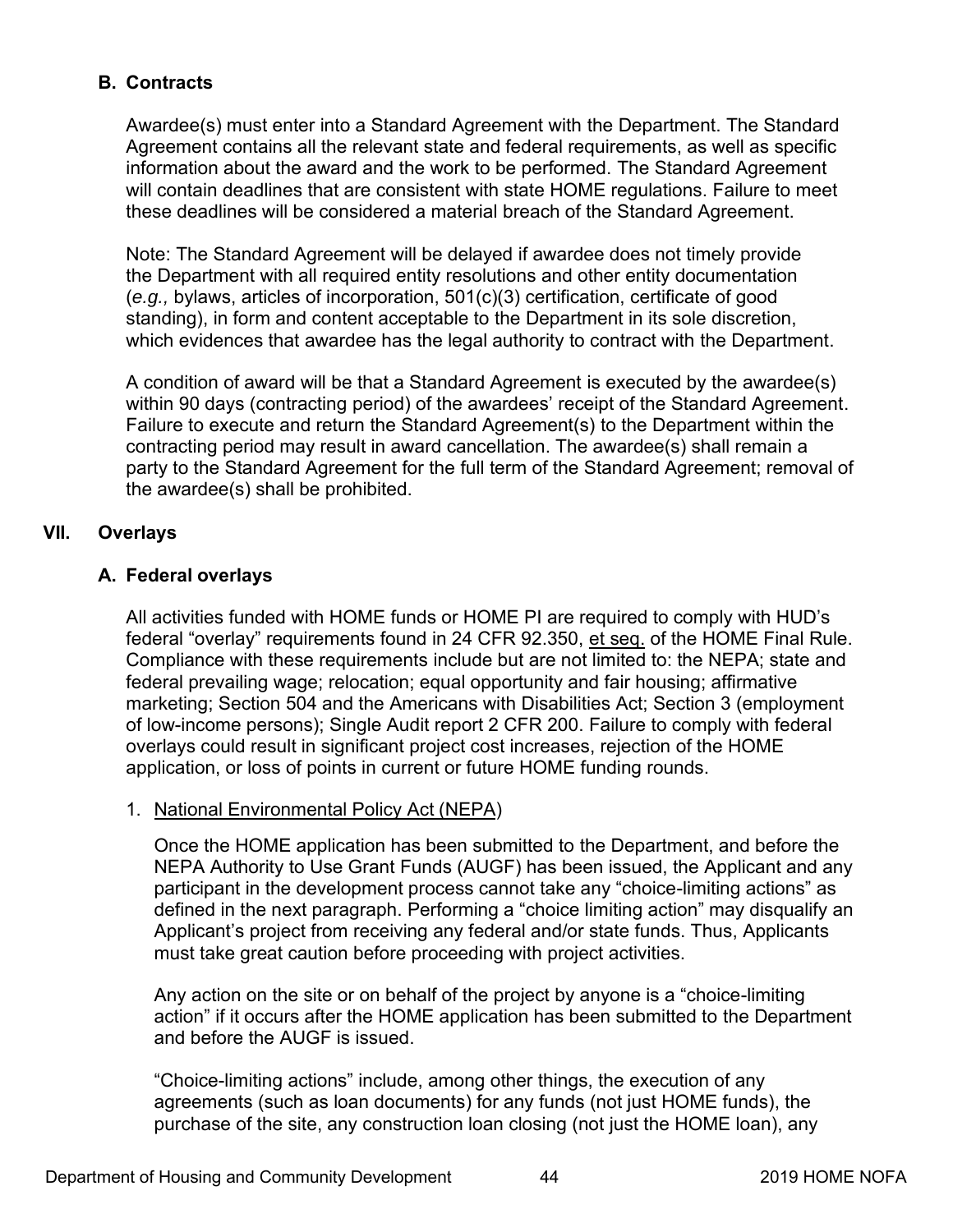# <span id="page-48-0"></span>**B. Contracts**

Awardee(s) must enter into a Standard Agreement with the Department. The Standard Agreement contains all the relevant state and federal requirements, as well as specific information about the award and the work to be performed. The Standard Agreement will contain deadlines that are consistent with state HOME regulations. Failure to meet these deadlines will be considered a material breach of the Standard Agreement.

Note: The Standard Agreement will be delayed if awardee does not timely provide the Department with all required entity resolutions and other entity documentation (*e.g.,* bylaws, articles of incorporation, 501(c)(3) certification, certificate of good standing), in form and content acceptable to the Department in its sole discretion, which evidences that awardee has the legal authority to contract with the Department.

A condition of award will be that a Standard Agreement is executed by the awardee(s) within 90 days (contracting period) of the awardees' receipt of the Standard Agreement. Failure to execute and return the Standard Agreement(s) to the Department within the contracting period may result in award cancellation. The awardee(s) shall remain a party to the Standard Agreement for the full term of the Standard Agreement; removal of the awardee(s) shall be prohibited.

# **VII. Overlays**

# **A. Federal overlays**

All activities funded with HOME funds or HOME PI are required to comply with HUD's federal "overlay" requirements found in 24 CFR 92.350, et seq. of the HOME Final Rule. Compliance with these requirements include but are not limited to: the NEPA; state and federal prevailing wage; relocation; equal opportunity and fair housing; affirmative marketing; Section 504 and the Americans with Disabilities Act; Section 3 (employment of low-income persons); Single Audit report 2 CFR 200. Failure to comply with federal overlays could result in significant project cost increases, rejection of the HOME application, or loss of points in current or future HOME funding rounds.

# 1. National Environmental Policy Act (NEPA)

Once the HOME application has been submitted to the Department, and before the NEPA Authority to Use Grant Funds (AUGF) has been issued, the Applicant and any participant in the development process cannot take any "choice-limiting actions" as defined in the next paragraph. Performing a "choice limiting action" may disqualify an Applicant's project from receiving any federal and/or state funds. Thus, Applicants must take great caution before proceeding with project activities.

Any action on the site or on behalf of the project by anyone is a "choice-limiting action" if it occurs after the HOME application has been submitted to the Department and before the AUGF is issued.

"Choice-limiting actions" include, among other things, the execution of any agreements (such as loan documents) for any funds (not just HOME funds), the purchase of the site, any construction loan closing (not just the HOME loan), any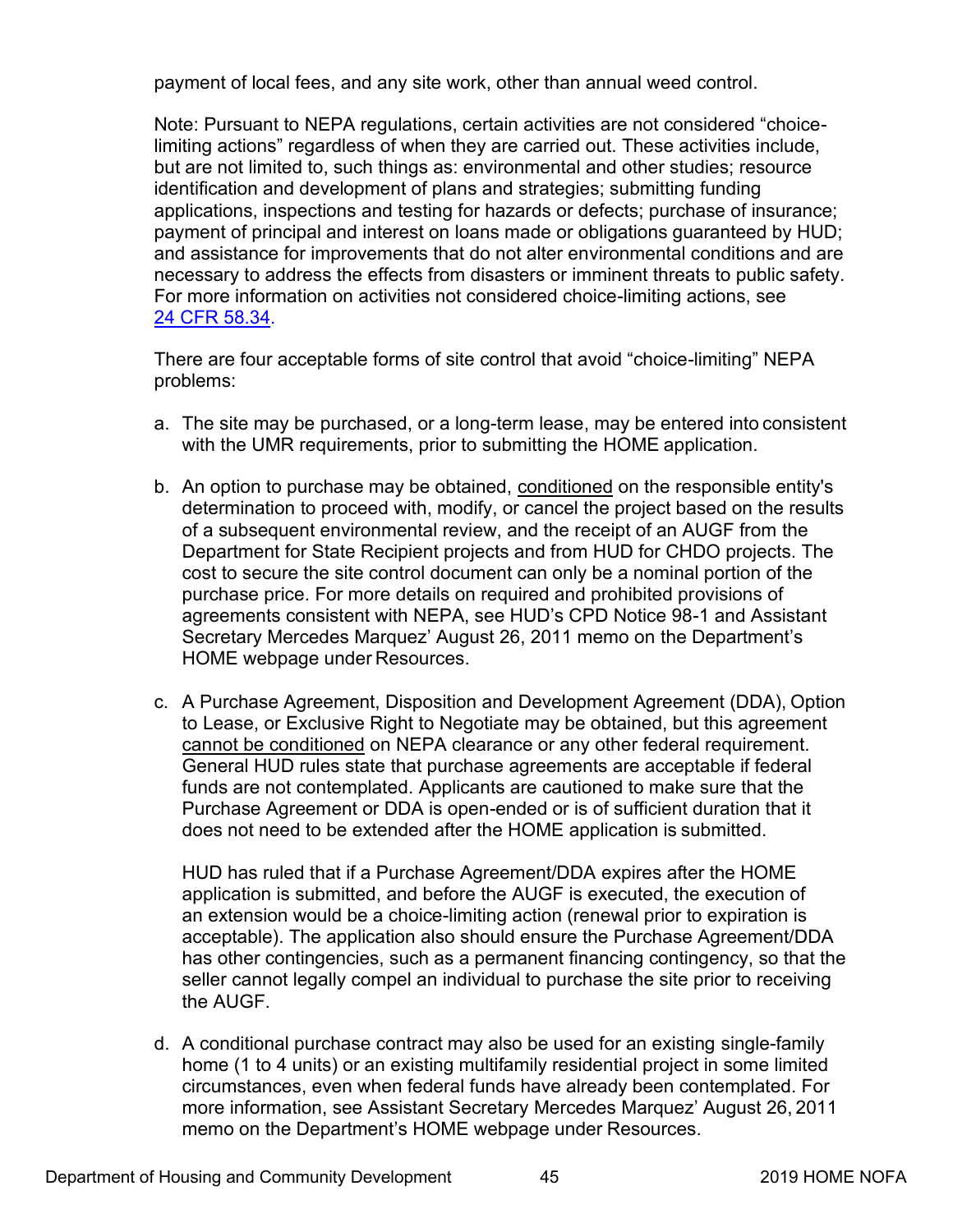payment of local fees, and any site work, other than annual weed control.

Note: Pursuant to NEPA regulations, certain activities are not considered "choicelimiting actions" regardless of when they are carried out. These activities include, but are not limited to, such things as: environmental and other studies; resource identification and development of plans and strategies; submitting funding applications, inspections and testing for hazards or defects; purchase of insurance; payment of principal and interest on loans made or obligations guaranteed by HUD; and assistance for improvements that do not alter environmental conditions and are necessary to address the effects from disasters or imminent threats to public safety. For more information on activities not considered choice-limiting actions, see 24 [CFR 58.34.](https://www.govinfo.gov/content/pkg/CFR-2004-title24-vol1/pdf/CFR-2004-title24-vol1-sec58-34.pdf)

There are four acceptable forms of site control that avoid "choice-limiting" NEPA problems:

- a. The site may be purchased, or a long-term lease, may be entered into consistent with the UMR requirements, prior to submitting the HOME application.
- b. An option to purchase may be obtained, conditioned on the responsible entity's determination to proceed with, modify, or cancel the project based on the results of a subsequent environmental review, and the receipt of an AUGF from the Department for State Recipient projects and from HUD for CHDO projects. The cost to secure the site control document can only be a nominal portion of the purchase price. For more details on required and prohibited provisions of agreements consistent with NEPA, see HUD's CPD Notice 98-1 and Assistant Secretary Mercedes Marquez' August 26, 2011 memo on the Department's HOME webpage under Resources.
- c. A Purchase Agreement, Disposition and Development Agreement (DDA), Option to Lease, or Exclusive Right to Negotiate may be obtained, but this agreement cannot be conditioned on NEPA clearance or any other federal requirement. General HUD rules state that purchase agreements are acceptable if federal funds are not contemplated. Applicants are cautioned to make sure that the Purchase Agreement or DDA is open-ended or is of sufficient duration that it does not need to be extended after the HOME application is submitted.

HUD has ruled that if a Purchase Agreement/DDA expires after the HOME application is submitted, and before the AUGF is executed, the execution of an extension would be a choice-limiting action (renewal prior to expiration is acceptable). The application also should ensure the Purchase Agreement/DDA has other contingencies, such as a permanent financing contingency, so that the seller cannot legally compel an individual to purchase the site prior to receiving the AUGF.

d. A conditional purchase contract may also be used for an existing single-family home (1 to 4 units) or an existing multifamily residential project in some limited circumstances, even when federal funds have already been contemplated. For more information, see Assistant Secretary Mercedes Marquez' August 26, 2011 memo on the Department's HOME webpage under Resources.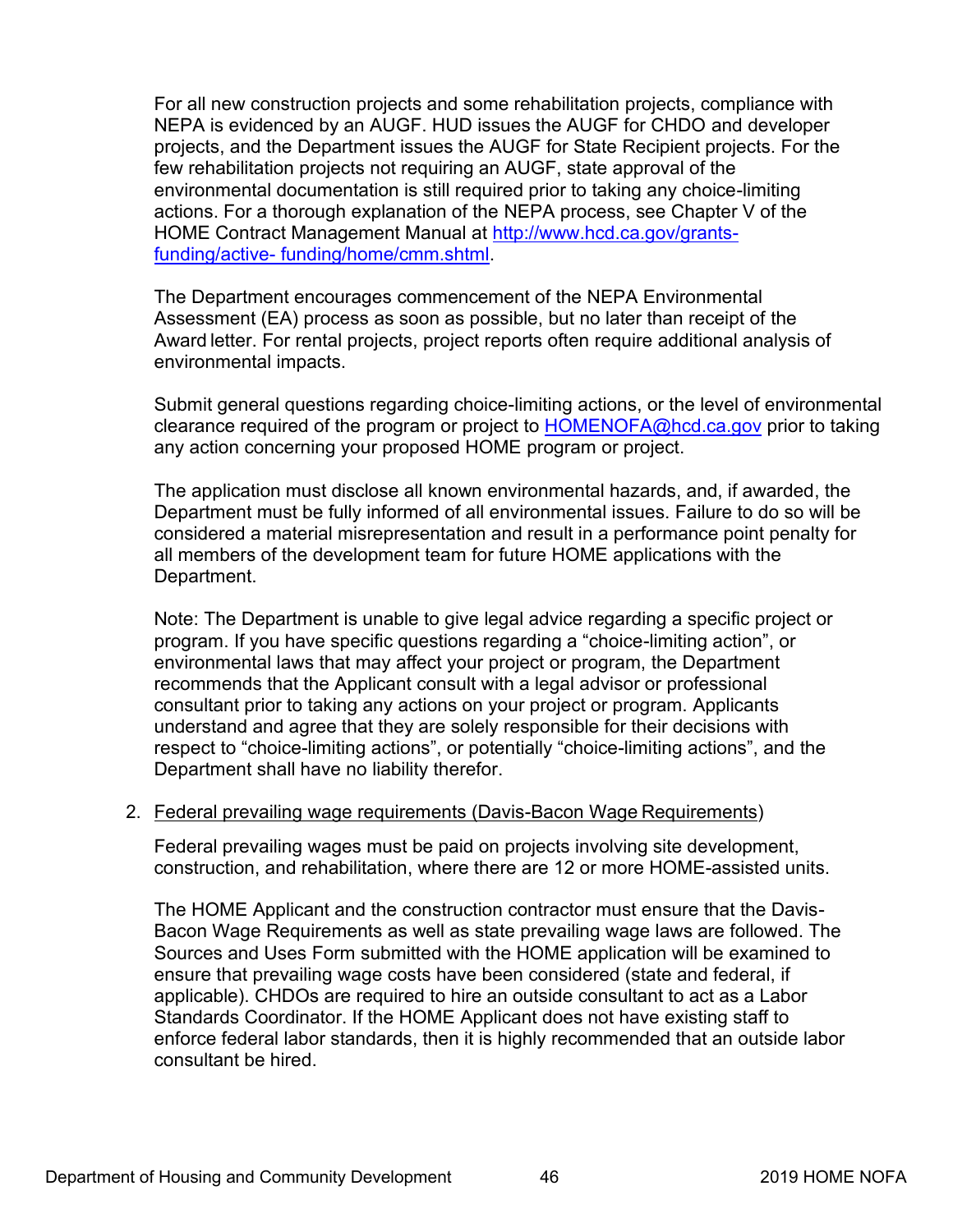For all new construction projects and some rehabilitation projects, compliance with NEPA is evidenced by an AUGF. HUD issues the AUGF for CHDO and developer projects, and the Department issues the AUGF for State Recipient projects. For the few rehabilitation projects not requiring an AUGF, state approval of the environmental documentation is still required prior to taking any choice-limiting actions. For a thorough explanation of the NEPA process, see Chapter V of the HOME Contract Management Manual at [http://www.hcd.ca.gov/grants](http://www.hcd.ca.gov/grants-funding/active-funding/home/cmm.shtml)funding/active- funding/home/cmm.shtml.

The Department encourages commencement of the NEPA Environmental Assessment (EA) process as soon as possible, but no later than receipt of the Award letter. For rental projects, project reports often require additional analysis of environmental impacts.

Submit general questions regarding choice-limiting actions, or the level of environmental clearance required of the program or project to [HOMENOFA@hcd.ca.gov](mailto:HOMENOFA@hcd.ca.gov) prior to taking any action concerning your proposed HOME program or project.

The application must disclose all known environmental hazards, and, if awarded, the Department must be fully informed of all environmental issues. Failure to do so will be considered a material misrepresentation and result in a performance point penalty for all members of the development team for future HOME applications with the Department.

Note: The Department is unable to give legal advice regarding a specific project or program. If you have specific questions regarding a "choice-limiting action", or environmental laws that may affect your project or program, the Department recommends that the Applicant consult with a legal advisor or professional consultant prior to taking any actions on your project or program. Applicants understand and agree that they are solely responsible for their decisions with respect to "choice-limiting actions", or potentially "choice-limiting actions", and the Department shall have no liability therefor.

# 2. Federal prevailing wage requirements (Davis-Bacon Wage Requirements)

Federal prevailing wages must be paid on projects involving site development, construction, and rehabilitation, where there are 12 or more HOME-assisted units.

The HOME Applicant and the construction contractor must ensure that the Davis-Bacon Wage Requirements as well as state prevailing wage laws are followed. The Sources and Uses Form submitted with the HOME application will be examined to ensure that prevailing wage costs have been considered (state and federal, if applicable). CHDOs are required to hire an outside consultant to act as a Labor Standards Coordinator. If the HOME Applicant does not have existing staff to enforce federal labor standards, then it is highly recommended that an outside labor consultant be hired.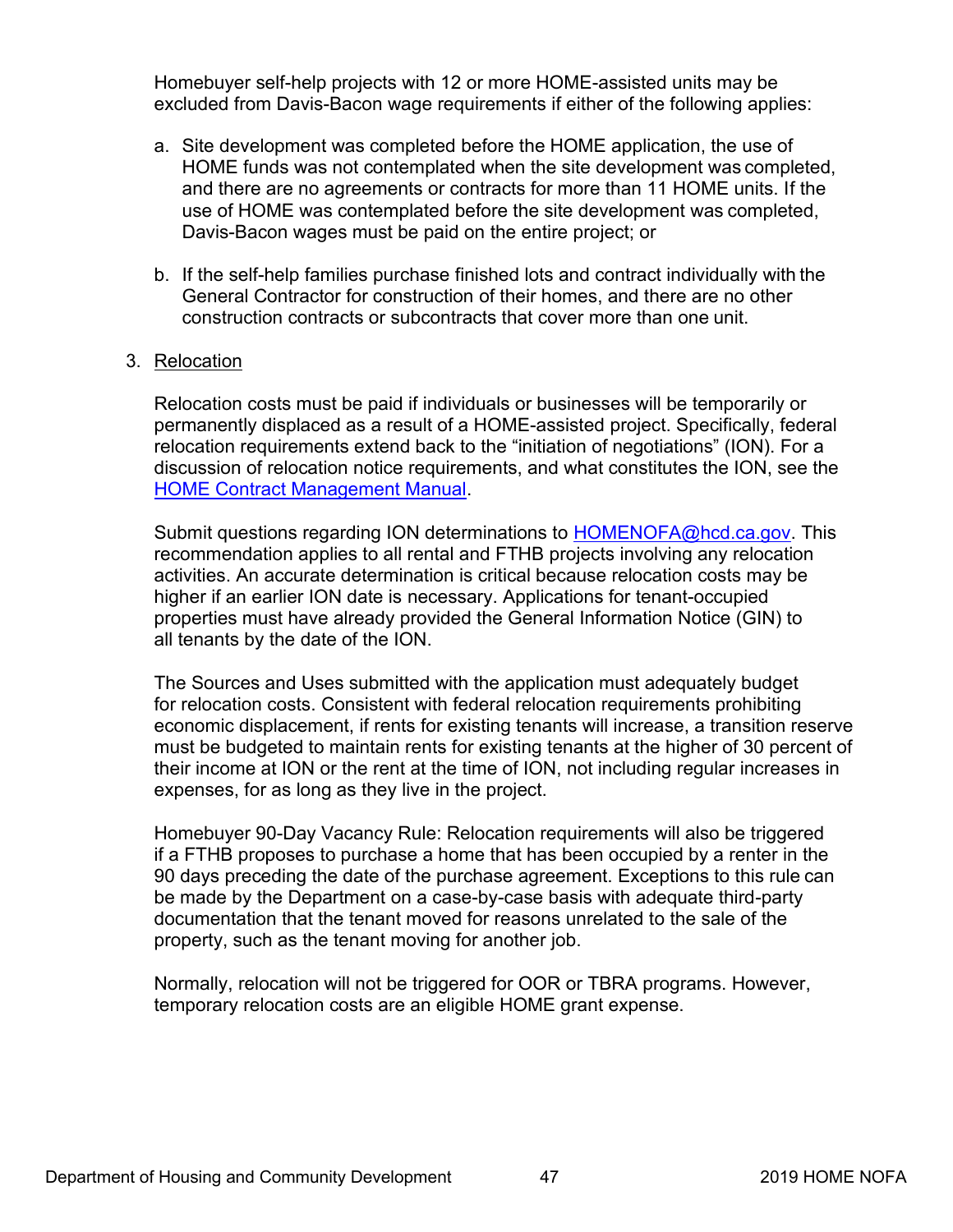Homebuyer self-help projects with 12 or more HOME-assisted units may be excluded from Davis-Bacon wage requirements if either of the following applies:

- a. Site development was completed before the HOME application, the use of HOME funds was not contemplated when the site development was completed, and there are no agreements or contracts for more than 11 HOME units. If the use of HOME was contemplated before the site development was completed, Davis-Bacon wages must be paid on the entire project; or
- b. If the self-help families purchase finished lots and contract individually with the General Contractor for construction of their homes, and there are no other construction contracts or subcontracts that cover more than one unit.

# 3. Relocation

Relocation costs must be paid if individuals or businesses will be temporarily or permanently displaced as a result of a HOME-assisted project. Specifically, federal relocation requirements extend back to the "initiation of negotiations" (ION). For a discussion of relocation notice requirements, and what constitutes the ION, see the [HOME Contract Management Manual.](http://www.hcd.ca.gov/grants-funding/active-funding/home/cmm.shtml)

Submit questions regarding ION determinations to [HOMENOFA@hcd.ca.gov.](mailto:HOMENOFA@hcd.ca.gov) This recommendation applies to all rental and FTHB projects involving any relocation activities. An accurate determination is critical because relocation costs may be higher if an earlier ION date is necessary. Applications for tenant-occupied properties must have already provided the General Information Notice (GIN) to all tenants by the date of the ION.

The Sources and Uses submitted with the application must adequately budget for relocation costs. Consistent with federal relocation requirements prohibiting economic displacement, if rents for existing tenants will increase, a transition reserve must be budgeted to maintain rents for existing tenants at the higher of 30 percent of their income at ION or the rent at the time of ION, not including regular increases in expenses, for as long as they live in the project.

Homebuyer 90-Day Vacancy Rule: Relocation requirements will also be triggered if a FTHB proposes to purchase a home that has been occupied by a renter in the 90 days preceding the date of the purchase agreement. Exceptions to this rule can be made by the Department on a case-by-case basis with adequate third-party documentation that the tenant moved for reasons unrelated to the sale of the property, such as the tenant moving for another job.

Normally, relocation will not be triggered for OOR or TBRA programs. However, temporary relocation costs are an eligible HOME grant expense.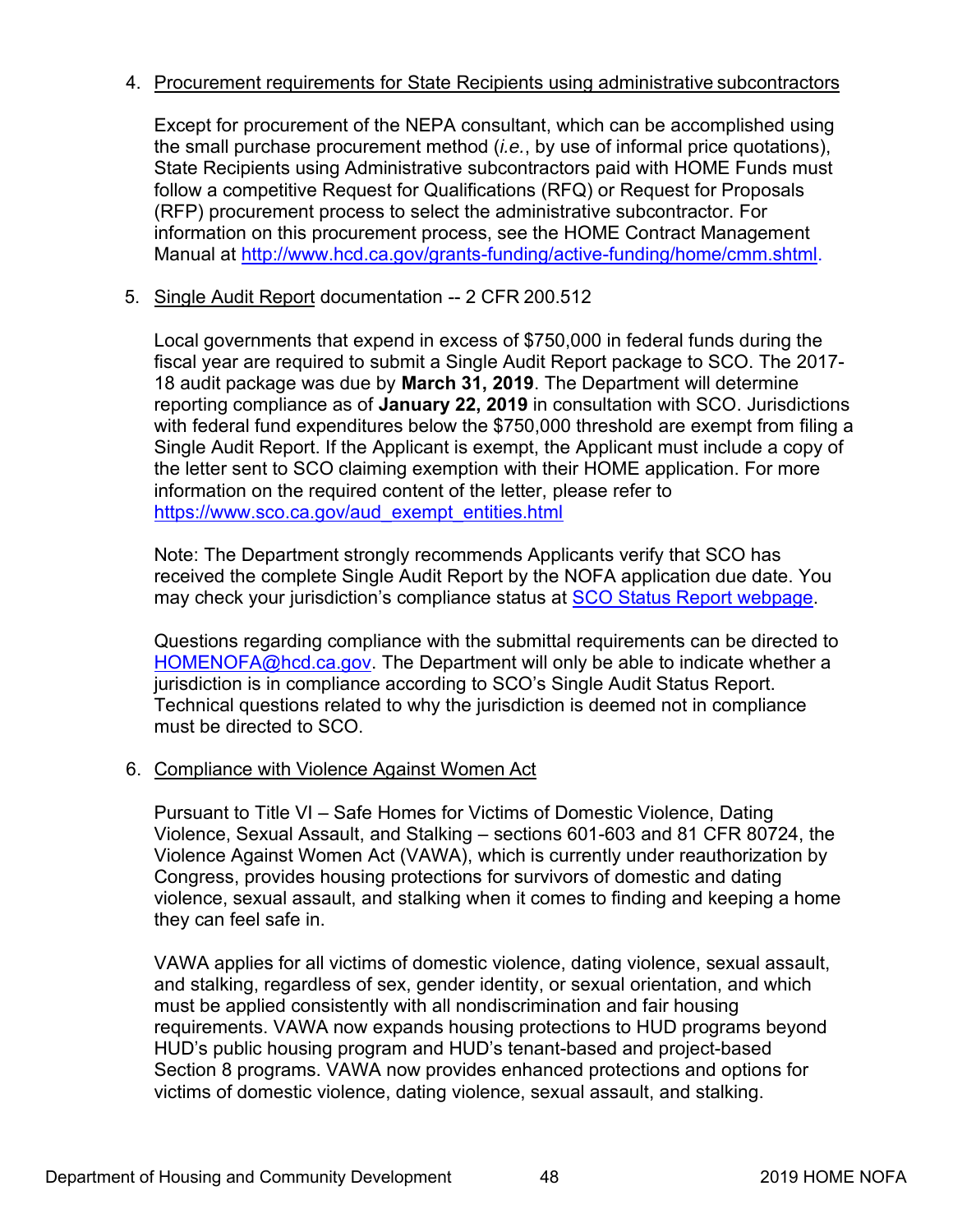# 4. Procurement requirements for State Recipients using administrative subcontractors

Except for procurement of the NEPA consultant, which can be accomplished using the small purchase procurement method (*i.e.*, by use of informal price quotations), State Recipients using Administrative subcontractors paid with HOME Funds must follow a competitive Request for Qualifications (RFQ) or Request for Proposals (RFP) procurement process to select the administrative subcontractor. For information on this procurement process, see the HOME Contract Management Manual at [http://www.hcd.ca.gov/grants-funding/active-funding/home/cmm.shtml.](http://www.hcd.ca.gov/grants-funding/active-funding/home/cmm.shtml)

5. Single Audit Report documentation -- 2 CFR 200.512

Local governments that expend in excess of \$750,000 in federal funds during the fiscal year are required to submit a Single Audit Report package to SCO. The 2017- 18 audit package was due by **March 31, 2019**. The Department will determine reporting compliance as of **January 22, 2019** in consultation with SCO. Jurisdictions with federal fund expenditures below the \$750,000 threshold are exempt from filing a Single Audit Report. If the Applicant is exempt, the Applicant must include a copy of the letter sent to SCO claiming exemption with their HOME application. For more information on the required content of the letter, please refer to [https://www.sco.ca.gov/aud\\_exempt\\_entities.html](https://www.sco.ca.gov/aud_exempt_entities.html)

Note: The Department strongly recommends Applicants verify that SCO has received the complete Single Audit Report by the NOFA application due date. You may check your jurisdiction's compliance status at **[SCO Status Report](https://www.sco.ca.gov/aud_single_audit_status_report.html) webpage**.

Questions regarding compliance with the submittal requirements can be directed to [HOMENOFA@hcd.ca.gov.](mailto:HOMENOFA@hcd.ca.gov) The Department will only be able to indicate whether a jurisdiction is in compliance according to SCO's Single Audit Status Report. Technical questions related to why the jurisdiction is deemed not in compliance must be directed to SCO.

# 6. Compliance with Violence Against Women Act

Pursuant to Title VI – Safe Homes for Victims of Domestic Violence, Dating Violence, Sexual Assault, and Stalking – sections 601-603 and 81 CFR 80724, the Violence Against Women Act (VAWA), which is currently under reauthorization by Congress, provides housing protections for survivors of domestic and dating violence, sexual assault, and stalking when it comes to finding and keeping a home they can feel safe in.

VAWA applies for all victims of domestic violence, dating violence, sexual assault, and stalking, regardless of sex, gender identity, or sexual orientation, and which must be applied consistently with all nondiscrimination and fair housing requirements. VAWA now expands housing protections to HUD programs beyond HUD's public housing program and HUD's tenant-based and project-based Section 8 programs. VAWA now provides enhanced protections and options for victims of domestic violence, dating violence, sexual assault, and stalking.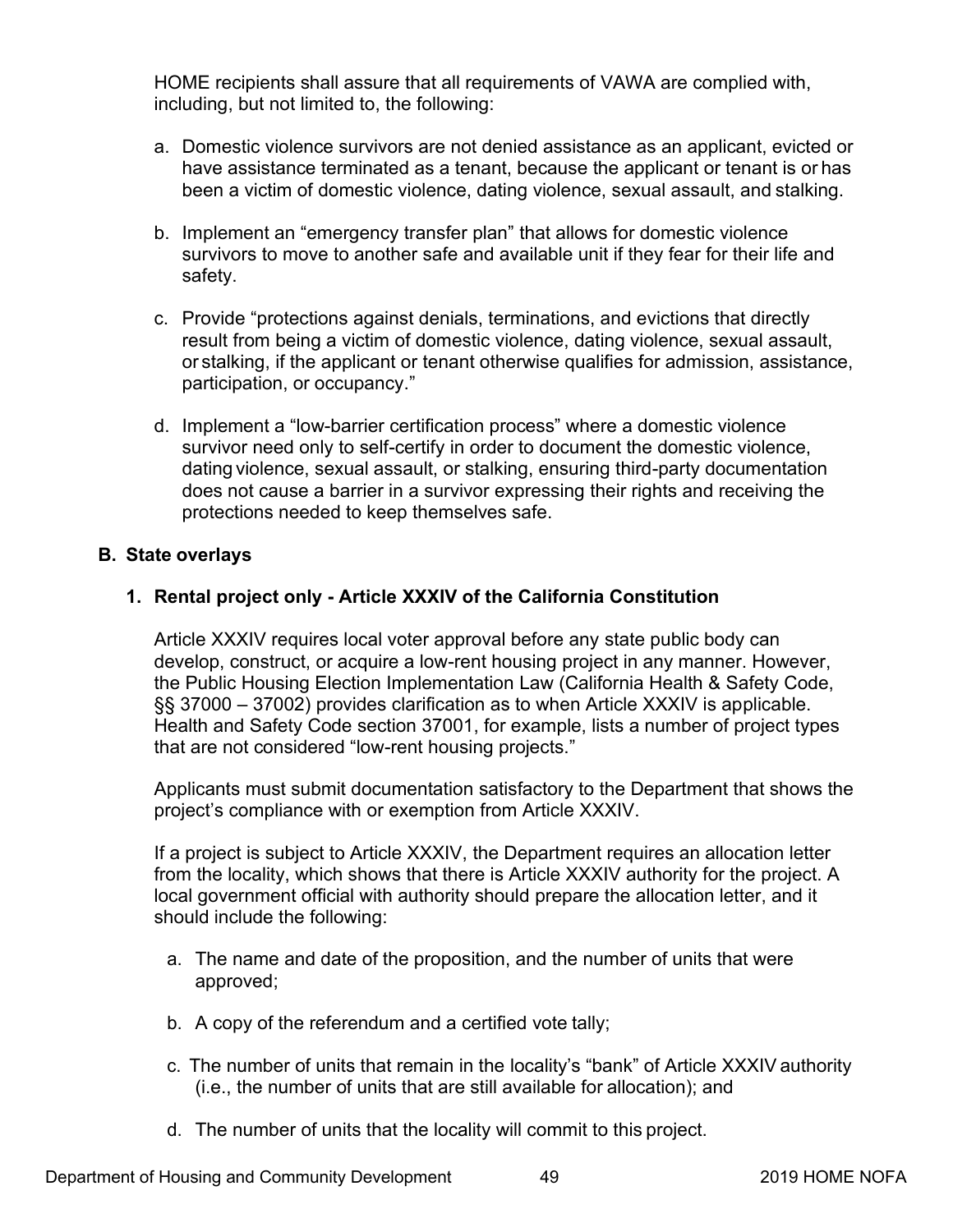<span id="page-53-0"></span>HOME recipients shall assure that all requirements of VAWA are complied with, including, but not limited to, the following:

- a. Domestic violence survivors are not denied assistance as an applicant, evicted or have assistance terminated as a tenant, because the applicant or tenant is or has been a victim of domestic violence, dating violence, sexual assault, and stalking.
- b. Implement an "emergency transfer plan" that allows for domestic violence survivors to move to another safe and available unit if they fear for their life and safety.
- c. Provide "protections against denials, terminations, and evictions that directly result from being a victim of domestic violence, dating violence, sexual assault, or stalking, if the applicant or tenant otherwise qualifies for admission, assistance, participation, or occupancy."
- d. Implement a "low-barrier certification process" where a domestic violence survivor need only to self-certify in order to document the domestic violence, dating violence, sexual assault, or stalking, ensuring third-party documentation does not cause a barrier in a survivor expressing their rights and receiving the protections needed to keep themselves safe.

# **B. State overlays**

# **1. Rental project only - Article XXXIV of the California Constitution**

Article XXXIV requires local voter approval before any state public body can develop, construct, or acquire a low-rent housing project in any manner. However, the Public Housing Election Implementation Law (California Health & Safety Code, §§ 37000 – 37002) provides clarification as to when Article XXXIV is applicable. Health and Safety Code section 37001, for example, lists a number of project types that are not considered "low-rent housing projects."

Applicants must submit documentation satisfactory to the Department that shows the project's compliance with or exemption from Article XXXIV.

If a project is subject to Article XXXIV, the Department requires an allocation letter from the locality, which shows that there is Article XXXIV authority for the project. A local government official with authority should prepare the allocation letter, and it should include the following:

- a. The name and date of the proposition, and the number of units that were approved;
- b. A copy of the referendum and a certified vote tally;
- c. The number of units that remain in the locality's "bank" of Article XXXIV authority (i.e., the number of units that are still available for allocation); and
- d. The number of units that the locality will commit to this project.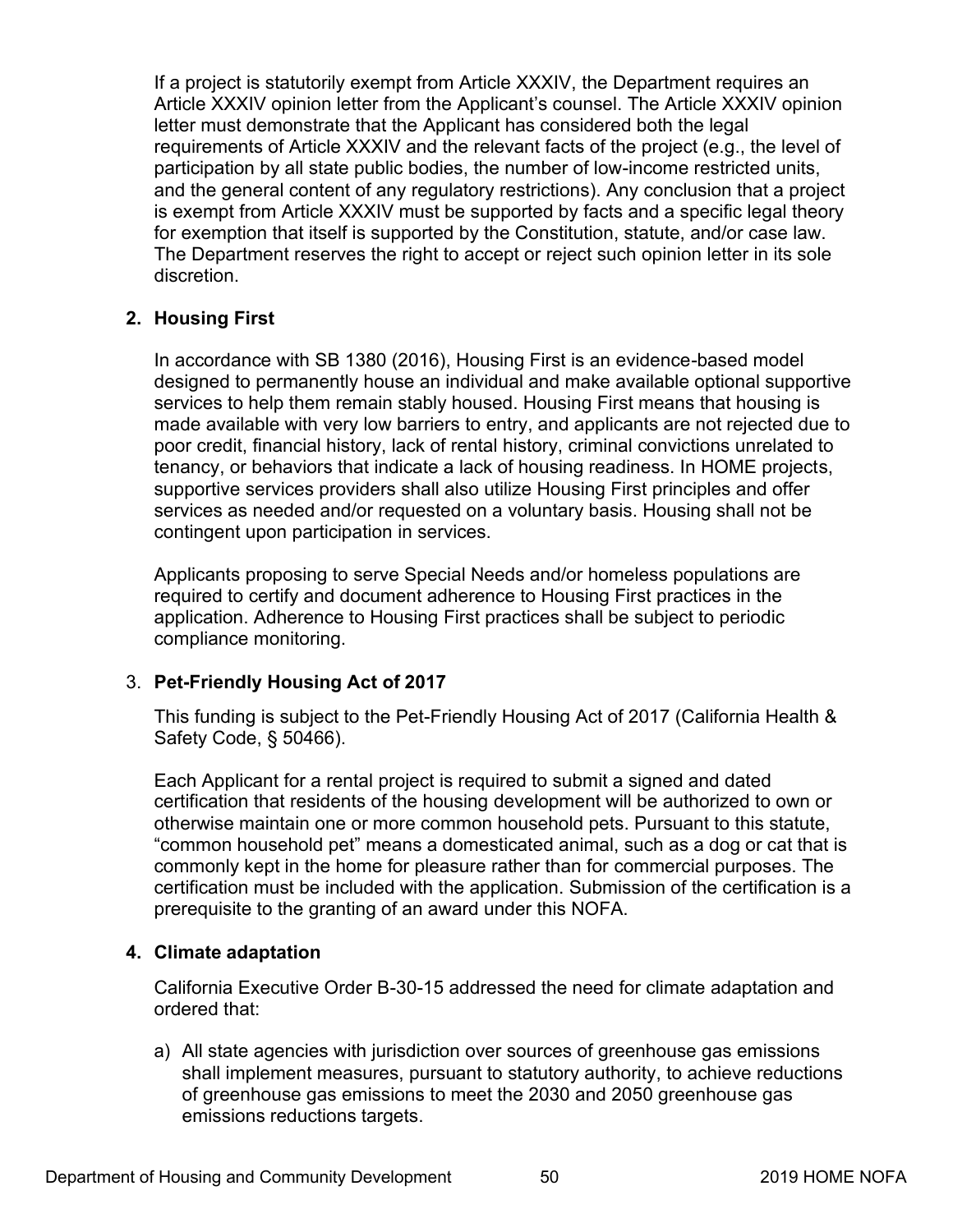If a project is statutorily exempt from Article XXXIV, the Department requires an Article XXXIV opinion letter from the Applicant's counsel. The Article XXXIV opinion letter must demonstrate that the Applicant has considered both the legal requirements of Article XXXIV and the relevant facts of the project (e.g., the level of participation by all state public bodies, the number of low-income restricted units, and the general content of any regulatory restrictions). Any conclusion that a project is exempt from Article XXXIV must be supported by facts and a specific legal theory for exemption that itself is supported by the Constitution, statute, and/or case law. The Department reserves the right to accept or reject such opinion letter in its sole discretion.

# **2. Housing First**

In accordance with SB 1380 (2016), Housing First is an evidence-based model designed to permanently house an individual and make available optional supportive services to help them remain stably housed. Housing First means that housing is made available with very low barriers to entry, and applicants are not rejected due to poor credit, financial history, lack of rental history, criminal convictions unrelated to tenancy, or behaviors that indicate a lack of housing readiness. In HOME projects, supportive services providers shall also utilize Housing First principles and offer services as needed and/or requested on a voluntary basis. Housing shall not be contingent upon participation in services.

Applicants proposing to serve Special Needs and/or homeless populations are required to certify and document adherence to Housing First practices in the application. Adherence to Housing First practices shall be subject to periodic compliance monitoring.

# 3. **Pet-Friendly Housing Act of 2017**

This funding is subject to the Pet-Friendly Housing Act of 2017 (California Health & Safety Code, § 50466).

Each Applicant for a rental project is required to submit a signed and dated certification that residents of the housing development will be authorized to own or otherwise maintain one or more common household pets. Pursuant to this statute, "common household pet" means a domesticated animal, such as a dog or cat that is commonly kept in the home for pleasure rather than for commercial purposes. The certification must be included with the application. Submission of the certification is a prerequisite to the granting of an award under this NOFA.

# **4. Climate adaptation**

California Executive Order B-30-15 addressed the need for climate adaptation and ordered that:

a) All state agencies with jurisdiction over sources of greenhouse gas emissions shall implement measures, pursuant to statutory authority, to achieve reductions of greenhouse gas emissions to meet the 2030 and 2050 greenhouse gas emissions reductions targets.